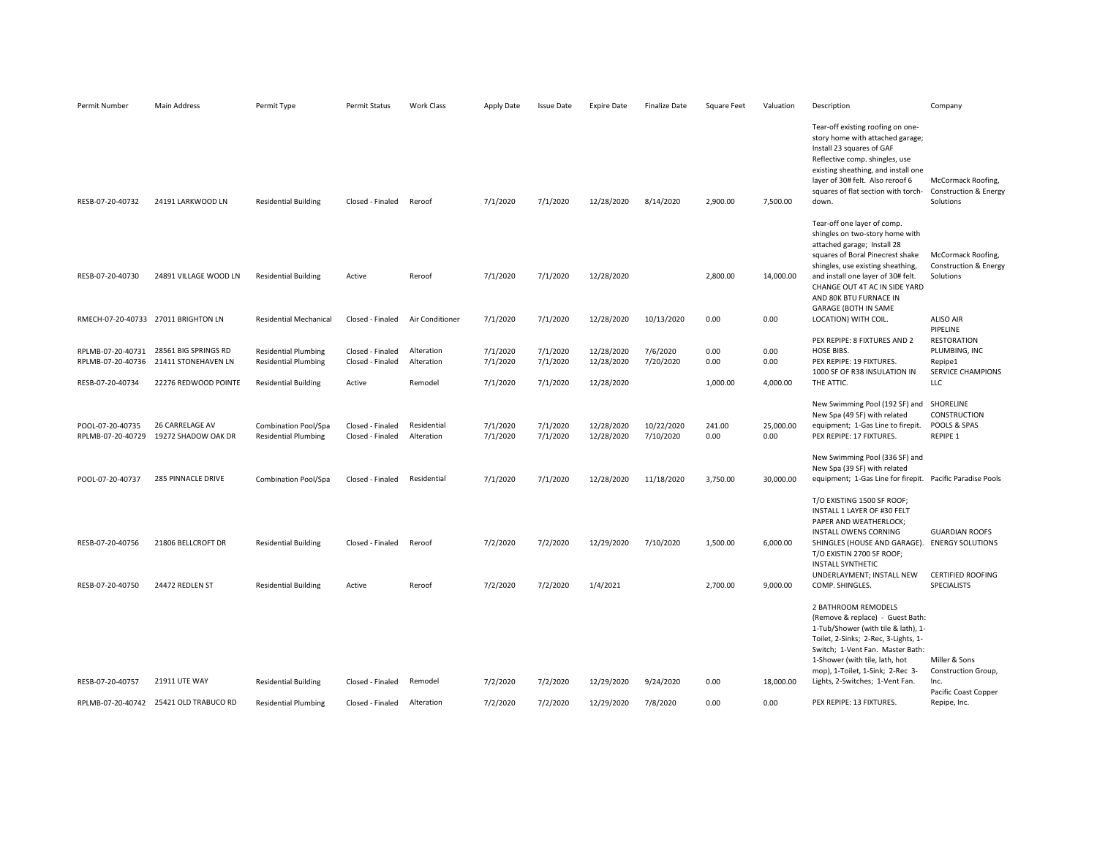| Permit Number                                              | Main Address                                                        | Permit Type                                                                               | Permit Status                                  | Work Class                          | Apply Date                       | <b>Issue Date</b>                | <b>Expire Date</b>                     | <b>Finalize Date</b>    | Square Feet              | Valuation                | Description                                                                                                                                                                                                                                                                         | Company                                                                                            |
|------------------------------------------------------------|---------------------------------------------------------------------|-------------------------------------------------------------------------------------------|------------------------------------------------|-------------------------------------|----------------------------------|----------------------------------|----------------------------------------|-------------------------|--------------------------|--------------------------|-------------------------------------------------------------------------------------------------------------------------------------------------------------------------------------------------------------------------------------------------------------------------------------|----------------------------------------------------------------------------------------------------|
| RESB-07-20-40732                                           | 24191 LARKWOOD LN                                                   | <b>Residential Building</b>                                                               | Closed - Finaled                               | Reroof                              | 7/1/2020                         | 7/1/2020                         | 12/28/2020                             | 8/14/2020               | 2,900.00                 | 7,500.00                 | Tear-off existing roofing on one-<br>story home with attached garage;<br>Install 23 squares of GAF<br>Reflective comp. shingles, use<br>existing sheathing, and install one<br>layer of 30# felt. Also reroof 6<br>squares of flat section with torch-<br>down.                     | McCormack Roofing,<br>Construction & Energy<br>Solutions                                           |
| RESB-07-20-40730                                           | 24891 VILLAGE WOOD LN                                               | <b>Residential Building</b>                                                               | Active                                         | Reroof                              | 7/1/2020                         | 7/1/2020                         | 12/28/2020                             |                         | 2,800.00                 | 14,000.00                | Tear-off one layer of comp.<br>shingles on two-story home with<br>attached garage; Install 28<br>squares of Boral Pinecrest shake<br>shingles, use existing sheathing,<br>and install one layer of 30# felt.<br>CHANGE OUT 4T AC IN SIDE YARD<br>AND 80K BTU FURNACE IN             | McCormack Roofing,<br>Construction & Energy<br>Solutions                                           |
|                                                            | RMECH-07-20-40733 27011 BRIGHTON LN                                 | <b>Residential Mechanical</b>                                                             | Closed - Finaled                               | Air Conditioner                     | 7/1/2020                         | 7/1/2020                         | 12/28/2020                             | 10/13/2020              | 0.00                     | 0.00                     | <b>GARAGE (BOTH IN SAME</b><br>LOCATION) WITH COIL.                                                                                                                                                                                                                                 | <b>ALISO AIR</b>                                                                                   |
| RPLMB-07-20-40731<br>RPLMB-07-20-40736<br>RESB-07-20-40734 | 28561 BIG SPRINGS RD<br>21411 STONEHAVEN LN<br>22276 REDWOOD POINTE | <b>Residential Plumbing</b><br><b>Residential Plumbing</b><br><b>Residential Building</b> | Closed - Finaled<br>Closed - Finaled<br>Active | Alteration<br>Alteration<br>Remodel | 7/1/2020<br>7/1/2020<br>7/1/2020 | 7/1/2020<br>7/1/2020<br>7/1/2020 | 12/28/2020<br>12/28/2020<br>12/28/2020 | 7/6/2020<br>7/20/2020   | 0.00<br>0.00<br>1,000.00 | 0.00<br>0.00<br>4,000.00 | PEX REPIPE: 8 FIXTURES AND 2<br>HOSE BIBS.<br>PEX REPIPE: 19 FIXTURES.<br>1000 SF OF R38 INSULATION IN<br>THE ATTIC.                                                                                                                                                                | PIPELINE<br><b>RESTORATION</b><br>PLUMBING, INC<br>Repipe1<br>SERVICE CHAMPIONS<br>LLC             |
| POOL-07-20-40735<br>RPLMB-07-20-40729                      | <b>26 CARRELAGE AV</b><br>19272 SHADOW OAK DR                       | Combination Pool/Spa<br><b>Residential Plumbing</b>                                       | Closed - Finaled<br>Closed - Finaled           | Residential<br>Alteration           | 7/1/2020<br>7/1/2020             | 7/1/2020<br>7/1/2020             | 12/28/2020<br>12/28/2020               | 10/22/2020<br>7/10/2020 | 241.00<br>0.00           | 25,000.00<br>0.00        | New Swimming Pool (192 SF) and<br>New Spa (49 SF) with related<br>equipment; 1-Gas Line to firepit.<br>PEX REPIPE: 17 FIXTURES.                                                                                                                                                     | SHORELINE<br><b>CONSTRUCTION</b><br>POOLS & SPAS<br><b>REPIPE 1</b>                                |
| POOL-07-20-40737                                           | 285 PINNACLE DRIVE                                                  | <b>Combination Pool/Spa</b>                                                               | Closed - Finaled                               | Residential                         | 7/1/2020                         | 7/1/2020                         | 12/28/2020                             | 11/18/2020              | 3,750.00                 | 30,000.00                | New Swimming Pool (336 SF) and<br>New Spa (39 SF) with related<br>equipment; 1-Gas Line for firepit. Pacific Paradise Pools                                                                                                                                                         |                                                                                                    |
| RESB-07-20-40756<br>RESB-07-20-40750                       | 21806 BELLCROFT DR<br>24472 REDLEN ST                               | <b>Residential Building</b><br><b>Residential Building</b>                                | Closed - Finaled<br>Active                     | Reroof<br>Reroof                    | 7/2/2020<br>7/2/2020             | 7/2/2020<br>7/2/2020             | 12/29/2020<br>1/4/2021                 | 7/10/2020               | 1,500.00<br>2,700.00     | 6,000.00<br>9,000.00     | T/O EXISTING 1500 SF ROOF;<br>INSTALL 1 LAYER OF #30 FELT<br>PAPER AND WEATHERLOCK;<br>INSTALL OWENS CORNING<br>SHINGLES (HOUSE AND GARAGE).<br>T/O EXISTIN 2700 SF ROOF;<br><b>INSTALL SYNTHETIC</b><br>UNDERLAYMENT; INSTALL NEW<br>COMP. SHINGLES.                               | <b>GUARDIAN ROOFS</b><br><b>ENERGY SOLUTIONS</b><br><b>CERTIFIED ROOFING</b><br><b>SPECIALISTS</b> |
| RESB-07-20-40757                                           | 21911 UTE WAY                                                       | <b>Residential Building</b>                                                               | Closed - Finaled                               | Remodel                             | 7/2/2020                         | 7/2/2020                         | 12/29/2020                             | 9/24/2020               | 0.00                     | 18,000.00                | 2 BATHROOM REMODELS<br>(Remove & replace) - Guest Bath:<br>1-Tub/Shower (with tile & lath), 1-<br>Toilet, 2-Sinks; 2-Rec, 3-Lights, 1-<br>Switch; 1-Vent Fan. Master Bath:<br>1-Shower (with tile, lath, hot<br>mop), 1-Toilet, 1-Sink; 2-Rec 3-<br>Lights, 2-Switches; 1-Vent Fan. | Miller & Sons<br>Construction Group,<br>Inc.                                                       |
|                                                            | RPLMB-07-20-40742 25421 OLD TRABUCO RD                              | <b>Residential Plumbing</b>                                                               | Closed - Finaled                               | Alteration                          | 7/2/2020                         | 7/2/2020                         | 12/29/2020                             | 7/8/2020                | 0.00                     | 0.00                     | PEX REPIPE: 13 FIXTURES.                                                                                                                                                                                                                                                            | Pacific Coast Copper<br>Repipe, Inc.                                                               |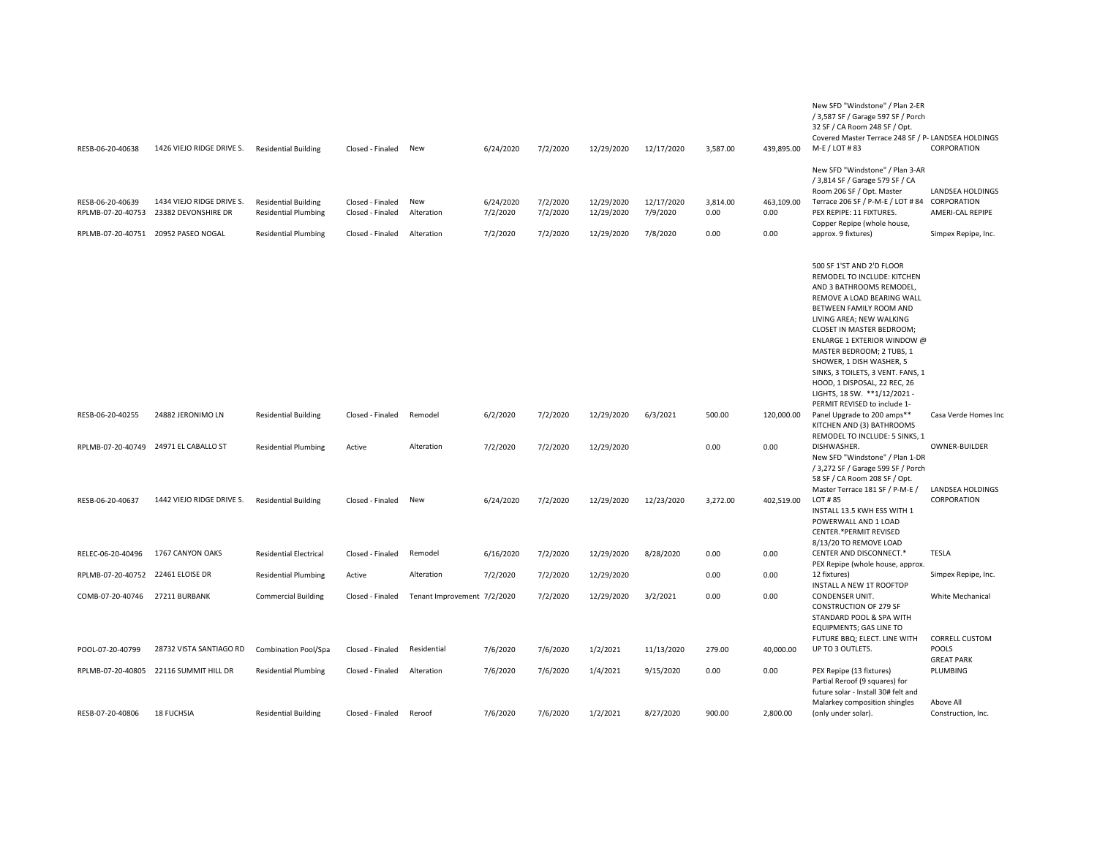| RESB-06-20-40638                      | 1426 VIEJO RIDGE DRIVE S.                        | <b>Residential Building</b>                                | Closed - Finaled                     | New                         | 6/24/2020             | 7/2/2020             | 12/29/2020               | 12/17/2020             | 3,587.00         | 439,895.00         | New SFD "Windstone" / Plan 2-ER<br>/ 3,587 SF / Garage 597 SF / Porch<br>32 SF / CA Room 248 SF / Opt.<br>Covered Master Terrace 248 SF / P- LANDSEA HOLDINGS<br>M-E / LOT #83                                                                                                                                                                                                                                                      | CORPORATION                          |
|---------------------------------------|--------------------------------------------------|------------------------------------------------------------|--------------------------------------|-----------------------------|-----------------------|----------------------|--------------------------|------------------------|------------------|--------------------|-------------------------------------------------------------------------------------------------------------------------------------------------------------------------------------------------------------------------------------------------------------------------------------------------------------------------------------------------------------------------------------------------------------------------------------|--------------------------------------|
| RESB-06-20-40639<br>RPLMB-07-20-40753 | 1434 VIEJO RIDGE DRIVE S.<br>23382 DEVONSHIRE DR | <b>Residential Building</b><br><b>Residential Plumbing</b> | Closed - Finaled<br>Closed - Finaled | New<br>Alteration           | 6/24/2020<br>7/2/2020 | 7/2/2020<br>7/2/2020 | 12/29/2020<br>12/29/2020 | 12/17/2020<br>7/9/2020 | 3,814.00<br>0.00 | 463,109.00<br>0.00 | New SFD "Windstone" / Plan 3-AR<br>/ 3,814 SF / Garage 579 SF / CA<br>Room 206 SF / Opt. Master<br>Terrace 206 SF / P-M-E / LOT #84 CORPORATION<br>PEX REPIPE: 11 FIXTURES.<br>Copper Repipe (whole house,                                                                                                                                                                                                                          | LANDSEA HOLDINGS<br>AMERI-CAL REPIPE |
|                                       | RPLMB-07-20-40751 20952 PASEO NOGAL              | <b>Residential Plumbing</b>                                | Closed - Finaled                     | Alteration                  | 7/2/2020              | 7/2/2020             | 12/29/2020               | 7/8/2020               | 0.00             | 0.00               | approx. 9 fixtures)                                                                                                                                                                                                                                                                                                                                                                                                                 | Simpex Repipe, Inc.                  |
|                                       |                                                  |                                                            |                                      |                             |                       |                      |                          |                        |                  |                    | 500 SF 1'ST AND 2'D FLOOR<br>REMODEL TO INCLUDE: KITCHEN<br>AND 3 BATHROOMS REMODEL,<br>REMOVE A LOAD BEARING WALL<br>BETWEEN FAMILY ROOM AND<br>LIVING AREA; NEW WALKING<br>CLOSET IN MASTER BEDROOM;<br>ENLARGE 1 EXTERIOR WINDOW @<br>MASTER BEDROOM; 2 TUBS, 1<br>SHOWER, 1 DISH WASHER, 5<br>SINKS, 3 TOILETS, 3 VENT. FANS, 1<br>HOOD, 1 DISPOSAL, 22 REC, 26<br>LIGHTS, 18 SW. **1/12/2021 -<br>PERMIT REVISED to include 1- |                                      |
| RESB-06-20-40255                      | 24882 JERONIMO LN                                | <b>Residential Building</b>                                | Closed - Finaled                     | Remodel                     | 6/2/2020              | 7/2/2020             | 12/29/2020               | 6/3/2021               | 500.00           | 120,000.00         | Panel Upgrade to 200 amps**<br>KITCHEN AND (3) BATHROOMS<br>REMODEL TO INCLUDE: 5 SINKS, 1                                                                                                                                                                                                                                                                                                                                          | Casa Verde Homes Inc                 |
|                                       | RPLMB-07-20-40749 24971 EL CABALLO ST            | <b>Residential Plumbing</b>                                | Active                               | Alteration                  | 7/2/2020              | 7/2/2020             | 12/29/2020               |                        | 0.00             | 0.00               | DISHWASHER.<br>New SFD "Windstone" / Plan 1-DR<br>/ 3,272 SF / Garage 599 SF / Porch<br>58 SF / CA Room 208 SF / Opt.<br>Master Terrace 181 SF / P-M-E /                                                                                                                                                                                                                                                                            | OWNER-BUILDER<br>LANDSEA HOLDINGS    |
| RESB-06-20-40637                      | 1442 VIEJO RIDGE DRIVE S.                        | <b>Residential Building</b>                                | Closed - Finaled                     | New                         | 6/24/2020             | 7/2/2020             | 12/29/2020               | 12/23/2020             | 3,272.00         | 402,519.00         | LOT #85<br>INSTALL 13.5 KWH ESS WITH 1<br>POWERWALL AND 1 LOAD<br><b>CENTER.*PERMIT REVISED</b><br>8/13/20 TO REMOVE LOAD                                                                                                                                                                                                                                                                                                           | CORPORATION                          |
| RELEC-06-20-40496                     | 1767 CANYON OAKS                                 | <b>Residential Electrical</b>                              | Closed - Finaled                     | Remodel                     | 6/16/2020             | 7/2/2020             | 12/29/2020               | 8/28/2020              | 0.00             | 0.00               | CENTER AND DISCONNECT.*<br>PEX Repipe (whole house, approx.                                                                                                                                                                                                                                                                                                                                                                         | <b>TESLA</b>                         |
| RPLMB-07-20-40752 22461 ELOISE DR     |                                                  | <b>Residential Plumbing</b>                                | Active                               | Alteration                  | 7/2/2020              | 7/2/2020             | 12/29/2020               |                        | 0.00             | 0.00               | 12 fixtures)                                                                                                                                                                                                                                                                                                                                                                                                                        | Simpex Repipe, Inc.                  |
| COMB-07-20-40746                      | 27211 BURBANK                                    | <b>Commercial Building</b>                                 | Closed - Finaled                     | Tenant Improvement 7/2/2020 |                       | 7/2/2020             | 12/29/2020               | 3/2/2021               | 0.00             | 0.00               | INSTALL A NEW 1T ROOFTOP<br>CONDENSER UNIT.<br><b>CONSTRUCTION OF 279 SF</b><br>STANDARD POOL & SPA WITH<br>EQUIPMENTS; GAS LINE TO                                                                                                                                                                                                                                                                                                 | White Mechanical                     |
| POOL-07-20-40799                      | 28732 VISTA SANTIAGO RD                          | Combination Pool/Spa                                       | Closed - Finaled                     | Residential                 | 7/6/2020              | 7/6/2020             | 1/2/2021                 | 11/13/2020             | 279.00           | 40,000.00          | FUTURE BBQ; ELECT. LINE WITH<br>UP TO 3 OUTLETS.                                                                                                                                                                                                                                                                                                                                                                                    | <b>CORRELL CUSTOM</b><br>POOLS       |
|                                       |                                                  |                                                            |                                      |                             |                       |                      |                          |                        |                  |                    |                                                                                                                                                                                                                                                                                                                                                                                                                                     | <b>GREAT PARK</b>                    |
| RPLMB-07-20-40805                     | 22116 SUMMIT HILL DR                             | <b>Residential Plumbing</b>                                | Closed - Finaled                     | Alteration                  | 7/6/2020              | 7/6/2020             | 1/4/2021                 | 9/15/2020              | 0.00             | 0.00               | PEX Repipe (13 fixtures)<br>Partial Reroof (9 squares) for<br>future solar - Install 30# felt and<br>Malarkey composition shingles                                                                                                                                                                                                                                                                                                  | PLUMBING<br>Above All                |
| RESB-07-20-40806                      | <b>18 FUCHSIA</b>                                | <b>Residential Building</b>                                | Closed - Finaled                     | Reroof                      | 7/6/2020              | 7/6/2020             | 1/2/2021                 | 8/27/2020              | 900.00           | 2,800.00           | (only under solar).                                                                                                                                                                                                                                                                                                                                                                                                                 | Construction, Inc.                   |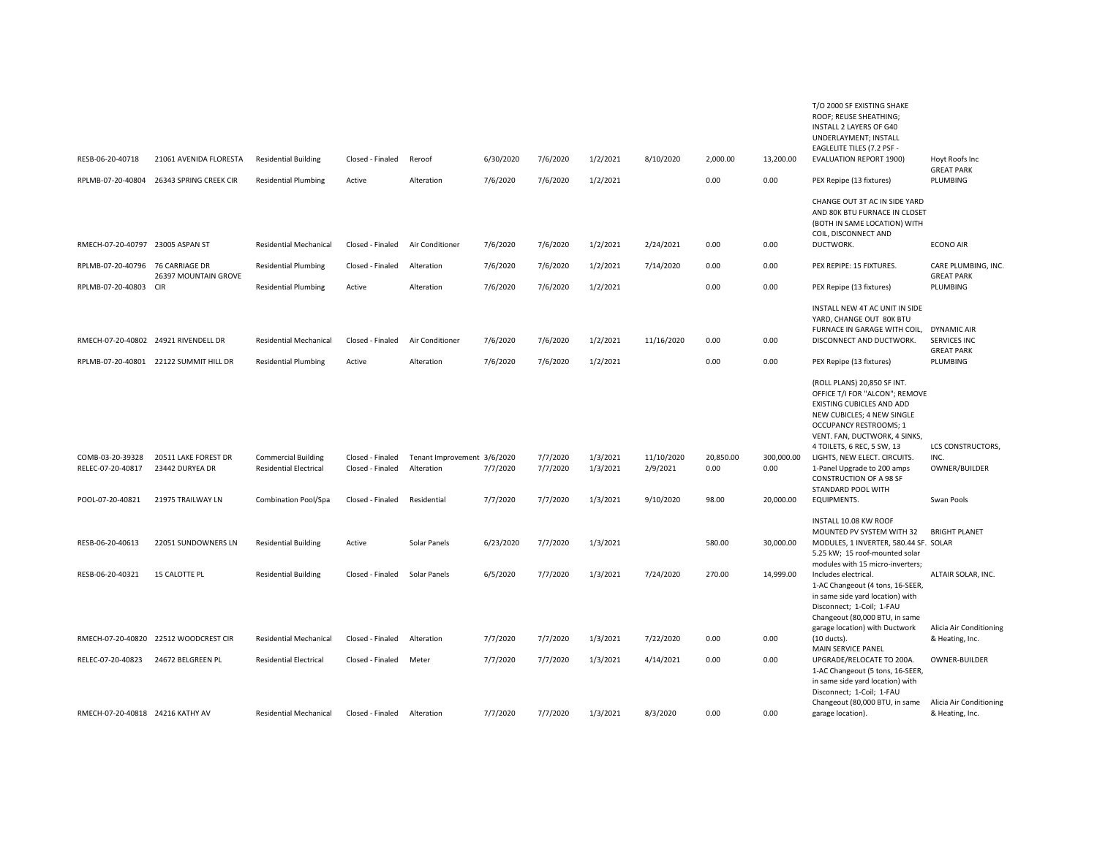|                                      |                                        |                               |                  |                             |           |          |          |            |           |            | T/O 2000 SF EXISTING SHAKE<br>ROOF; REUSE SHEATHING;<br>INSTALL 2 LAYERS OF G40<br>UNDERLAYMENT; INSTALL<br><b>EAGLELITE TILES (7.2 PSF -</b>                                       |                                                                |
|--------------------------------------|----------------------------------------|-------------------------------|------------------|-----------------------------|-----------|----------|----------|------------|-----------|------------|-------------------------------------------------------------------------------------------------------------------------------------------------------------------------------------|----------------------------------------------------------------|
| RESB-06-20-40718                     | 21061 AVENIDA FLORESTA                 | <b>Residential Building</b>   | Closed - Finaled | Reroof                      | 6/30/2020 | 7/6/2020 | 1/2/2021 | 8/10/2020  | 2.000.00  | 13,200.00  | <b>EVALUATION REPORT 1900)</b>                                                                                                                                                      | Hoyt Roofs Inc<br><b>GREAT PARK</b>                            |
| RPLMB-07-20-40804                    | 26343 SPRING CREEK CIR                 | <b>Residential Plumbing</b>   | Active           | Alteration                  | 7/6/2020  | 7/6/2020 | 1/2/2021 |            | 0.00      | 0.00       | PEX Repipe (13 fixtures)                                                                                                                                                            | PLUMBING                                                       |
| RMECH-07-20-40797 23005 ASPAN ST     |                                        | <b>Residential Mechanical</b> | Closed - Finaled | Air Conditioner             | 7/6/2020  | 7/6/2020 | 1/2/2021 | 2/24/2021  | 0.00      | 0.00       | CHANGE OUT 3T AC IN SIDE YARD<br>AND 80K BTU FURNACE IN CLOSET<br>(BOTH IN SAME LOCATION) WITH<br>COIL, DISCONNECT AND<br>DUCTWORK.                                                 | <b>ECONO AIR</b>                                               |
| RPLMB-07-20-40796                    | 76 CARRIAGE DR                         | <b>Residential Plumbing</b>   | Closed - Finaled | Alteration                  | 7/6/2020  | 7/6/2020 | 1/2/2021 | 7/14/2020  | 0.00      | 0.00       | PEX REPIPE: 15 FIXTURES.                                                                                                                                                            | CARE PLUMBING, INC.                                            |
| RPLMB-07-20-40803                    | 26397 MOUNTAIN GROVE<br><b>CIR</b>     | <b>Residential Plumbing</b>   | Active           | Alteration                  | 7/6/2020  | 7/6/2020 | 1/2/2021 |            | 0.00      | 0.00       | PEX Repipe (13 fixtures)                                                                                                                                                            | <b>GREAT PARK</b><br>PLUMBING                                  |
|                                      |                                        |                               |                  |                             |           |          |          |            |           |            |                                                                                                                                                                                     |                                                                |
|                                      |                                        |                               |                  |                             |           |          |          |            |           |            | INSTALL NEW 4T AC UNIT IN SIDE<br>YARD, CHANGE OUT 80K BTU                                                                                                                          |                                                                |
| RMECH-07-20-40802 24921 RIVENDELL DR |                                        | <b>Residential Mechanical</b> | Closed - Finaled | Air Conditioner             | 7/6/2020  | 7/6/2020 | 1/2/2021 | 11/16/2020 | 0.00      | 0.00       | FURNACE IN GARAGE WITH COIL,<br>DISCONNECT AND DUCTWORK.                                                                                                                            | <b>DYNAMIC AIR</b><br><b>SERVICES INC</b><br><b>GREAT PARK</b> |
|                                      | RPLMB-07-20-40801 22122 SUMMIT HILL DR | <b>Residential Plumbing</b>   | Active           | Alteration                  | 7/6/2020  | 7/6/2020 | 1/2/2021 |            | 0.00      | 0.00       | PEX Repipe (13 fixtures)                                                                                                                                                            | PLUMBING                                                       |
|                                      |                                        |                               |                  |                             |           |          |          |            |           |            | (ROLL PLANS) 20,850 SF INT.<br>OFFICE T/I FOR "ALCON"; REMOVE<br>EXISTING CUBICLES AND ADD<br>NEW CUBICLES; 4 NEW SINGLE<br>OCCUPANCY RESTROOMS; 1<br>VENT. FAN, DUCTWORK, 4 SINKS, |                                                                |
| COMB-03-20-39328                     | 20511 LAKE FOREST DR                   | <b>Commercial Building</b>    | Closed - Finaled | Tenant Improvement 3/6/2020 |           | 7/7/2020 | 1/3/2021 | 11/10/2020 | 20,850.00 | 300,000.00 | 4 TOILETS, 6 REC, 5 SW, 13<br>LIGHTS, NEW ELECT. CIRCUITS.                                                                                                                          | LCS CONSTRUCTORS,<br>INC.                                      |
| RELEC-07-20-40817                    | 23442 DURYEA DR                        | <b>Residential Electrical</b> | Closed - Finaled | Alteration                  | 7/7/2020  | 7/7/2020 | 1/3/2021 | 2/9/2021   | 0.00      | 0.00       | 1-Panel Upgrade to 200 amps<br><b>CONSTRUCTION OF A 98 SF</b>                                                                                                                       | OWNER/BUILDER                                                  |
| POOL-07-20-40821                     | 21975 TRAILWAY LN                      | Combination Pool/Spa          | Closed - Finaled | Residential                 | 7/7/2020  | 7/7/2020 | 1/3/2021 | 9/10/2020  | 98.00     | 20,000.00  | STANDARD POOL WITH<br><b>EQUIPMENTS.</b>                                                                                                                                            | Swan Pools                                                     |
| RESB-06-20-40613                     | 22051 SUNDOWNERS LN                    | <b>Residential Building</b>   | Active           | Solar Panels                | 6/23/2020 | 7/7/2020 | 1/3/2021 |            | 580.00    | 30,000.00  | INSTALL 10.08 KW ROOF<br>MOUNTED PV SYSTEM WITH 32<br>MODULES, 1 INVERTER, 580.44 SF. SOLAR<br>5.25 kW; 15 roof-mounted solar                                                       | <b>BRIGHT PLANET</b>                                           |
| RESB-06-20-40321                     | <b>15 CALOTTE PL</b>                   | <b>Residential Building</b>   | Closed - Finaled | Solar Panels                | 6/5/2020  | 7/7/2020 | 1/3/2021 | 7/24/2020  | 270.00    | 14,999.00  | modules with 15 micro-inverters;<br>Includes electrical.<br>1-AC Changeout (4 tons, 16-SEER,<br>in same side yard location) with<br>Disconnect; 1-Coil; 1-FAU                       | ALTAIR SOLAR, INC.                                             |
|                                      |                                        |                               |                  |                             |           |          |          |            |           |            | Changeout (80,000 BTU, in same                                                                                                                                                      |                                                                |
|                                      | RMECH-07-20-40820 22512 WOODCREST CIR  | <b>Residential Mechanical</b> | Closed - Finaled | Alteration                  | 7/7/2020  | 7/7/2020 | 1/3/2021 | 7/22/2020  | 0.00      | 0.00       | garage location) with Ductwork<br>$(10$ ducts).<br>MAIN SERVICE PANEL                                                                                                               | Alicia Air Conditioning<br>& Heating, Inc.                     |
| RELEC-07-20-40823                    | 24672 BELGREEN PL                      | <b>Residential Electrical</b> | Closed - Finaled | Meter                       | 7/7/2020  | 7/7/2020 | 1/3/2021 | 4/14/2021  | 0.00      | 0.00       | UPGRADE/RELOCATE TO 200A.<br>1-AC Changeout (5 tons, 16-SEER,<br>in same side yard location) with<br>Disconnect; 1-Coil; 1-FAU                                                      | OWNER-BUILDER                                                  |
| RMECH-07-20-40818 24216 KATHY AV     |                                        | <b>Residential Mechanical</b> | Closed - Finaled | Alteration                  | 7/7/2020  | 7/7/2020 | 1/3/2021 | 8/3/2020   | 0.00      | 0.00       | Changeout (80,000 BTU, in same<br>garage location).                                                                                                                                 | Alicia Air Conditioning<br>& Heating, Inc.                     |
|                                      |                                        |                               |                  |                             |           |          |          |            |           |            |                                                                                                                                                                                     |                                                                |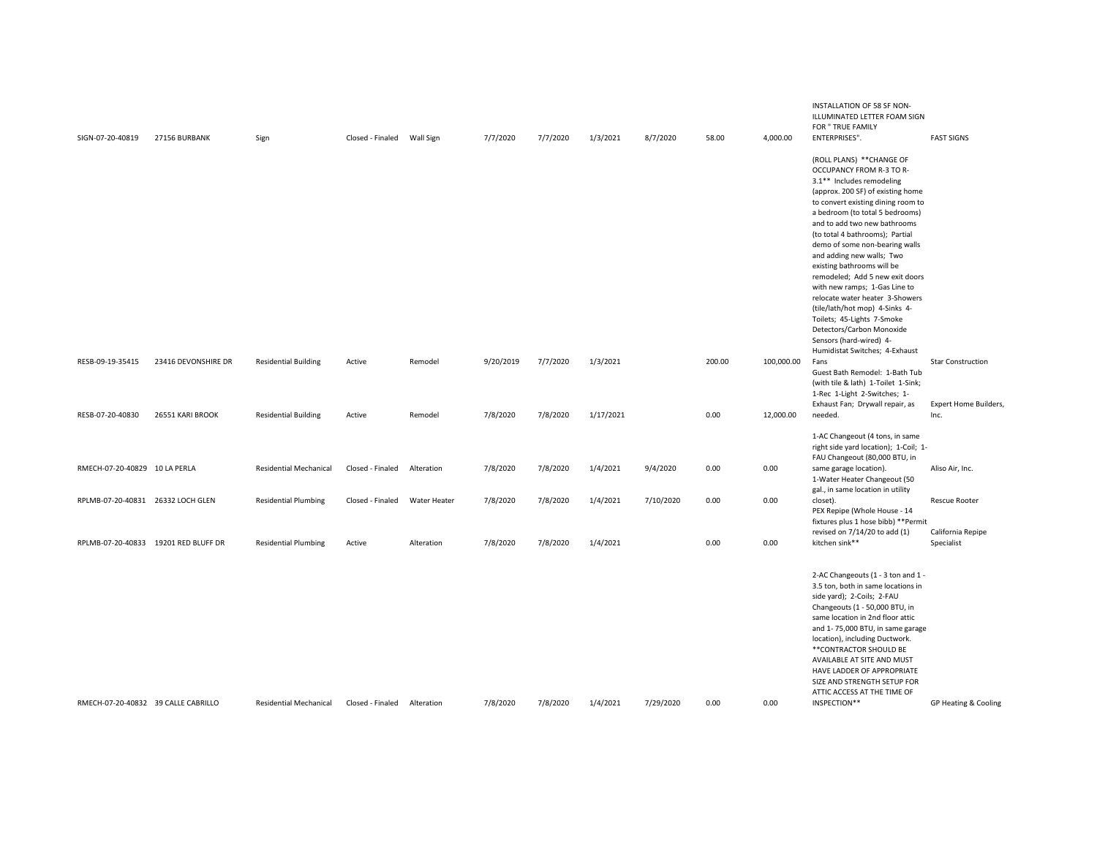| SIGN-07-20-40819                    | 27156 BURBANK                        | Sign                          | Closed - Finaled | Wall Sign    | 7/7/2020  | 7/7/2020 | 1/3/2021  | 8/7/2020  | 58.00  | 4,000.00   | INSTALLATION OF 58 SF NON-<br>ILLUMINATED LETTER FOAM SIGN<br>FOR " TRUE FAMILY<br>ENTERPRISES".                                                                                                                                                                                                                                                                                                                                                                                                                                                                                                                                  | <b>FAST SIGNS</b>                                 |
|-------------------------------------|--------------------------------------|-------------------------------|------------------|--------------|-----------|----------|-----------|-----------|--------|------------|-----------------------------------------------------------------------------------------------------------------------------------------------------------------------------------------------------------------------------------------------------------------------------------------------------------------------------------------------------------------------------------------------------------------------------------------------------------------------------------------------------------------------------------------------------------------------------------------------------------------------------------|---------------------------------------------------|
|                                     |                                      |                               |                  |              |           |          |           |           |        |            | (ROLL PLANS) ** CHANGE OF<br>OCCUPANCY FROM R-3 TO R-<br>3.1** Includes remodeling<br>(approx. 200 SF) of existing home<br>to convert existing dining room to<br>a bedroom (to total 5 bedrooms)<br>and to add two new bathrooms<br>(to total 4 bathrooms); Partial<br>demo of some non-bearing walls<br>and adding new walls; Two<br>existing bathrooms will be<br>remodeled; Add 5 new exit doors<br>with new ramps; 1-Gas Line to<br>relocate water heater 3-Showers<br>(tile/lath/hot mop) 4-Sinks 4-<br>Toilets; 45-Lights 7-Smoke<br>Detectors/Carbon Monoxide<br>Sensors (hard-wired) 4-<br>Humidistat Switches; 4-Exhaust |                                                   |
| RESB-09-19-35415                    | 23416 DEVONSHIRE DR                  | <b>Residential Building</b>   | Active           | Remodel      | 9/20/2019 | 7/7/2020 | 1/3/2021  |           | 200.00 | 100,000.00 | Fans<br>Guest Bath Remodel: 1-Bath Tub<br>(with tile & lath) 1-Toilet 1-Sink;<br>1-Rec 1-Light 2-Switches; 1-<br>Exhaust Fan; Drywall repair, as                                                                                                                                                                                                                                                                                                                                                                                                                                                                                  | <b>Star Construction</b><br>Expert Home Builders, |
| RESB-07-20-40830                    | 26551 KARI BROOK                     | <b>Residential Building</b>   | Active           | Remodel      | 7/8/2020  | 7/8/2020 | 1/17/2021 |           | 0.00   | 12,000.00  | needed.<br>1-AC Changeout (4 tons, in same<br>right side yard location); 1-Coil; 1-                                                                                                                                                                                                                                                                                                                                                                                                                                                                                                                                               | Inc.                                              |
| RMECH-07-20-40829 10 LA PERLA       |                                      | <b>Residential Mechanical</b> | Closed - Finaled | Alteration   | 7/8/2020  | 7/8/2020 | 1/4/2021  | 9/4/2020  | 0.00   | 0.00       | FAU Changeout (80,000 BTU, in<br>same garage location).<br>1-Water Heater Changeout (50<br>gal., in same location in utility                                                                                                                                                                                                                                                                                                                                                                                                                                                                                                      | Aliso Air, Inc.                                   |
| RPLMB-07-20-40831 26332 LOCH GLEN   |                                      | <b>Residential Plumbing</b>   | Closed - Finaled | Water Heater | 7/8/2020  | 7/8/2020 | 1/4/2021  | 7/10/2020 | 0.00   | 0.00       | closet).<br>PEX Repipe (Whole House - 14<br>fixtures plus 1 hose bibb) ** Permit                                                                                                                                                                                                                                                                                                                                                                                                                                                                                                                                                  | <b>Rescue Rooter</b>                              |
|                                     | RPLMB-07-20-40833 19201 RED BLUFF DR | <b>Residential Plumbing</b>   | Active           | Alteration   | 7/8/2020  | 7/8/2020 | 1/4/2021  |           | 0.00   | 0.00       | revised on 7/14/20 to add (1)<br>kitchen sink**                                                                                                                                                                                                                                                                                                                                                                                                                                                                                                                                                                                   | California Repipe<br>Specialist                   |
| RMECH-07-20-40832 39 CALLE CABRILLO |                                      | <b>Residential Mechanical</b> | Closed - Finaled | Alteration   | 7/8/2020  | 7/8/2020 | 1/4/2021  | 7/29/2020 | 0.00   | 0.00       | 2-AC Changeouts (1 - 3 ton and 1 -<br>3.5 ton, both in same locations in<br>side yard); 2-Coils; 2-FAU<br>Changeouts (1 - 50,000 BTU, in<br>same location in 2nd floor attic<br>and 1-75,000 BTU, in same garage<br>location), including Ductwork.<br>**CONTRACTOR SHOULD BE<br>AVAILABLE AT SITE AND MUST<br>HAVE LADDER OF APPROPRIATE<br>SIZE AND STRENGTH SETUP FOR<br>ATTIC ACCESS AT THE TIME OF<br>INSPECTION**                                                                                                                                                                                                            | GP Heating & Cooling                              |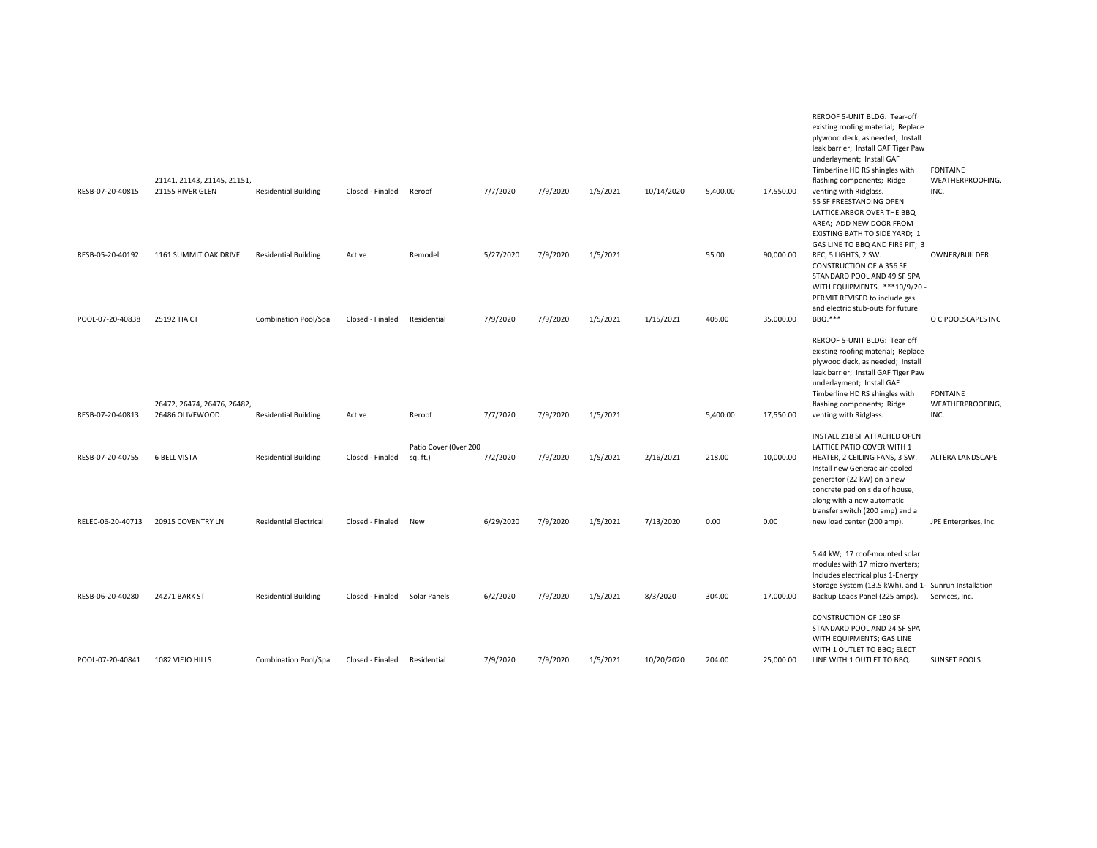|                   |                                                 |                               |                  |                       |           |          |          |            |          |           | REROOF 5-UNIT BLDG: Tear-off<br>existing roofing material; Replace<br>plywood deck, as needed; Install<br>leak barrier; Install GAF Tiger Paw<br>underlayment; Install GAF<br>Timberline HD RS shingles with                               | <b>FONTAINE</b>                     |
|-------------------|-------------------------------------------------|-------------------------------|------------------|-----------------------|-----------|----------|----------|------------|----------|-----------|--------------------------------------------------------------------------------------------------------------------------------------------------------------------------------------------------------------------------------------------|-------------------------------------|
| RESB-07-20-40815  | 21141, 21143, 21145, 21151,<br>21155 RIVER GLEN | <b>Residential Building</b>   | Closed - Finaled | Reroof                | 7/7/2020  | 7/9/2020 | 1/5/2021 | 10/14/2020 | 5,400.00 | 17,550.00 | flashing components; Ridge<br>venting with Ridglass.<br>55 SF FREESTANDING OPEN<br>LATTICE ARBOR OVER THE BBQ<br>AREA; ADD NEW DOOR FROM<br>EXISTING BATH TO SIDE YARD; 1<br>GAS LINE TO BBQ AND FIRE PIT; 3                               | WEATHERPROOFING,<br>INC.            |
| RESB-05-20-40192  | 1161 SUMMIT OAK DRIVE                           | <b>Residential Building</b>   | Active           | Remodel               | 5/27/2020 | 7/9/2020 | 1/5/2021 |            | 55.00    | 90,000.00 | REC, 5 LIGHTS, 2 SW.<br><b>CONSTRUCTION OF A 356 SF</b><br>STANDARD POOL AND 49 SF SPA<br>WITH EQUIPMENTS. ***10/9/20 -<br>PERMIT REVISED to include gas<br>and electric stub-outs for future                                              | OWNER/BUILDER                       |
| POOL-07-20-40838  | 25192 TIA CT                                    | <b>Combination Pool/Spa</b>   | Closed - Finaled | Residential           | 7/9/2020  | 7/9/2020 | 1/5/2021 | 1/15/2021  | 405.00   | 35,000.00 | BBQ.***                                                                                                                                                                                                                                    | O C POOLSCAPES INC                  |
|                   | 26472, 26474, 26476, 26482,                     |                               |                  |                       |           |          |          |            |          |           | REROOF 5-UNIT BLDG: Tear-off<br>existing roofing material; Replace<br>plywood deck, as needed; Install<br>leak barrier; Install GAF Tiger Paw<br>underlayment; Install GAF<br>Timberline HD RS shingles with<br>flashing components; Ridge | <b>FONTAINE</b><br>WEATHERPROOFING, |
| RESB-07-20-40813  | 26486 OLIVEWOOD                                 | <b>Residential Building</b>   | Active           | Reroof                | 7/7/2020  | 7/9/2020 | 1/5/2021 |            | 5,400.00 | 17,550.00 | venting with Ridglass.                                                                                                                                                                                                                     | INC.                                |
|                   |                                                 |                               |                  | Patio Cover (Over 200 |           |          |          |            |          |           | INSTALL 218 SF ATTACHED OPEN<br>LATTICE PATIO COVER WITH 1                                                                                                                                                                                 |                                     |
| RESB-07-20-40755  | <b>6 BELL VISTA</b>                             | <b>Residential Building</b>   | Closed - Finaled | sq. ft.)              | 7/2/2020  | 7/9/2020 | 1/5/2021 | 2/16/2021  | 218.00   | 10,000.00 | HEATER, 2 CEILING FANS, 3 SW.<br>Install new Generac air-cooled<br>generator (22 kW) on a new<br>concrete pad on side of house,<br>along with a new automatic<br>transfer switch (200 amp) and a                                           | <b>ALTERA LANDSCAPE</b>             |
| RELEC-06-20-40713 | 20915 COVENTRY LN                               | <b>Residential Electrical</b> | Closed - Finaled | New                   | 6/29/2020 | 7/9/2020 | 1/5/2021 | 7/13/2020  | 0.00     | 0.00      | new load center (200 amp).                                                                                                                                                                                                                 | JPE Enterprises, Inc.               |
| RESB-06-20-40280  | 24271 BARK ST                                   | <b>Residential Building</b>   | Closed - Finaled | Solar Panels          | 6/2/2020  | 7/9/2020 | 1/5/2021 | 8/3/2020   | 304.00   | 17,000.00 | 5.44 kW; 17 roof-mounted solar<br>modules with 17 microinverters;<br>Includes electrical plus 1-Energy<br>Storage System (13.5 kWh), and 1- Sunrun Installation<br>Backup Loads Panel (225 amps).                                          | Services, Inc.                      |
| POOL-07-20-40841  | 1082 VIEJO HILLS                                | Combination Pool/Spa          | Closed - Finaled | Residential           | 7/9/2020  | 7/9/2020 | 1/5/2021 | 10/20/2020 | 204.00   | 25,000.00 | <b>CONSTRUCTION OF 180 SF</b><br>STANDARD POOL AND 24 SF SPA<br>WITH EQUIPMENTS; GAS LINE<br>WITH 1 OUTLET TO BBQ; ELECT<br>LINE WITH 1 OUTLET TO BBQ.                                                                                     | <b>SUNSET POOLS</b>                 |
|                   |                                                 |                               |                  |                       |           |          |          |            |          |           |                                                                                                                                                                                                                                            |                                     |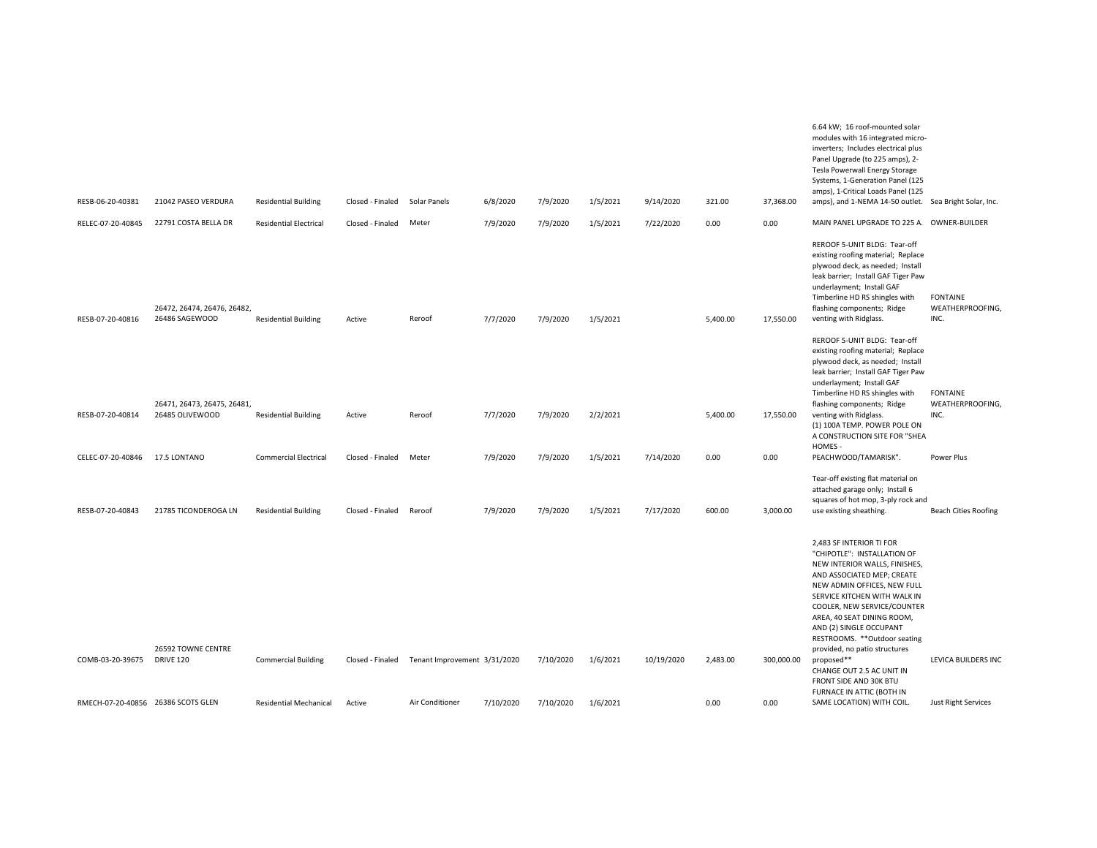|                                    |                                                |                               |                  |                              |           |           |          |            |          |            | modules with 16 integrated micro-<br>inverters; Includes electrical plus<br>Panel Upgrade (to 225 amps), 2-<br>Tesla Powerwall Energy Storage<br>Systems, 1-Generation Panel (125<br>amps), 1-Critical Loads Panel (125                                                                                                                        |                                             |
|------------------------------------|------------------------------------------------|-------------------------------|------------------|------------------------------|-----------|-----------|----------|------------|----------|------------|------------------------------------------------------------------------------------------------------------------------------------------------------------------------------------------------------------------------------------------------------------------------------------------------------------------------------------------------|---------------------------------------------|
| RESB-06-20-40381                   | 21042 PASEO VERDURA                            | <b>Residential Building</b>   | Closed - Finaled | Solar Panels                 | 6/8/2020  | 7/9/2020  | 1/5/2021 | 9/14/2020  | 321.00   | 37,368.00  | amps), and 1-NEMA 14-50 outlet. Sea Bright Solar, Inc.                                                                                                                                                                                                                                                                                         |                                             |
| RELEC-07-20-40845                  | 22791 COSTA BELLA DR                           | <b>Residential Electrical</b> | Closed - Finaled | Meter                        | 7/9/2020  | 7/9/2020  | 1/5/2021 | 7/22/2020  | 0.00     | 0.00       | MAIN PANEL UPGRADE TO 225 A. OWNER-BUILDER                                                                                                                                                                                                                                                                                                     |                                             |
| RESB-07-20-40816                   | 26472, 26474, 26476, 26482,<br>26486 SAGEWOOD  | <b>Residential Building</b>   | Active           | Reroof                       | 7/7/2020  | 7/9/2020  | 1/5/2021 |            | 5,400.00 | 17,550.00  | REROOF 5-UNIT BLDG: Tear-off<br>existing roofing material; Replace<br>plywood deck, as needed; Install<br>leak barrier; Install GAF Tiger Paw<br>underlayment; Install GAF<br>Timberline HD RS shingles with<br>flashing components; Ridge<br>venting with Ridglass.                                                                           | <b>FONTAINE</b><br>WEATHERPROOFING,<br>INC. |
|                                    |                                                |                               |                  |                              |           |           |          |            |          |            | REROOF 5-UNIT BLDG: Tear-off<br>existing roofing material; Replace<br>plywood deck, as needed; Install<br>leak barrier; Install GAF Tiger Paw<br>underlayment; Install GAF<br>Timberline HD RS shingles with                                                                                                                                   | <b>FONTAINE</b>                             |
| RESB-07-20-40814                   | 26471, 26473, 26475, 26481,<br>26485 OLIVEWOOD | <b>Residential Building</b>   | Active           | Reroof                       | 7/7/2020  | 7/9/2020  | 2/2/2021 |            | 5,400.00 | 17,550.00  | flashing components; Ridge<br>venting with Ridglass.<br>(1) 100A TEMP. POWER POLE ON<br>A CONSTRUCTION SITE FOR "SHEA<br>HOMES-                                                                                                                                                                                                                | WEATHERPROOFING,<br>INC.                    |
| CELEC-07-20-40846                  | 17.5 LONTANO                                   | <b>Commercial Electrical</b>  | Closed - Finaled | Meter                        | 7/9/2020  | 7/9/2020  | 1/5/2021 | 7/14/2020  | 0.00     | 0.00       | PEACHWOOD/TAMARISK".                                                                                                                                                                                                                                                                                                                           | Power Plus                                  |
| RESB-07-20-40843                   | 21785 TICONDEROGA LN                           | <b>Residential Building</b>   | Closed - Finaled | Reroof                       | 7/9/2020  | 7/9/2020  | 1/5/2021 | 7/17/2020  | 600.00   | 3,000.00   | Tear-off existing flat material on<br>attached garage only; Install 6<br>squares of hot mop, 3-ply rock and<br>use existing sheathing.                                                                                                                                                                                                         | <b>Beach Cities Roofing</b>                 |
|                                    | 26592 TOWNE CENTRE                             |                               |                  |                              |           |           |          |            |          |            | 2,483 SF INTERIOR TI FOR<br>"CHIPOTLE": INSTALLATION OF<br>NEW INTERIOR WALLS, FINISHES,<br>AND ASSOCIATED MEP; CREATE<br>NEW ADMIN OFFICES, NEW FULL<br>SERVICE KITCHEN WITH WALK IN<br>COOLER, NEW SERVICE/COUNTER<br>AREA, 40 SEAT DINING ROOM,<br>AND (2) SINGLE OCCUPANT<br>RESTROOMS. **Outdoor seating<br>provided, no patio structures |                                             |
| COMB-03-20-39675                   | <b>DRIVE 120</b>                               | <b>Commercial Building</b>    | Closed - Finaled | Tenant Improvement 3/31/2020 |           | 7/10/2020 | 1/6/2021 | 10/19/2020 | 2,483.00 | 300,000.00 | proposed**<br>CHANGE OUT 2.5 AC UNIT IN<br>FRONT SIDE AND 30K BTU<br>FURNACE IN ATTIC (BOTH IN                                                                                                                                                                                                                                                 | LEVICA BUILDERS INC                         |
| RMECH-07-20-40856 26386 SCOTS GLEN |                                                | <b>Residential Mechanical</b> | Active           | Air Conditioner              | 7/10/2020 | 7/10/2020 | 1/6/2021 |            | 0.00     | 0.00       | SAME LOCATION) WITH COIL.                                                                                                                                                                                                                                                                                                                      | Just Right Services                         |

6.64 kW; 16 roof-mounted solar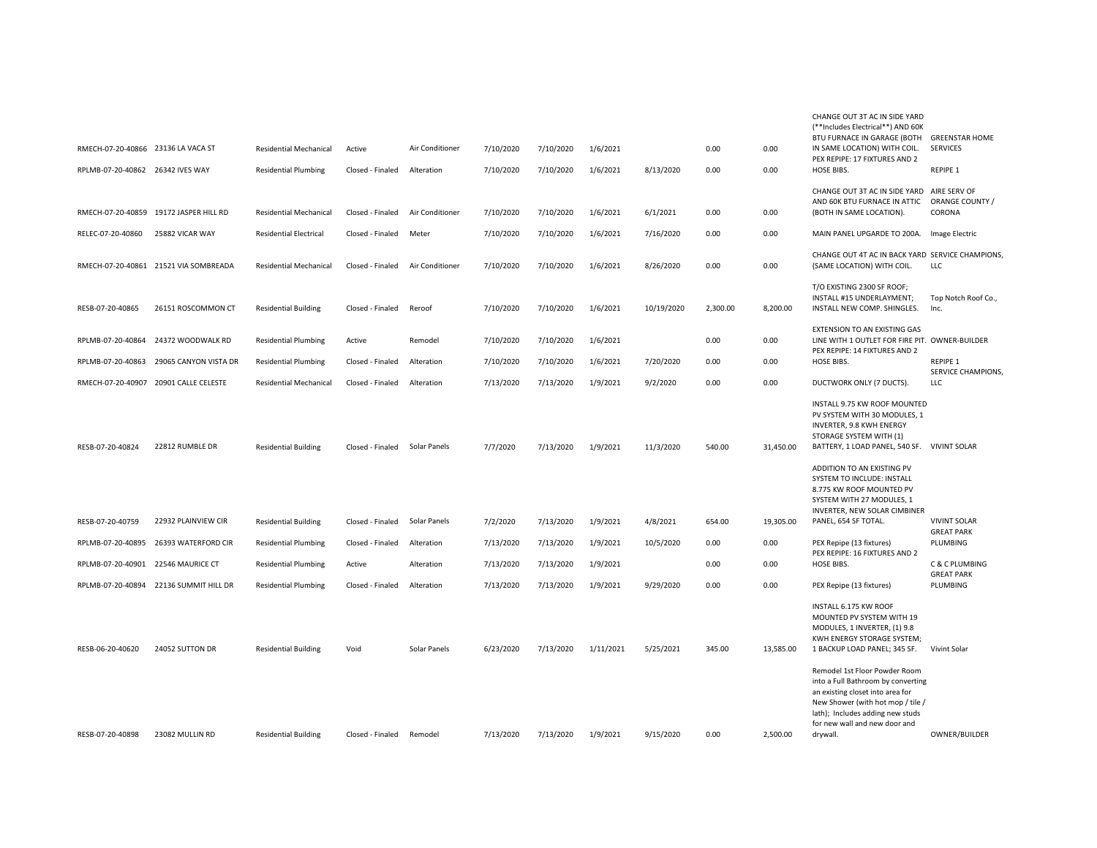| RMECH-07-20-40866 23136 LA VACA ST |                                        | <b>Residential Mechanical</b> | Active           | Air Conditioner | 7/10/2020 | 7/10/2020 | 1/6/2021  |            | 0.00     | 0.00      | (**Includes Electrical**) AND 60K<br>BTU FURNACE IN GARAGE (BOTH<br>IN SAME LOCATION) WITH COIL.<br>PEX REPIPE: 17 FIXTURES AND 2                                                                                             | <b>GREENSTAR HOME</b><br><b>SERVICES</b><br>REPIPE 1 |
|------------------------------------|----------------------------------------|-------------------------------|------------------|-----------------|-----------|-----------|-----------|------------|----------|-----------|-------------------------------------------------------------------------------------------------------------------------------------------------------------------------------------------------------------------------------|------------------------------------------------------|
| RPLMB-07-20-40862 26342 IVES WAY   |                                        | <b>Residential Plumbing</b>   | Closed - Finaled | Alteration      | 7/10/2020 | 7/10/2020 | 1/6/2021  | 8/13/2020  | 0.00     | 0.00      | HOSE BIBS.                                                                                                                                                                                                                    |                                                      |
|                                    | RMECH-07-20-40859 19172 JASPER HILL RD | <b>Residential Mechanical</b> | Closed - Finaled | Air Conditioner | 7/10/2020 | 7/10/2020 | 1/6/2021  | 6/1/2021   | 0.00     | 0.00      | CHANGE OUT 3T AC IN SIDE YARD<br>AND 60K BTU FURNACE IN ATTIC<br>(BOTH IN SAME LOCATION).                                                                                                                                     | AIRE SERV OF<br>ORANGE COUNTY /<br>CORONA            |
|                                    |                                        |                               |                  |                 |           |           |           |            |          |           |                                                                                                                                                                                                                               |                                                      |
| RELEC-07-20-40860                  | 25882 VICAR WAY                        | <b>Residential Electrical</b> | Closed - Finaled | Meter           | 7/10/2020 | 7/10/2020 | 1/6/2021  | 7/16/2020  | 0.00     | 0.00      | MAIN PANEL UPGARDE TO 200A.                                                                                                                                                                                                   | Image Electric                                       |
|                                    | RMECH-07-20-40861 21521 VIA SOMBREADA  | <b>Residential Mechanical</b> | Closed - Finaled | Air Conditioner | 7/10/2020 | 7/10/2020 | 1/6/2021  | 8/26/2020  | 0.00     | 0.00      | CHANGE OUT 4T AC IN BACK YARD SERVICE CHAMPIONS,<br>(SAME LOCATION) WITH COIL.                                                                                                                                                | LLC                                                  |
| RESB-07-20-40865                   | 26151 ROSCOMMON CT                     | <b>Residential Building</b>   | Closed - Finaled | Reroof          | 7/10/2020 | 7/10/2020 | 1/6/2021  | 10/19/2020 | 2,300.00 | 8,200.00  | T/O EXISTING 2300 SF ROOF;<br>INSTALL #15 UNDERLAYMENT;<br>INSTALL NEW COMP. SHINGLES.                                                                                                                                        | Top Notch Roof Co.,<br>Inc.                          |
| RPLMB-07-20-40864                  | 24372 WOODWALK RD                      | <b>Residential Plumbing</b>   | Active           | Remodel         | 7/10/2020 | 7/10/2020 | 1/6/2021  |            | 0.00     | 0.00      | <b>EXTENSION TO AN EXISTING GAS</b><br>LINE WITH 1 OUTLET FOR FIRE PIT. OWNER-BUILDER                                                                                                                                         |                                                      |
| RPLMB-07-20-40863                  | 29065 CANYON VISTA DR                  | <b>Residential Plumbing</b>   | Closed - Finaled | Alteration      | 7/10/2020 | 7/10/2020 | 1/6/2021  | 7/20/2020  | 0.00     | 0.00      | PEX REPIPE: 14 FIXTURES AND 2<br>HOSE BIBS.                                                                                                                                                                                   | REPIPE 1                                             |
|                                    | RMECH-07-20-40907 20901 CALLE CELESTE  | <b>Residential Mechanical</b> | Closed - Finaled | Alteration      | 7/13/2020 | 7/13/2020 | 1/9/2021  | 9/2/2020   | 0.00     | 0.00      |                                                                                                                                                                                                                               | <b>SERVICE CHAMPIONS</b><br>LLC                      |
|                                    |                                        |                               |                  |                 |           |           |           |            |          |           | DUCTWORK ONLY (7 DUCTS).                                                                                                                                                                                                      |                                                      |
| RESB-07-20-40824                   | 22812 RUMBLE DR                        | <b>Residential Building</b>   | Closed - Finaled | Solar Panels    | 7/7/2020  | 7/13/2020 | 1/9/2021  | 11/3/2020  | 540.00   | 31,450.00 | INSTALL 9.75 KW ROOF MOUNTED<br>PV SYSTEM WITH 30 MODULES, 1<br>INVERTER, 9.8 KWH ENERGY<br>STORAGE SYSTEM WITH (1)<br>BATTERY, 1 LOAD PANEL, 540 SF.<br>ADDITION TO AN EXISTING PV                                           | <b>VIVINT SOLAR</b>                                  |
|                                    |                                        |                               |                  |                 |           |           |           |            |          |           | SYSTEM TO INCLUDE: INSTALL<br>8.775 KW ROOF MOUNTED PV<br>SYSTEM WITH 27 MODULES, 1<br>INVERTER, NEW SOLAR CIMBINER                                                                                                           |                                                      |
| RESB-07-20-40759                   | 22932 PLAINVIEW CIR                    | <b>Residential Building</b>   | Closed - Finaled | Solar Panels    | 7/2/2020  | 7/13/2020 | 1/9/2021  | 4/8/2021   | 654.00   | 19,305.00 | PANEL, 654 SF TOTAL.                                                                                                                                                                                                          | <b>VIVINT SOLAR</b><br><b>GREAT PARK</b>             |
| RPLMB-07-20-40895                  | 26393 WATERFORD CIR                    | <b>Residential Plumbing</b>   | Closed - Finaled | Alteration      | 7/13/2020 | 7/13/2020 | 1/9/2021  | 10/5/2020  | 0.00     | 0.00      | PEX Repipe (13 fixtures)                                                                                                                                                                                                      | PLUMBING                                             |
| RPLMB-07-20-40901                  | 22546 MAURICE CT                       | <b>Residential Plumbing</b>   | Active           | Alteration      | 7/13/2020 | 7/13/2020 | 1/9/2021  |            | 0.00     | 0.00      | PEX REPIPE: 16 FIXTURES AND 2<br>HOSE BIBS.                                                                                                                                                                                   | C & C PLUMBING                                       |
| RPLMB-07-20-40894                  | 22136 SUMMIT HILL DR                   | <b>Residential Plumbing</b>   | Closed - Finaled | Alteration      | 7/13/2020 | 7/13/2020 | 1/9/2021  | 9/29/2020  | 0.00     | 0.00      | PEX Repipe (13 fixtures)                                                                                                                                                                                                      | <b>GREAT PARK</b><br>PLUMBING                        |
| RESB-06-20-40620                   | 24052 SUTTON DR                        | <b>Residential Building</b>   | Void             | Solar Panels    | 6/23/2020 | 7/13/2020 | 1/11/2021 | 5/25/2021  | 345.00   | 13,585.00 | INSTALL 6.175 KW ROOF<br>MOUNTED PV SYSTEM WITH 19<br>MODULES, 1 INVERTER, (1) 9.8<br>KWH ENERGY STORAGE SYSTEM;<br>1 BACKUP LOAD PANEL; 345 SF.                                                                              | Vivint Solar                                         |
| RESB-07-20-40898                   | 23082 MULLIN RD                        | <b>Residential Building</b>   | Closed - Finaled | Remodel         | 7/13/2020 | 7/13/2020 | 1/9/2021  | 9/15/2020  | 0.00     | 2,500.00  | Remodel 1st Floor Powder Room<br>into a Full Bathroom by converting<br>an existing closet into area for<br>New Shower (with hot mop / tile /<br>lath); Includes adding new studs<br>for new wall and new door and<br>drywall. | OWNER/BUILDER                                        |
|                                    |                                        |                               |                  |                 |           |           |           |            |          |           |                                                                                                                                                                                                                               |                                                      |

CHANGE OUT 3T AC IN SIDE YARD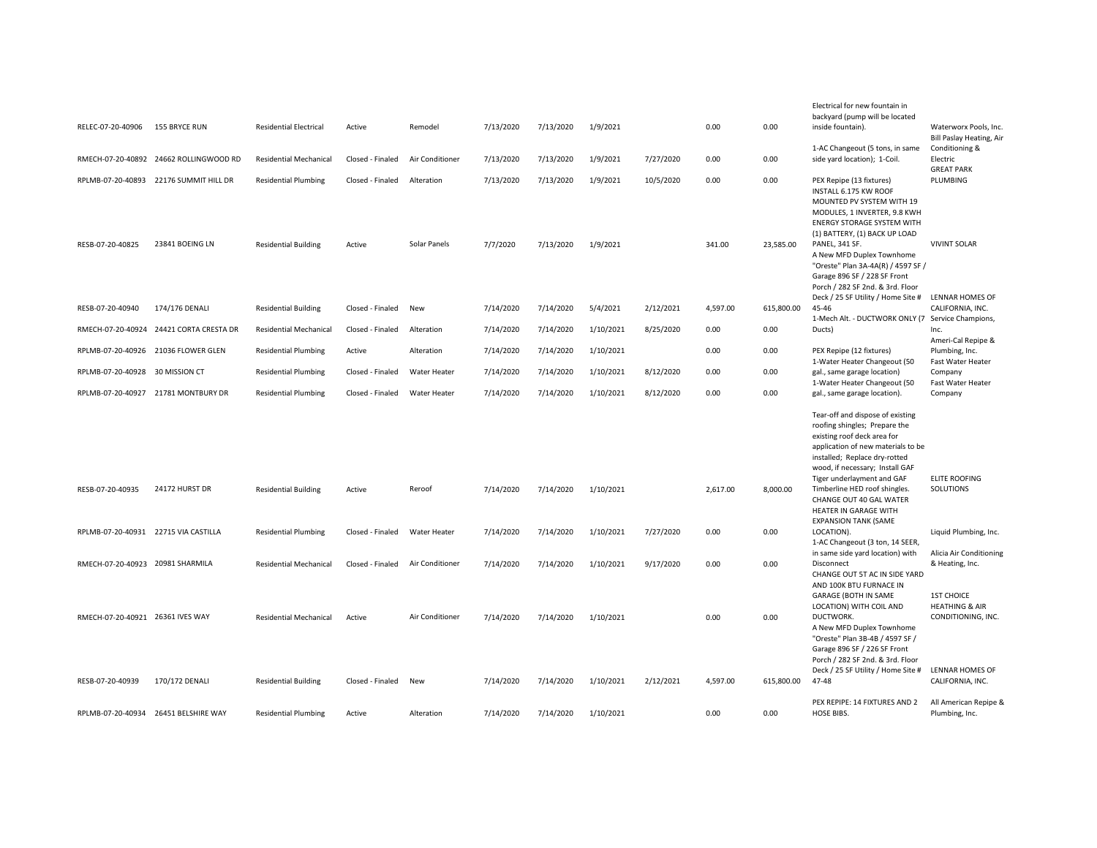|                   |                                         |                               |                  |                     |           |           |           |           |          |            | Electrical for new fountain in<br>backyard (pump will be located                                                                                                                                                                                                          |                                                                            |
|-------------------|-----------------------------------------|-------------------------------|------------------|---------------------|-----------|-----------|-----------|-----------|----------|------------|---------------------------------------------------------------------------------------------------------------------------------------------------------------------------------------------------------------------------------------------------------------------------|----------------------------------------------------------------------------|
| RELEC-07-20-40906 | 155 BRYCE RUN                           | <b>Residential Electrical</b> | Active           | Remodel             | 7/13/2020 | 7/13/2020 | 1/9/2021  |           | 0.00     | 0.00       | inside fountain).<br>1-AC Changeout (5 tons, in same                                                                                                                                                                                                                      | Waterworx Pools, Inc.<br><b>Bill Paslay Heating, Air</b><br>Conditioning & |
|                   | RMECH-07-20-40892 24662 ROLLINGWOOD RD  | <b>Residential Mechanical</b> | Closed - Finaled | Air Conditioner     | 7/13/2020 | 7/13/2020 | 1/9/2021  | 7/27/2020 | 0.00     | 0.00       | side yard location); 1-Coil.                                                                                                                                                                                                                                              | Electric<br><b>GREAT PARK</b>                                              |
|                   | RPLMB-07-20-40893 22176 SUMMIT HILL DR  | <b>Residential Plumbing</b>   | Closed - Finaled | Alteration          | 7/13/2020 | 7/13/2020 | 1/9/2021  | 10/5/2020 | 0.00     | 0.00       | PEX Repipe (13 fixtures)<br>INSTALL 6.175 KW ROOF                                                                                                                                                                                                                         | PLUMBING                                                                   |
|                   |                                         |                               |                  |                     |           |           |           |           |          |            | MOUNTED PV SYSTEM WITH 19<br>MODULES, 1 INVERTER, 9.8 KWH<br><b>ENERGY STORAGE SYSTEM WITH</b><br>(1) BATTERY, (1) BACK UP LOAD                                                                                                                                           |                                                                            |
| RESB-07-20-40825  | 23841 BOEING LN                         | <b>Residential Building</b>   | Active           | Solar Panels        | 7/7/2020  | 7/13/2020 | 1/9/2021  |           | 341.00   | 23,585.00  | PANEL, 341 SF.<br>A New MFD Duplex Townhome<br>"Oreste" Plan 3A-4A(R) / 4597 SF /<br>Garage 896 SF / 228 SF Front<br>Porch / 282 SF 2nd. & 3rd. Floor<br>Deck / 25 SF Utility / Home Site #                                                                               | <b>VIVINT SOLAR</b><br>LENNAR HOMES OF                                     |
| RESB-07-20-40940  | 174/176 DENALI                          | <b>Residential Building</b>   | Closed - Finaled | New                 | 7/14/2020 | 7/14/2020 | 5/4/2021  | 2/12/2021 | 4,597.00 | 615,800.00 | 45-46<br>1-Mech Alt. - DUCTWORK ONLY (7 Service Champions,                                                                                                                                                                                                                | CALIFORNIA. INC.                                                           |
|                   | RMECH-07-20-40924 24421 CORTA CRESTA DR | <b>Residential Mechanical</b> | Closed - Finaled | Alteration          | 7/14/2020 | 7/14/2020 | 1/10/2021 | 8/25/2020 | 0.00     | 0.00       | Ducts)                                                                                                                                                                                                                                                                    | Inc.<br>Ameri-Cal Repipe &                                                 |
|                   | RPLMB-07-20-40926 21036 FLOWER GLEN     | <b>Residential Plumbing</b>   | Active           | Alteration          | 7/14/2020 | 7/14/2020 | 1/10/2021 |           | 0.00     | 0.00       | PEX Repipe (12 fixtures)<br>1-Water Heater Changeout (50                                                                                                                                                                                                                  | Plumbing, Inc.<br>Fast Water Heater                                        |
|                   | RPLMB-07-20-40928 30 MISSION CT         | <b>Residential Plumbing</b>   | Closed - Finaled | <b>Water Heater</b> | 7/14/2020 | 7/14/2020 | 1/10/2021 | 8/12/2020 | 0.00     | 0.00       | gal., same garage location)<br>1-Water Heater Changeout (50                                                                                                                                                                                                               | Company<br>Fast Water Heater                                               |
|                   | RPLMB-07-20-40927 21781 MONTBURY DR     | <b>Residential Plumbing</b>   | Closed - Finaled | Water Heater        | 7/14/2020 | 7/14/2020 | 1/10/2021 | 8/12/2020 | 0.00     | 0.00       | gal., same garage location).                                                                                                                                                                                                                                              | Company                                                                    |
| RESB-07-20-40935  | 24172 HURST DR                          | <b>Residential Building</b>   | Active           | Reroof              | 7/14/2020 | 7/14/2020 | 1/10/2021 |           | 2,617.00 | 8,000.00   | Tear-off and dispose of existing<br>roofing shingles; Prepare the<br>existing roof deck area for<br>application of new materials to be<br>installed; Replace dry-rotted<br>wood, if necessary; Install GAF<br>Tiger underlayment and GAF<br>Timberline HED roof shingles. | <b>ELITE ROOFING</b><br>SOLUTIONS                                          |
|                   |                                         |                               |                  |                     |           |           |           |           |          |            | CHANGE OUT 40 GAL WATER<br>HEATER IN GARAGE WITH<br><b>EXPANSION TANK (SAME</b>                                                                                                                                                                                           |                                                                            |
|                   | RPLMB-07-20-40931 22715 VIA CASTILLA    | <b>Residential Plumbing</b>   | Closed - Finaled | Water Heater        | 7/14/2020 | 7/14/2020 | 1/10/2021 | 7/27/2020 | 0.00     | 0.00       | LOCATION).<br>1-AC Changeout (3 ton, 14 SEER,                                                                                                                                                                                                                             | Liquid Plumbing, Inc.                                                      |
|                   | RMECH-07-20-40923 20981 SHARMILA        | <b>Residential Mechanical</b> | Closed - Finaled | Air Conditioner     | 7/14/2020 | 7/14/2020 | 1/10/2021 | 9/17/2020 | 0.00     | 0.00       | in same side yard location) with<br>Disconnect<br>CHANGE OUT 5T AC IN SIDE YARD<br>AND 100K BTU FURNACE IN                                                                                                                                                                | Alicia Air Conditioning<br>& Heating, Inc.                                 |
|                   | RMECH-07-20-40921 26361 IVES WAY        | <b>Residential Mechanical</b> | Active           | Air Conditioner     | 7/14/2020 | 7/14/2020 | 1/10/2021 |           | 0.00     | 0.00       | <b>GARAGE (BOTH IN SAME</b><br>LOCATION) WITH COIL AND<br>DUCTWORK.<br>A New MFD Duplex Townhome<br>"Oreste" Plan 3B-4B / 4597 SF /<br>Garage 896 SF / 226 SF Front<br>Porch / 282 SF 2nd. & 3rd. Floor                                                                   | <b>1ST CHOICE</b><br><b>HEATHING &amp; AIR</b><br>CONDITIONING, INC.       |
| RESB-07-20-40939  | 170/172 DENALI                          | <b>Residential Building</b>   | Closed - Finaled | New                 | 7/14/2020 | 7/14/2020 | 1/10/2021 | 2/12/2021 | 4,597.00 | 615,800.00 | Deck / 25 SF Utility / Home Site #<br>47-48                                                                                                                                                                                                                               | LENNAR HOMES OF<br>CALIFORNIA, INC.                                        |
|                   | RPLMB-07-20-40934 26451 BELSHIRE WAY    | <b>Residential Plumbing</b>   | Active           | Alteration          | 7/14/2020 | 7/14/2020 | 1/10/2021 |           | 0.00     | 0.00       | PEX REPIPE: 14 FIXTURES AND 2<br>HOSE BIBS.                                                                                                                                                                                                                               | All American Repipe &<br>Plumbing, Inc.                                    |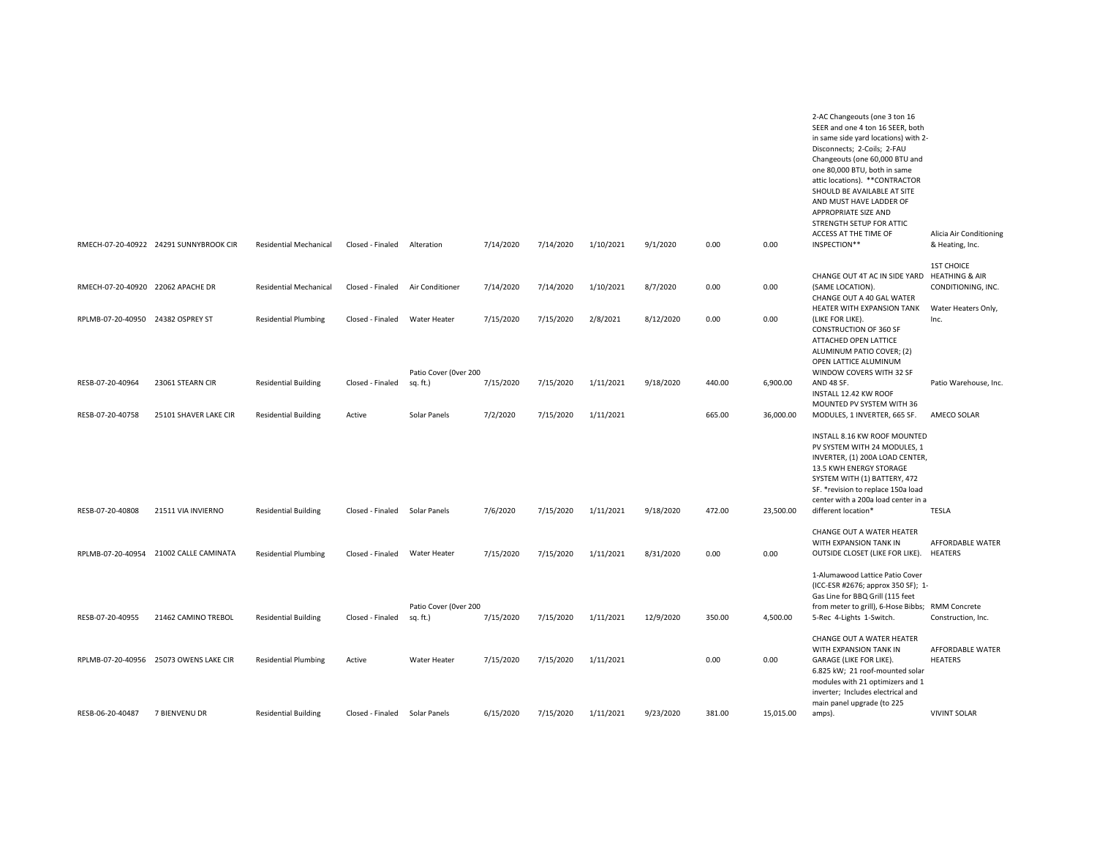|                                   | RMECH-07-20-40922 24291 SUNNYBROOK CIR | <b>Residential Mechanical</b> | Closed - Finaled              | Alteration                        | 7/14/2020 | 7/14/2020 | 1/10/2021 | 9/1/2020  | 0.00   | 0.00      | 2-AC Changeouts (one 3 ton 16<br>SEER and one 4 ton 16 SEER, both<br>in same side yard locations) with 2-<br>Disconnects; 2-Coils; 2-FAU<br>Changeouts (one 60,000 BTU and<br>one 80,000 BTU, both in same<br>attic locations). ** CONTRACTOR<br>SHOULD BE AVAILABLE AT SITE<br>AND MUST HAVE LADDER OF<br><b>APPROPRIATE SIZE AND</b><br>STRENGTH SETUP FOR ATTIC<br>ACCESS AT THE TIME OF<br>INSPECTION** | Alicia Air Conditioning<br>& Heating, Inc. |
|-----------------------------------|----------------------------------------|-------------------------------|-------------------------------|-----------------------------------|-----------|-----------|-----------|-----------|--------|-----------|-------------------------------------------------------------------------------------------------------------------------------------------------------------------------------------------------------------------------------------------------------------------------------------------------------------------------------------------------------------------------------------------------------------|--------------------------------------------|
|                                   |                                        |                               |                               |                                   |           |           |           |           |        |           |                                                                                                                                                                                                                                                                                                                                                                                                             | <b>1ST CHOICE</b>                          |
| RMECH-07-20-40920 22062 APACHE DR |                                        | <b>Residential Mechanical</b> | Closed - Finaled              | Air Conditioner                   | 7/14/2020 | 7/14/2020 | 1/10/2021 | 8/7/2020  | 0.00   | 0.00      | CHANGE OUT 4T AC IN SIDE YARD HEATHING & AIR<br>(SAME LOCATION).<br>CHANGE OUT A 40 GAL WATER<br>HEATER WITH EXPANSION TANK                                                                                                                                                                                                                                                                                 | CONDITIONING, INC.<br>Water Heaters Only,  |
| RPLMB-07-20-40950 24382 OSPREY ST |                                        | <b>Residential Plumbing</b>   | Closed - Finaled              | Water Heater                      | 7/15/2020 | 7/15/2020 | 2/8/2021  | 8/12/2020 | 0.00   | 0.00      | (LIKE FOR LIKE).<br><b>CONSTRUCTION OF 360 SF</b><br>ATTACHED OPEN LATTICE<br>ALUMINUM PATIO COVER; (2)<br>OPEN LATTICE ALUMINUM<br>WINDOW COVERS WITH 32 SF                                                                                                                                                                                                                                                | Inc.                                       |
| RESB-07-20-40964                  | 23061 STEARN CIR                       | <b>Residential Building</b>   | Closed - Finaled              | Patio Cover (Over 200<br>sq. ft.) | 7/15/2020 | 7/15/2020 | 1/11/2021 | 9/18/2020 | 440.00 | 6,900.00  | AND 48 SF.<br>INSTALL 12.42 KW ROOF                                                                                                                                                                                                                                                                                                                                                                         | Patio Warehouse, Inc.                      |
| RESB-07-20-40758                  | 25101 SHAVER LAKE CIR                  | <b>Residential Building</b>   | Active                        | Solar Panels                      | 7/2/2020  | 7/15/2020 | 1/11/2021 |           | 665.00 | 36,000.00 | MOUNTED PV SYSTEM WITH 36<br>MODULES, 1 INVERTER, 665 SF.                                                                                                                                                                                                                                                                                                                                                   | AMECO SOLAR                                |
| RESB-07-20-40808                  | 21511 VIA INVIERNO                     | <b>Residential Building</b>   | Closed - Finaled Solar Panels |                                   | 7/6/2020  | 7/15/2020 | 1/11/2021 | 9/18/2020 | 472.00 | 23,500.00 | INSTALL 8.16 KW ROOF MOUNTED<br>PV SYSTEM WITH 24 MODULES, 1<br>INVERTER, (1) 200A LOAD CENTER,<br>13.5 KWH ENERGY STORAGE<br>SYSTEM WITH (1) BATTERY, 472<br>SF. * revision to replace 150a load<br>center with a 200a load center in a<br>different location*                                                                                                                                             | <b>TESLA</b>                               |
|                                   |                                        |                               |                               |                                   |           |           |           |           |        |           |                                                                                                                                                                                                                                                                                                                                                                                                             |                                            |
|                                   | RPLMB-07-20-40954 21002 CALLE CAMINATA | <b>Residential Plumbing</b>   | Closed - Finaled              | Water Heater                      | 7/15/2020 | 7/15/2020 | 1/11/2021 | 8/31/2020 | 0.00   | 0.00      | CHANGE OUT A WATER HEATER<br>WITH EXPANSION TANK IN<br>OUTSIDE CLOSET (LIKE FOR LIKE).                                                                                                                                                                                                                                                                                                                      | AFFORDABLE WATER<br>HEATERS                |
| RESB-07-20-40955                  | 21462 CAMINO TREBOL                    | <b>Residential Building</b>   | Closed - Finaled              | Patio Cover (Over 200<br>sq. ft.) | 7/15/2020 | 7/15/2020 | 1/11/2021 | 12/9/2020 | 350.00 | 4,500.00  | 1-Alumawood Lattice Patio Cover<br>(ICC-ESR #2676; approx 350 SF); 1-<br>Gas Line for BBQ Grill (115 feet<br>from meter to grill), 6-Hose Bibbs; RMM Concrete<br>5-Rec 4-Lights 1-Switch.                                                                                                                                                                                                                   | Construction, Inc.                         |
|                                   | RPLMB-07-20-40956 25073 OWENS LAKE CIR | <b>Residential Plumbing</b>   | Active                        | Water Heater                      | 7/15/2020 | 7/15/2020 | 1/11/2021 |           | 0.00   | 0.00      | CHANGE OUT A WATER HEATER<br>WITH EXPANSION TANK IN<br>GARAGE (LIKE FOR LIKE).<br>6.825 kW; 21 roof-mounted solar<br>modules with 21 optimizers and 1<br>inverter; Includes electrical and<br>main panel upgrade (to 225                                                                                                                                                                                    | AFFORDABLE WATER<br><b>HEATERS</b>         |
| RESB-06-20-40487                  | 7 BIENVENU DR                          | <b>Residential Building</b>   | Closed - Finaled Solar Panels |                                   | 6/15/2020 | 7/15/2020 | 1/11/2021 | 9/23/2020 | 381.00 | 15,015.00 | amps).                                                                                                                                                                                                                                                                                                                                                                                                      | <b>VIVINT SOLAR</b>                        |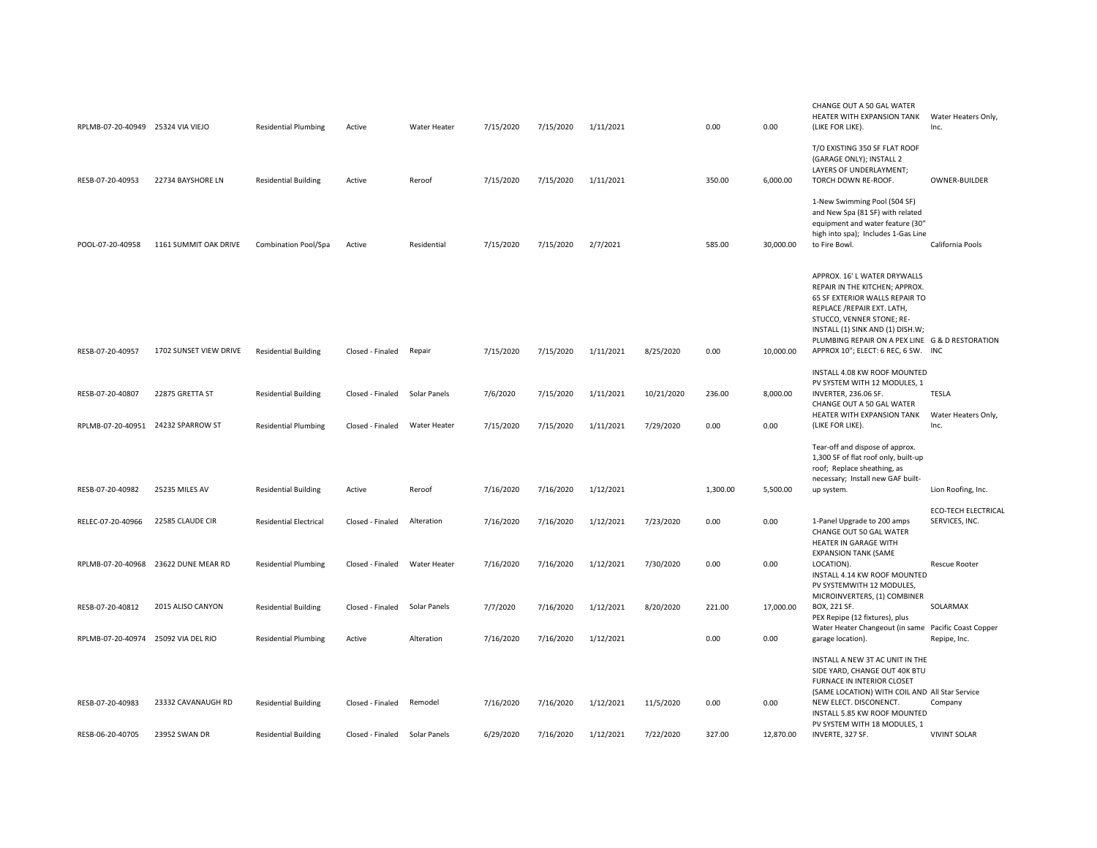| RPLMB-07-20-40949 25324 VIA VIEJO |                                    | <b>Residential Plumbing</b>   | Active           | Water Heater | 7/15/2020 | 7/15/2020 | 1/11/2021 |            | 0.00     | 0.00      | CHANGE OUT A 50 GAL WATER<br>HEATER WITH EXPANSION TANK<br>(LIKE FOR LIKE).                                                                                                                                                                                                                | Water Heaters Only,<br>Inc.                  |
|-----------------------------------|------------------------------------|-------------------------------|------------------|--------------|-----------|-----------|-----------|------------|----------|-----------|--------------------------------------------------------------------------------------------------------------------------------------------------------------------------------------------------------------------------------------------------------------------------------------------|----------------------------------------------|
| RESB-07-20-40953                  | 22734 BAYSHORE LN                  | <b>Residential Building</b>   | Active           | Reroof       | 7/15/2020 | 7/15/2020 | 1/11/2021 |            | 350.00   | 6,000.00  | T/O EXISTING 350 SF FLAT ROOF<br>(GARAGE ONLY); INSTALL 2<br>LAYERS OF UNDERLAYMENT;<br>TORCH DOWN RE-ROOF.                                                                                                                                                                                | OWNER-BUILDER                                |
| POOL-07-20-40958                  | 1161 SUMMIT OAK DRIVE              | Combination Pool/Spa          | Active           | Residential  | 7/15/2020 | 7/15/2020 | 2/7/2021  |            | 585.00   | 30,000.00 | 1-New Swimming Pool (504 SF)<br>and New Spa (81 SF) with related<br>equipment and water feature (30"<br>high into spa); Includes 1-Gas Line<br>to Fire Bowl.                                                                                                                               | California Pools                             |
| RESB-07-20-40957                  | 1702 SUNSET VIEW DRIVE             | <b>Residential Building</b>   | Closed - Finaled | Repair       | 7/15/2020 | 7/15/2020 | 1/11/2021 | 8/25/2020  | 0.00     | 10,000.00 | APPROX. 16' L WATER DRYWALLS<br>REPAIR IN THE KITCHEN; APPROX.<br>65 SF EXTERIOR WALLS REPAIR TO<br>REPLACE / REPAIR EXT. LATH,<br>STUCCO, VENNER STONE; RE-<br>INSTALL (1) SINK AND (1) DISH.W;<br>PLUMBING REPAIR ON A PEX LINE G & D RESTORATION<br>APPROX 10"; ELECT: 6 REC, 6 SW. INC |                                              |
|                                   |                                    |                               |                  |              |           |           |           |            |          |           | INSTALL 4.08 KW ROOF MOUNTED                                                                                                                                                                                                                                                               |                                              |
| RESB-07-20-40807                  | 22875 GRETTA ST                    | <b>Residential Building</b>   | Closed - Finaled | Solar Panels | 7/6/2020  | 7/15/2020 | 1/11/2021 | 10/21/2020 | 236.00   | 8,000.00  | PV SYSTEM WITH 12 MODULES, 1<br>INVERTER, 236.06 SF.<br>CHANGE OUT A 50 GAL WATER                                                                                                                                                                                                          | <b>TESLA</b>                                 |
|                                   | RPLMB-07-20-40951 24232 SPARROW ST | <b>Residential Plumbing</b>   | Closed - Finaled | Water Heater | 7/15/2020 | 7/15/2020 | 1/11/2021 | 7/29/2020  | 0.00     | 0.00      | HEATER WITH EXPANSION TANK<br>(LIKE FOR LIKE).                                                                                                                                                                                                                                             | Water Heaters Only,<br>Inc.                  |
|                                   |                                    |                               |                  |              |           |           |           |            |          |           | Tear-off and dispose of approx.<br>1,300 SF of flat roof only, built-up<br>roof; Replace sheathing, as<br>necessary; Install new GAF built-                                                                                                                                                |                                              |
| RESB-07-20-40982                  | 25235 MILES AV                     | <b>Residential Building</b>   | Active           | Reroof       | 7/16/2020 | 7/16/2020 | 1/12/2021 |            | 1,300.00 | 5,500.00  | up system.                                                                                                                                                                                                                                                                                 | Lion Roofing, Inc.                           |
| RELEC-07-20-40966                 | 22585 CLAUDE CIR                   | <b>Residential Electrical</b> | Closed - Finaled | Alteration   | 7/16/2020 | 7/16/2020 | 1/12/2021 | 7/23/2020  | 0.00     | 0.00      | 1-Panel Upgrade to 200 amps<br>CHANGE OUT 50 GAL WATER<br>HEATER IN GARAGE WITH<br><b>EXPANSION TANK (SAME</b>                                                                                                                                                                             | <b>ECO-TECH ELECTRICAL</b><br>SERVICES, INC. |
| RPLMB-07-20-40968                 | 23622 DUNE MEAR RD                 | <b>Residential Plumbing</b>   | Closed - Finaled | Water Heater | 7/16/2020 | 7/16/2020 | 1/12/2021 | 7/30/2020  | 0.00     | 0.00      | LOCATION).<br>INSTALL 4.14 KW ROOF MOUNTED<br>PV SYSTEMWITH 12 MODULES,                                                                                                                                                                                                                    | <b>Rescue Rooter</b>                         |
| RESB-07-20-40812                  | 2015 ALISO CANYON                  | <b>Residential Building</b>   | Closed - Finaled | Solar Panels | 7/7/2020  | 7/16/2020 | 1/12/2021 | 8/20/2020  | 221.00   | 17,000.00 | MICROINVERTERS, (1) COMBINER<br>BOX, 221 SF.<br>PEX Repipe (12 fixtures), plus                                                                                                                                                                                                             | SOLARMAX                                     |
| RPLMB-07-20-40974                 | 25092 VIA DEL RIO                  | <b>Residential Plumbing</b>   | Active           | Alteration   | 7/16/2020 | 7/16/2020 | 1/12/2021 |            | 0.00     | 0.00      | Water Heater Changeout (in same<br>garage location).                                                                                                                                                                                                                                       | Pacific Coast Copper<br>Repipe, Inc.         |
|                                   |                                    |                               |                  |              |           |           |           |            |          |           | INSTALL A NEW 3T AC UNIT IN THE<br>SIDE YARD, CHANGE OUT 40K BTU<br>FURNACE IN INTERIOR CLOSET<br>(SAME LOCATION) WITH COIL AND All Star Service                                                                                                                                           |                                              |
| RESB-07-20-40983                  | 23332 CAVANAUGH RD                 | <b>Residential Building</b>   | Closed - Finaled | Remodel      | 7/16/2020 | 7/16/2020 | 1/12/2021 | 11/5/2020  | 0.00     | 0.00      | NEW ELECT. DISCONENCT.<br>INSTALL 5.85 KW ROOF MOUNTED                                                                                                                                                                                                                                     | Company                                      |
| RESB-06-20-40705                  | 23952 SWAN DR                      | <b>Residential Building</b>   | Closed - Finaled | Solar Panels | 6/29/2020 | 7/16/2020 | 1/12/2021 | 7/22/2020  | 327.00   | 12.870.00 | PV SYSTEM WITH 18 MODULES, 1<br>INVERTE, 327 SF.                                                                                                                                                                                                                                           | <b>VIVINT SOLAR</b>                          |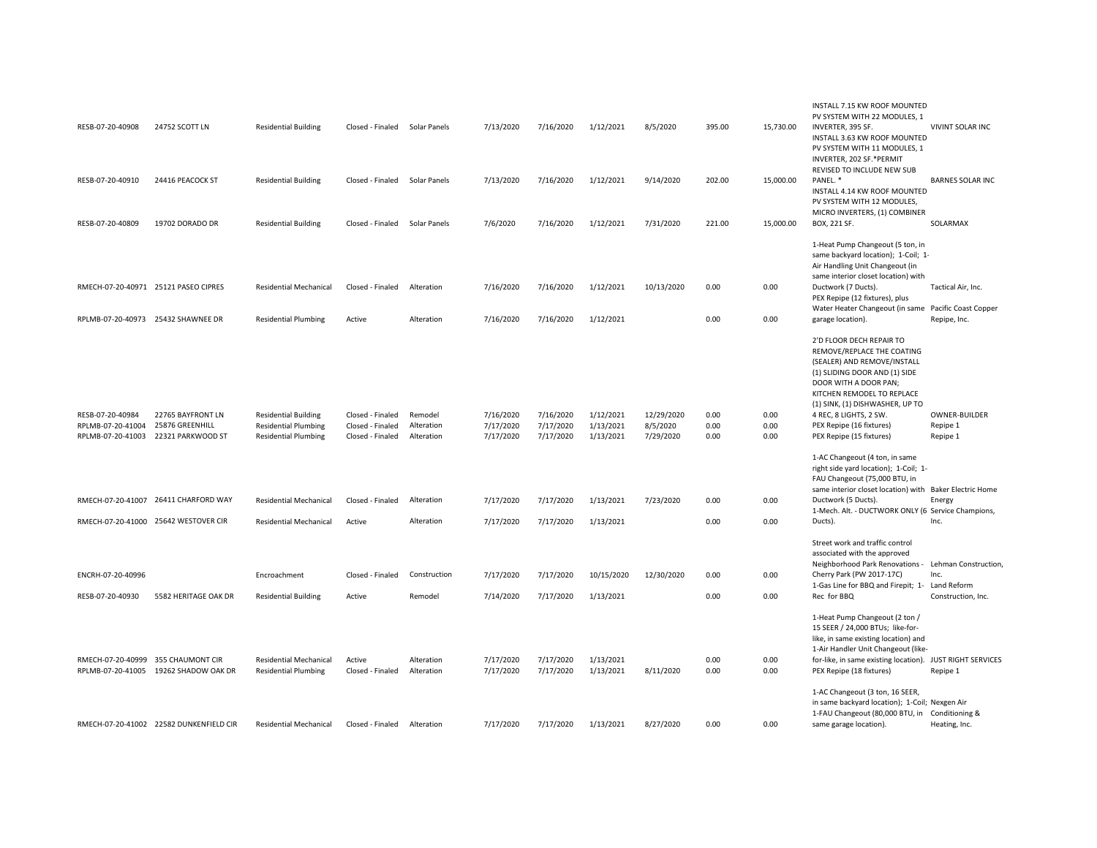| RESB-07-20-40908                      | 24752 SCOTT LN                                            | <b>Residential Building</b>                                  | Closed - Finaled                     | Solar Panels             | 7/13/2020              | 7/16/2020              | 1/12/2021              | 8/5/2020               | 395.00       | 15,730.00    | INSTALL 7.15 KW ROOF MOUNTED<br>PV SYSTEM WITH 22 MODULES, 1<br>INVERTER, 395 SF.<br>INSTALL 3.63 KW ROOF MOUNTED<br>PV SYSTEM WITH 11 MODULES, 1<br>INVERTER, 202 SF.*PERMIT                                                              | VIVINT SOLAR INC          |
|---------------------------------------|-----------------------------------------------------------|--------------------------------------------------------------|--------------------------------------|--------------------------|------------------------|------------------------|------------------------|------------------------|--------------|--------------|--------------------------------------------------------------------------------------------------------------------------------------------------------------------------------------------------------------------------------------------|---------------------------|
| RESB-07-20-40910                      | 24416 PEACOCK ST                                          | <b>Residential Building</b>                                  | Closed - Finaled                     | Solar Panels             | 7/13/2020              | 7/16/2020              | 1/12/2021              | 9/14/2020              | 202.00       | 15,000.00    | REVISED TO INCLUDE NEW SUB<br>PANEL.*<br>INSTALL 4.14 KW ROOF MOUNTED<br>PV SYSTEM WITH 12 MODULES,<br>MICRO INVERTERS, (1) COMBINER                                                                                                       | <b>BARNES SOLAR INC</b>   |
| RESB-07-20-40809                      | 19702 DORADO DR                                           | <b>Residential Building</b>                                  | Closed - Finaled                     | Solar Panels             | 7/6/2020               | 7/16/2020              | 1/12/2021              | 7/31/2020              | 221.00       | 15,000.00    | BOX, 221 SF.                                                                                                                                                                                                                               | SOLARMAX                  |
| RMECH-07-20-40971 25121 PASEO CIPRES  |                                                           | <b>Residential Mechanical</b>                                | Closed - Finaled                     | Alteration               | 7/16/2020              | 7/16/2020              | 1/12/2021              | 10/13/2020             | 0.00         | 0.00         | 1-Heat Pump Changeout (5 ton, in<br>same backyard location); 1-Coil; 1-<br>Air Handling Unit Changeout (in<br>same interior closet location) with<br>Ductwork (7 Ducts).                                                                   | Tactical Air, Inc.        |
|                                       |                                                           |                                                              |                                      |                          |                        |                        |                        |                        |              |              | PEX Repipe (12 fixtures), plus                                                                                                                                                                                                             |                           |
| RPLMB-07-20-40973 25432 SHAWNEE DR    |                                                           | <b>Residential Plumbing</b>                                  | Active                               | Alteration               | 7/16/2020              | 7/16/2020              | 1/12/2021              |                        | 0.00         | 0.00         | Water Heater Changeout (in same Pacific Coast Copper<br>garage location).                                                                                                                                                                  | Repipe, Inc.              |
|                                       |                                                           |                                                              |                                      |                          |                        |                        |                        |                        |              |              | 2'D FLOOR DECH REPAIR TO<br>REMOVE/REPLACE THE COATING<br>(SEALER) AND REMOVE/INSTALL<br>(1) SLIDING DOOR AND (1) SIDE<br>DOOR WITH A DOOR PAN;<br>KITCHEN REMODEL TO REPLACE<br>(1) SINK, (1) DISHWASHER, UP TO                           |                           |
| RESB-07-20-40984<br>RPLMB-07-20-41004 | 22765 BAYFRONT LN<br>25876 GREENHILL                      | <b>Residential Building</b><br><b>Residential Plumbing</b>   | Closed - Finaled<br>Closed - Finaled | Remodel<br>Alteration    | 7/16/2020<br>7/17/2020 | 7/16/2020<br>7/17/2020 | 1/12/2021<br>1/13/2021 | 12/29/2020<br>8/5/2020 | 0.00<br>0.00 | 0.00<br>0.00 | 4 REC, 8 LIGHTS, 2 SW.<br>PEX Repipe (16 fixtures)                                                                                                                                                                                         | OWNER-BUILDER<br>Repipe 1 |
| RPLMB-07-20-41003                     | 22321 PARKWOOD ST                                         | <b>Residential Plumbing</b>                                  | Closed - Finaled                     | Alteration               | 7/17/2020              | 7/17/2020              | 1/13/2021              | 7/29/2020              | 0.00         | 0.00         | PEX Repipe (15 fixtures)                                                                                                                                                                                                                   | Repipe 1                  |
|                                       | RMECH-07-20-41007 26411 CHARFORD WAY                      | <b>Residential Mechanical</b>                                | Closed - Finaled                     | Alteration               | 7/17/2020              | 7/17/2020              | 1/13/2021              | 7/23/2020              | 0.00         | 0.00         | 1-AC Changeout (4 ton, in same<br>right side yard location); 1-Coil; 1-<br>FAU Changeout (75,000 BTU, in<br>same interior closet location) with Baker Electric Home<br>Ductwork (5 Ducts).                                                 | Energy                    |
| RMECH-07-20-41000 25642 WESTOVER CIR  |                                                           | <b>Residential Mechanical</b>                                | Active                               | Alteration               | 7/17/2020              | 7/17/2020              | 1/13/2021              |                        | 0.00         | 0.00         | 1-Mech. Alt. - DUCTWORK ONLY (6 Service Champions,<br>Ducts).                                                                                                                                                                              | Inc.                      |
|                                       |                                                           |                                                              |                                      |                          |                        |                        |                        |                        |              |              | Street work and traffic control<br>associated with the approved<br>Neighborhood Park Renovations - Lehman Construction,                                                                                                                    |                           |
| ENCRH-07-20-40996                     |                                                           | Encroachment                                                 | Closed - Finaled                     | Construction             | 7/17/2020              | 7/17/2020              | 10/15/2020             | 12/30/2020             | 0.00         | 0.00         | Cherry Park (PW 2017-17C)<br>1-Gas Line for BBQ and Firepit; 1- Land Reform                                                                                                                                                                | Inc.                      |
| RESB-07-20-40930                      | 5582 HERITAGE OAK DR                                      | <b>Residential Building</b>                                  | Active                               | Remodel                  | 7/14/2020              | 7/17/2020              | 1/13/2021              |                        | 0.00         | 0.00         | Rec for BBQ                                                                                                                                                                                                                                | Construction, Inc.        |
| RMECH-07-20-40999                     | 355 CHAUMONT CIR<br>RPLMB-07-20-41005 19262 SHADOW OAK DR | <b>Residential Mechanical</b><br><b>Residential Plumbing</b> | Active<br>Closed - Finaled           | Alteration<br>Alteration | 7/17/2020<br>7/17/2020 | 7/17/2020<br>7/17/2020 | 1/13/2021<br>1/13/2021 | 8/11/2020              | 0.00<br>0.00 | 0.00<br>0.00 | 1-Heat Pump Changeout (2 ton /<br>15 SEER / 24,000 BTUs; like-for-<br>like, in same existing location) and<br>1-Air Handler Unit Changeout (like-<br>for-like, in same existing location). JUST RIGHT SERVICES<br>PEX Repipe (18 fixtures) | Repipe 1                  |
|                                       | RMECH-07-20-41002 22582 DUNKENFIELD CIR                   | <b>Residential Mechanical</b>                                | Closed - Finaled                     | Alteration               | 7/17/2020              | 7/17/2020              | 1/13/2021              | 8/27/2020              | 0.00         | 0.00         | 1-AC Changeout (3 ton, 16 SEER,<br>in same backyard location); 1-Coil; Nexgen Air<br>1-FAU Changeout (80,000 BTU, in Conditioning &<br>same garage location).                                                                              | Heating, Inc.             |
|                                       |                                                           |                                                              |                                      |                          |                        |                        |                        |                        |              |              |                                                                                                                                                                                                                                            |                           |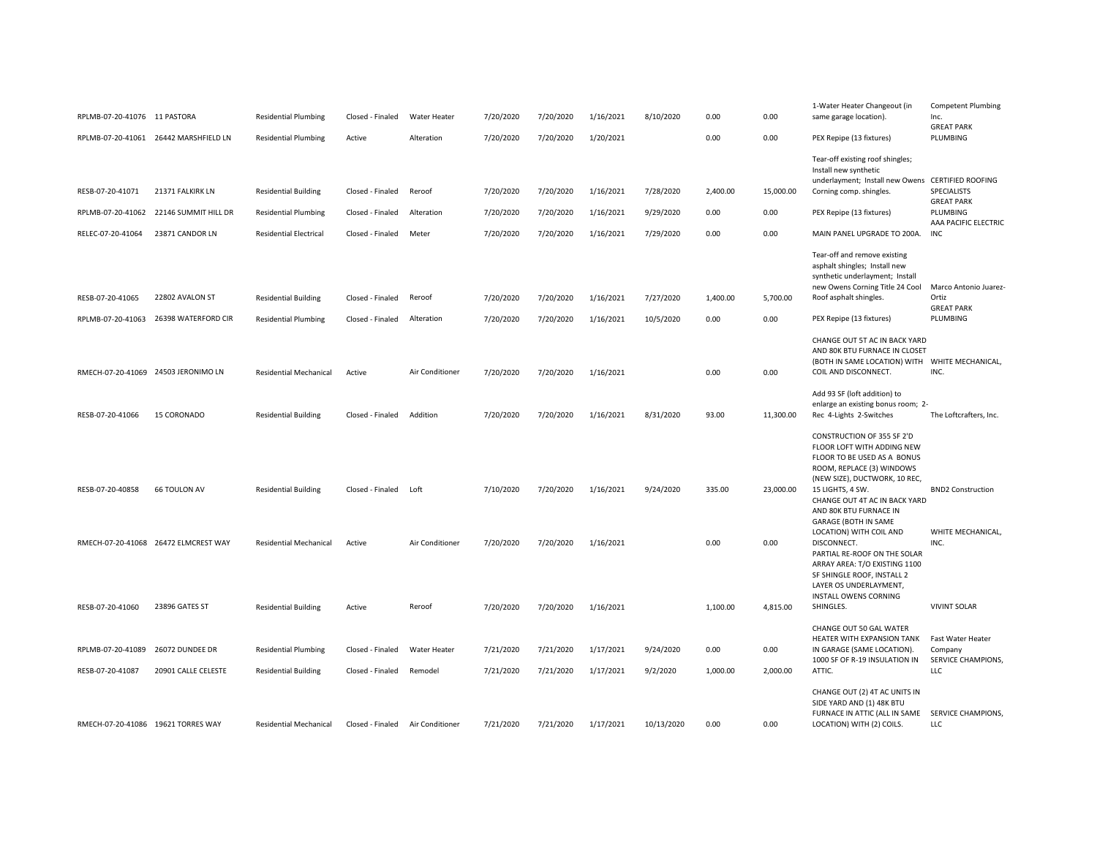| RPLMB-07-20-41076 11 PASTORA          |                                          | <b>Residential Plumbing</b>                                  | Closed - Finaled                     | Water Heater            | 7/20/2020              | 7/20/2020              | 1/16/2021              | 8/10/2020              | 0.00             | 0.00              | 1-Water Heater Changeout (in<br>same garage location).                                                                                                                                                                               | <b>Competent Plumbing</b><br>Inc.<br><b>GREAT PARK</b>    |
|---------------------------------------|------------------------------------------|--------------------------------------------------------------|--------------------------------------|-------------------------|------------------------|------------------------|------------------------|------------------------|------------------|-------------------|--------------------------------------------------------------------------------------------------------------------------------------------------------------------------------------------------------------------------------------|-----------------------------------------------------------|
|                                       | RPLMB-07-20-41061 26442 MARSHFIELD LN    | <b>Residential Plumbing</b>                                  | Active                               | Alteration              | 7/20/2020              | 7/20/2020              | 1/20/2021              |                        | 0.00             | 0.00              | PEX Repipe (13 fixtures)                                                                                                                                                                                                             | PLUMBING                                                  |
| RESB-07-20-41071<br>RPLMB-07-20-41062 | 21371 FALKIRK LN<br>22146 SUMMIT HILL DR | <b>Residential Building</b><br><b>Residential Plumbing</b>   | Closed - Finaled<br>Closed - Finaled | Reroof<br>Alteration    | 7/20/2020<br>7/20/2020 | 7/20/2020<br>7/20/2020 | 1/16/2021<br>1/16/2021 | 7/28/2020<br>9/29/2020 | 2,400.00<br>0.00 | 15,000.00<br>0.00 | Tear-off existing roof shingles;<br>Install new synthetic<br>underlayment; Install new Owens CERTIFIED ROOFING<br>Corning comp. shingles.<br>PEX Repipe (13 fixtures)                                                                | <b>SPECIALISTS</b><br><b>GREAT PARK</b><br>PLUMBING       |
|                                       |                                          |                                                              |                                      |                         |                        |                        |                        |                        |                  |                   |                                                                                                                                                                                                                                      | AAA PACIFIC ELECTRIC                                      |
| RELEC-07-20-41064<br>RESB-07-20-41065 | 23871 CANDOR LN<br>22802 AVALON ST       | <b>Residential Electrical</b><br><b>Residential Building</b> | Closed - Finaled<br>Closed - Finaled | Meter<br>Reroof         | 7/20/2020<br>7/20/2020 | 7/20/2020<br>7/20/2020 | 1/16/2021<br>1/16/2021 | 7/29/2020<br>7/27/2020 | 0.00<br>1,400.00 | 0.00<br>5,700.00  | MAIN PANEL UPGRADE TO 200A.<br>Tear-off and remove existing<br>asphalt shingles; Install new<br>synthetic underlayment; Install<br>new Owens Corning Title 24 Cool<br>Roof asphalt shingles.                                         | <b>INC</b><br>Marco Antonio Juarez-<br>Ortiz              |
| RPLMB-07-20-41063                     | 26398 WATERFORD CIR                      | <b>Residential Plumbing</b>                                  | Closed - Finaled                     | Alteration              | 7/20/2020              | 7/20/2020              | 1/16/2021              | 10/5/2020              | 0.00             | 0.00              | PEX Repipe (13 fixtures)                                                                                                                                                                                                             | <b>GREAT PARK</b><br>PLUMBING                             |
| RMECH-07-20-41069 24503 JERONIMO LN   |                                          | <b>Residential Mechanical</b>                                | Active                               | Air Conditioner         | 7/20/2020              | 7/20/2020              | 1/16/2021              |                        | 0.00             | 0.00              | CHANGE OUT 5T AC IN BACK YARD<br>AND 80K BTU FURNACE IN CLOSET<br>(BOTH IN SAME LOCATION) WITH WHITE MECHANICAL,<br>COIL AND DISCONNECT.<br>Add 93 SF (loft addition) to                                                             | INC.                                                      |
| RESB-07-20-41066                      | 15 CORONADO                              | <b>Residential Building</b>                                  | Closed - Finaled                     | Addition                | 7/20/2020              | 7/20/2020              | 1/16/2021              | 8/31/2020              | 93.00            | 11,300.00         | enlarge an existing bonus room; 2-<br>Rec 4-Lights 2-Switches                                                                                                                                                                        | The Loftcrafters, Inc.                                    |
| RESB-07-20-40858                      | <b>66 TOULON AV</b>                      | <b>Residential Building</b>                                  | Closed - Finaled                     | Loft                    | 7/10/2020              | 7/20/2020              | 1/16/2021              | 9/24/2020              | 335.00           | 23,000.00         | CONSTRUCTION OF 355 SF 2'D<br>FLOOR LOFT WITH ADDING NEW<br>FLOOR TO BE USED AS A BONUS<br>ROOM, REPLACE (3) WINDOWS<br>(NEW SIZE), DUCTWORK, 10 REC,<br>15 LIGHTS, 4 SW.<br>CHANGE OUT 4T AC IN BACK YARD<br>AND 80K BTU FURNACE IN | <b>BND2 Construction</b>                                  |
|                                       | RMECH-07-20-41068 26472 ELMCREST WAY     | <b>Residential Mechanical</b>                                | Active                               | Air Conditioner         | 7/20/2020              | 7/20/2020              | 1/16/2021              |                        | 0.00             | 0.00              | <b>GARAGE (BOTH IN SAME</b><br>LOCATION) WITH COIL AND<br>DISCONNECT.<br>PARTIAL RE-ROOF ON THE SOLAR<br>ARRAY AREA: T/O EXISTING 1100<br>SF SHINGLE ROOF, INSTALL 2<br>LAYER OS UNDERLAYMENT,<br>INSTALL OWENS CORNING              | WHITE MECHANICAL.<br>INC.                                 |
| RESB-07-20-41060                      | 23896 GATES ST                           | <b>Residential Building</b>                                  | Active                               | Reroof                  | 7/20/2020              | 7/20/2020              | 1/16/2021              |                        | 1,100.00         | 4,815.00          | SHINGLES.                                                                                                                                                                                                                            | <b>VIVINT SOLAR</b>                                       |
| RPLMB-07-20-41089<br>RESB-07-20-41087 | 26072 DUNDEE DR<br>20901 CALLE CELESTE   | <b>Residential Plumbing</b><br><b>Residential Building</b>   | Closed - Finaled<br>Closed - Finaled | Water Heater<br>Remodel | 7/21/2020<br>7/21/2020 | 7/21/2020<br>7/21/2020 | 1/17/2021<br>1/17/2021 | 9/24/2020<br>9/2/2020  | 0.00<br>1,000.00 | 0.00<br>2,000.00  | CHANGE OUT 50 GAL WATER<br>HEATER WITH EXPANSION TANK<br>IN GARAGE (SAME LOCATION).<br>1000 SF OF R-19 INSULATION IN<br>ATTIC.                                                                                                       | Fast Water Heater<br>Company<br>SERVICE CHAMPIONS,<br>LLC |
| RMECH-07-20-41086 19621 TORRES WAY    |                                          | <b>Residential Mechanical</b>                                | Closed - Finaled                     | Air Conditioner         | 7/21/2020              | 7/21/2020              | 1/17/2021              | 10/13/2020             | 0.00             | 0.00              | CHANGE OUT (2) 4T AC UNITS IN<br>SIDE YARD AND (1) 48K BTU<br>FURNACE IN ATTIC (ALL IN SAME<br>LOCATION) WITH (2) COILS.                                                                                                             | SERVICE CHAMPIONS,<br><b>LLC</b>                          |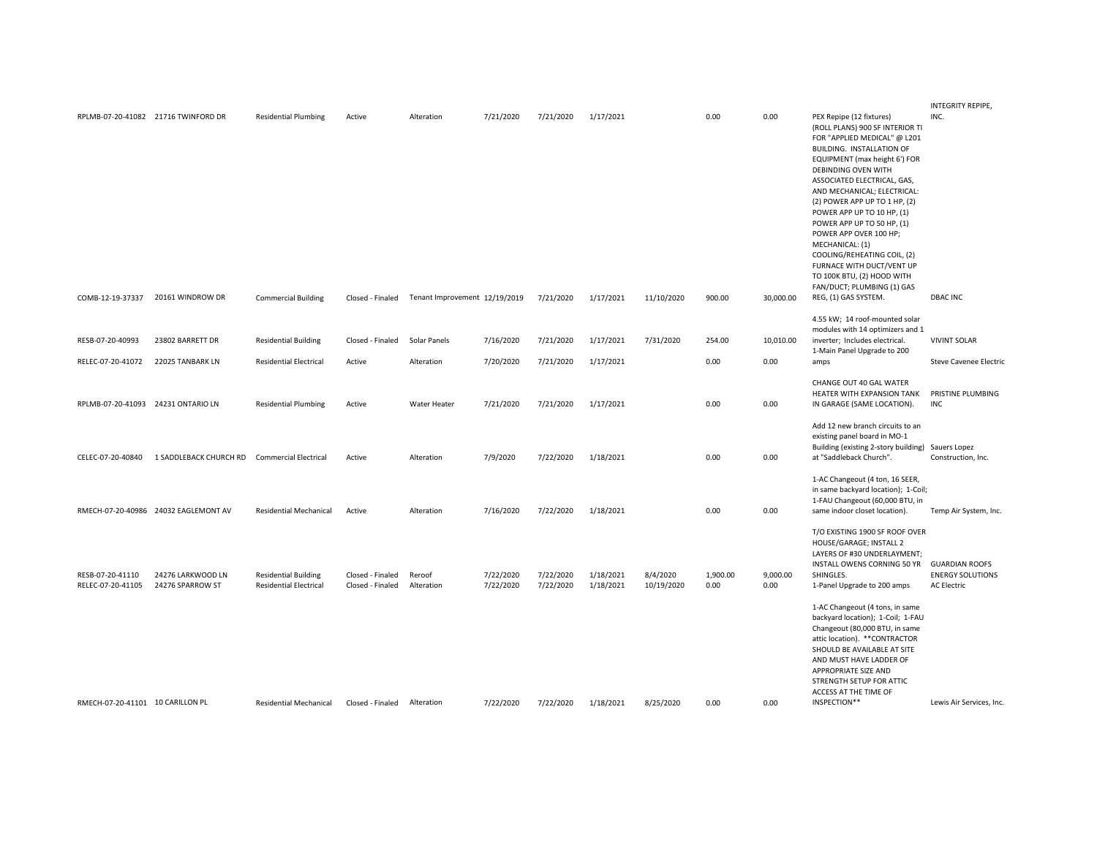|                                       |                                                                                                                                                                                            |                                              |                      |                        |                               |                        |                        |                  |                  |                                                                                                                                                                                                                                                                                                                                                                                                                                                                                    | INTEGRITY REPIPE,                                                                                                                                                                       |
|---------------------------------------|--------------------------------------------------------------------------------------------------------------------------------------------------------------------------------------------|----------------------------------------------|----------------------|------------------------|-------------------------------|------------------------|------------------------|------------------|------------------|------------------------------------------------------------------------------------------------------------------------------------------------------------------------------------------------------------------------------------------------------------------------------------------------------------------------------------------------------------------------------------------------------------------------------------------------------------------------------------|-----------------------------------------------------------------------------------------------------------------------------------------------------------------------------------------|
|                                       | <b>Residential Plumbing</b>                                                                                                                                                                | Active                                       | Alteration           | 7/21/2020              | 7/21/2020                     | 1/17/2021              |                        | 0.00             | 0.00             | PEX Repipe (12 fixtures)<br>(ROLL PLANS) 900 SF INTERIOR TI<br>FOR "APPLIED MEDICAL" @ L201<br>BUILDING. INSTALLATION OF<br>EQUIPMENT (max height 6') FOR<br>DEBINDING OVEN WITH<br>ASSOCIATED ELECTRICAL, GAS,<br>AND MECHANICAL; ELECTRICAL:<br>(2) POWER APP UP TO 1 HP, (2)<br>POWER APP UP TO 10 HP, (1)<br>POWER APP UP TO 50 HP, (1)<br>POWER APP OVER 100 HP;<br>MECHANICAL: (1)<br>COOLING/REHEATING COIL, (2)<br>FURNACE WITH DUCT/VENT UP<br>TO 100K BTU, (2) HOOD WITH | INC.                                                                                                                                                                                    |
|                                       | <b>Commercial Building</b>                                                                                                                                                                 | Closed - Finaled                             |                      |                        | 7/21/2020                     | 1/17/2021              | 11/10/2020             | 900.00           | 30,000.00        | REG, (1) GAS SYSTEM.                                                                                                                                                                                                                                                                                                                                                                                                                                                               | <b>DBAC INC</b>                                                                                                                                                                         |
| 23802 BARRETT DR                      | <b>Residential Building</b>                                                                                                                                                                | Closed - Finaled                             | Solar Panels         | 7/16/2020              | 7/21/2020                     | 1/17/2021              | 7/31/2020              | 254.00           | 10,010.00        | 4.55 kW; 14 roof-mounted solar<br>modules with 14 optimizers and 1<br>inverter; Includes electrical.                                                                                                                                                                                                                                                                                                                                                                               | <b>VIVINT SOLAR</b>                                                                                                                                                                     |
| 22025 TANBARK LN                      | <b>Residential Electrical</b>                                                                                                                                                              | Active                                       | Alteration           | 7/20/2020              | 7/21/2020                     | 1/17/2021              |                        | 0.00             | 0.00             | amps                                                                                                                                                                                                                                                                                                                                                                                                                                                                               | <b>Steve Cavenee Electric</b>                                                                                                                                                           |
|                                       | <b>Residential Plumbing</b>                                                                                                                                                                | Active                                       | Water Heater         | 7/21/2020              | 7/21/2020                     | 1/17/2021              |                        | 0.00             | 0.00             | CHANGE OUT 40 GAL WATER<br>HEATER WITH EXPANSION TANK<br>IN GARAGE (SAME LOCATION).                                                                                                                                                                                                                                                                                                                                                                                                | PRISTINE PLUMBING<br>INC                                                                                                                                                                |
|                                       |                                                                                                                                                                                            | Active                                       | Alteration           | 7/9/2020               | 7/22/2020                     | 1/18/2021              |                        | 0.00             | 0.00             | Add 12 new branch circuits to an<br>existing panel board in MO-1<br>at "Saddleback Church".                                                                                                                                                                                                                                                                                                                                                                                        | Construction, Inc.                                                                                                                                                                      |
|                                       | <b>Residential Mechanical</b>                                                                                                                                                              | Active                                       | Alteration           | 7/16/2020              | 7/22/2020                     | 1/18/2021              |                        | 0.00             | 0.00             | 1-AC Changeout (4 ton, 16 SEER,<br>1-FAU Changeout (60,000 BTU, in<br>same indoor closet location).                                                                                                                                                                                                                                                                                                                                                                                | Temp Air System, Inc.                                                                                                                                                                   |
| 24276 LARKWOOD LN<br>24276 SPARROW ST | <b>Residential Building</b><br><b>Residential Electrical</b>                                                                                                                               | Closed - Finaled<br>Closed - Finaled         | Reroof<br>Alteration | 7/22/2020<br>7/22/2020 | 7/22/2020<br>7/22/2020        | 1/18/2021<br>1/18/2021 | 8/4/2020<br>10/19/2020 | 1,900.00<br>0.00 | 9,000.00<br>0.00 | HOUSE/GARAGE; INSTALL 2<br>LAYERS OF #30 UNDERLAYMENT;<br>INSTALL OWENS CORNING 50 YR<br>SHINGLES.<br>1-Panel Upgrade to 200 amps                                                                                                                                                                                                                                                                                                                                                  | <b>GUARDIAN ROOFS</b><br><b>ENERGY SOLUTIONS</b><br><b>AC Electric</b>                                                                                                                  |
|                                       | Residential Mechanical                                                                                                                                                                     | Closed - Finaled                             | Alteration           | 7/22/2020              | 7/22/2020                     | 1/18/2021              | 8/25/2020              | 0.00             | 0.00             | 1-AC Changeout (4 tons, in same<br>backyard location); 1-Coil; 1-FAU<br>Changeout (80,000 BTU, in same<br>attic location). ** CONTRACTOR<br>SHOULD BE AVAILABLE AT SITE<br>AND MUST HAVE LADDER OF<br>APPROPRIATE SIZE AND<br>STRENGTH SETUP FOR ATTIC<br>ACCESS AT THE TIME OF<br>INSPECTION**                                                                                                                                                                                    | Lewis Air Services, Inc.                                                                                                                                                                |
|                                       | RPLMB-07-20-41082 21716 TWINFORD DR<br>COMB-12-19-37337 20161 WINDROW DR<br>RPLMB-07-20-41093 24231 ONTARIO LN<br>RMECH-07-20-40986 24032 EAGLEMONT AV<br>RMECH-07-20-41101 10 CARILLON PL | 1 SADDLEBACK CHURCH RD Commercial Electrical |                      |                        | Tenant Improvement 12/19/2019 |                        |                        |                  |                  |                                                                                                                                                                                                                                                                                                                                                                                                                                                                                    | FAN/DUCT; PLUMBING (1) GAS<br>1-Main Panel Upgrade to 200<br>Building (existing 2-story building) Sauers Lopez<br>in same backyard location); 1-Coil;<br>T/O EXISTING 1900 SF ROOF OVER |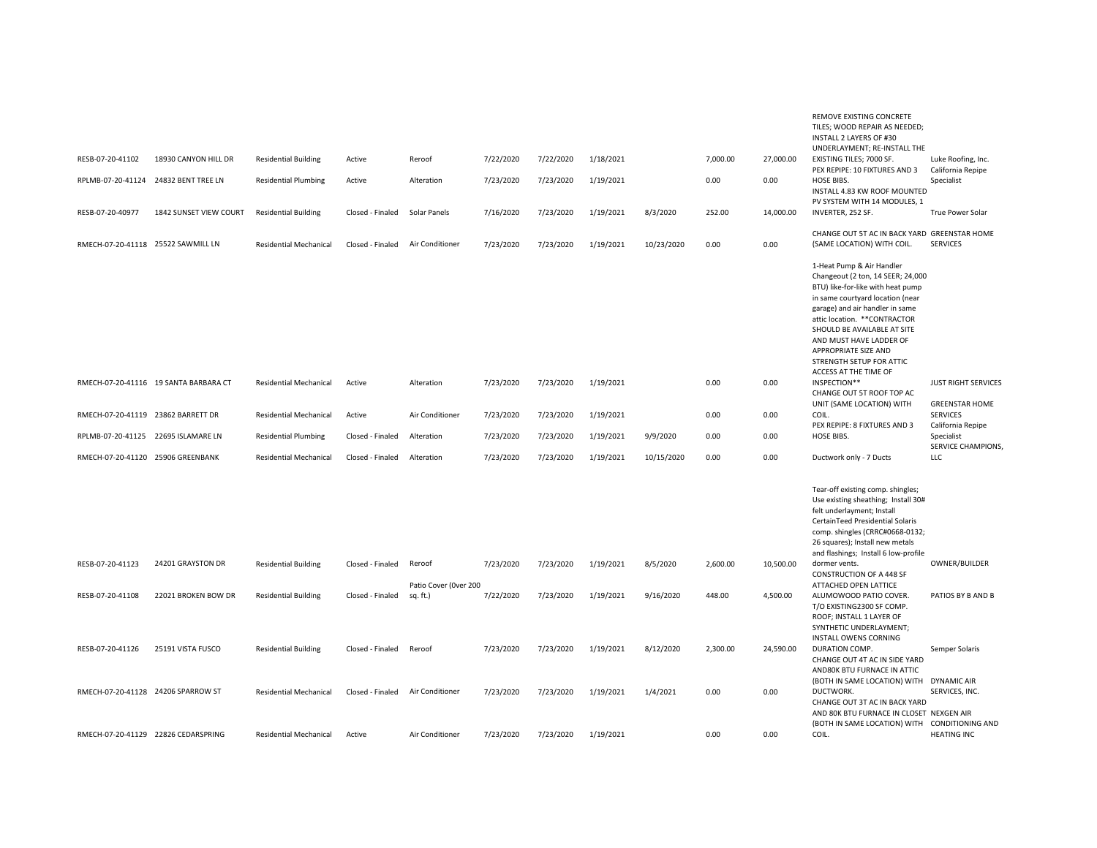|                  |                                       |                               |                  |                                   |           |           |           |            |          |           | REMOVE EXISTING CONCRETE<br>TILES; WOOD REPAIR AS NEEDED;<br><b>INSTALL 2 LAYERS OF #30</b><br>UNDERLAYMENT; RE-INSTALL THE                                                                                                                                                                                                                        |                                                       |
|------------------|---------------------------------------|-------------------------------|------------------|-----------------------------------|-----------|-----------|-----------|------------|----------|-----------|----------------------------------------------------------------------------------------------------------------------------------------------------------------------------------------------------------------------------------------------------------------------------------------------------------------------------------------------------|-------------------------------------------------------|
| RESB-07-20-41102 | 18930 CANYON HILL DR                  | <b>Residential Building</b>   | Active           | Reroof                            | 7/22/2020 | 7/22/2020 | 1/18/2021 |            | 7,000.00 | 27,000.00 | EXISTING TILES; 7000 SF.<br>PEX REPIPE: 10 FIXTURES AND 3                                                                                                                                                                                                                                                                                          | Luke Roofing, Inc.<br>California Repipe               |
|                  | RPLMB-07-20-41124 24832 BENT TREE LN  | <b>Residential Plumbing</b>   | Active           | Alteration                        | 7/23/2020 | 7/23/2020 | 1/19/2021 |            | 0.00     | 0.00      | HOSE BIBS.<br>INSTALL 4.83 KW ROOF MOUNTED<br>PV SYSTEM WITH 14 MODULES, 1                                                                                                                                                                                                                                                                         | Specialist                                            |
| RESB-07-20-40977 | 1842 SUNSET VIEW COURT                | <b>Residential Building</b>   | Closed - Finaled | Solar Panels                      | 7/16/2020 | 7/23/2020 | 1/19/2021 | 8/3/2020   | 252.00   | 14,000.00 | INVERTER, 252 SF.                                                                                                                                                                                                                                                                                                                                  | True Power Solar                                      |
|                  | RMECH-07-20-41118 25522 SAWMILL LN    | <b>Residential Mechanical</b> | Closed - Finaled | Air Conditioner                   | 7/23/2020 | 7/23/2020 | 1/19/2021 | 10/23/2020 | 0.00     | 0.00      | CHANGE OUT 5T AC IN BACK YARD GREENSTAR HOME<br>(SAME LOCATION) WITH COIL.                                                                                                                                                                                                                                                                         | <b>SERVICES</b>                                       |
|                  |                                       |                               |                  |                                   |           |           |           |            |          |           | 1-Heat Pump & Air Handler<br>Changeout (2 ton, 14 SEER; 24,000<br>BTU) like-for-like with heat pump<br>in same courtyard location (near<br>garage) and air handler in same<br>attic location. ** CONTRACTOR<br>SHOULD BE AVAILABLE AT SITE<br>AND MUST HAVE LADDER OF<br>APPROPRIATE SIZE AND<br>STRENGTH SETUP FOR ATTIC<br>ACCESS AT THE TIME OF |                                                       |
|                  | RMECH-07-20-41116 19 SANTA BARBARA CT | <b>Residential Mechanical</b> | Active           | Alteration                        | 7/23/2020 | 7/23/2020 | 1/19/2021 |            | 0.00     | 0.00      | INSPECTION**<br>CHANGE OUT 5T ROOF TOP AC                                                                                                                                                                                                                                                                                                          | <b>JUST RIGHT SERVICES</b>                            |
|                  | RMECH-07-20-41119 23862 BARRETT DR    | <b>Residential Mechanical</b> | Active           | Air Conditioner                   | 7/23/2020 | 7/23/2020 | 1/19/2021 |            | 0.00     | 0.00      | UNIT (SAME LOCATION) WITH<br>COIL.                                                                                                                                                                                                                                                                                                                 | <b>GREENSTAR HOME</b><br><b>SERVICES</b>              |
|                  | RPLMB-07-20-41125 22695 ISLAMARE LN   | <b>Residential Plumbing</b>   | Closed - Finaled | Alteration                        | 7/23/2020 | 7/23/2020 | 1/19/2021 | 9/9/2020   | 0.00     | 0.00      | PEX REPIPE: 8 FIXTURES AND 3<br>HOSE BIBS.                                                                                                                                                                                                                                                                                                         | California Repipe<br>Specialist<br>SERVICE CHAMPIONS, |
|                  | RMECH-07-20-41120 25906 GREENBANK     | <b>Residential Mechanical</b> | Closed - Finaled | Alteration                        | 7/23/2020 | 7/23/2020 | 1/19/2021 | 10/15/2020 | 0.00     | 0.00      | Ductwork only - 7 Ducts                                                                                                                                                                                                                                                                                                                            | LLC                                                   |
|                  |                                       |                               |                  |                                   |           |           |           |            |          |           | Tear-off existing comp. shingles;<br>Use existing sheathing; Install 30#<br>felt underlayment; Install<br>CertainTeed Presidential Solaris<br>comp. shingles (CRRC#0668-0132;<br>26 squares); Install new metals<br>and flashings; Install 6 low-profile                                                                                           |                                                       |
| RESB-07-20-41123 | 24201 GRAYSTON DR                     | <b>Residential Building</b>   | Closed - Finaled | Reroof                            | 7/23/2020 | 7/23/2020 | 1/19/2021 | 8/5/2020   | 2,600.00 | 10,500.00 | dormer vents.<br><b>CONSTRUCTION OF A 448 SF</b>                                                                                                                                                                                                                                                                                                   | OWNER/BUILDER                                         |
| RESB-07-20-41108 | 22021 BROKEN BOW DR                   | <b>Residential Building</b>   | Closed - Finaled | Patio Cover (Over 200<br>sq. ft.) | 7/22/2020 | 7/23/2020 | 1/19/2021 | 9/16/2020  | 448.00   | 4,500.00  | ATTACHED OPEN LATTICE<br>ALUMOWOOD PATIO COVER<br>T/O EXISTING2300 SF COMP.<br>ROOF; INSTALL 1 LAYER OF<br>SYNTHETIC UNDERLAYMENT;                                                                                                                                                                                                                 | PATIOS BY B AND B                                     |
| RESB-07-20-41126 | 25191 VISTA FUSCO                     | <b>Residential Building</b>   | Closed - Finaled | Reroof                            | 7/23/2020 | 7/23/2020 | 1/19/2021 | 8/12/2020  | 2,300.00 | 24,590.00 | <b>INSTALL OWENS CORNING</b><br>DURATION COMP.<br>CHANGE OUT 4T AC IN SIDE YARD<br>AND80K BTU FURNACE IN ATTIC                                                                                                                                                                                                                                     | Semper Solaris                                        |
|                  | RMECH-07-20-41128 24206 SPARROW ST    | <b>Residential Mechanical</b> | Closed - Finaled | Air Conditioner                   | 7/23/2020 | 7/23/2020 | 1/19/2021 | 1/4/2021   | 0.00     | 0.00      | (BOTH IN SAME LOCATION) WITH DYNAMIC AIR<br>DUCTWORK.<br>CHANGE OUT 3T AC IN BACK YARD<br>AND 80K BTU FURNACE IN CLOSET NEXGEN AIR                                                                                                                                                                                                                 | SERVICES, INC.                                        |
|                  | RMECH-07-20-41129 22826 CEDARSPRING   | <b>Residential Mechanical</b> | Active           | Air Conditioner                   | 7/23/2020 | 7/23/2020 | 1/19/2021 |            | 0.00     | 0.00      | (BOTH IN SAME LOCATION) WITH CONDITIONING AND<br>COIL.                                                                                                                                                                                                                                                                                             | <b>HEATING INC</b>                                    |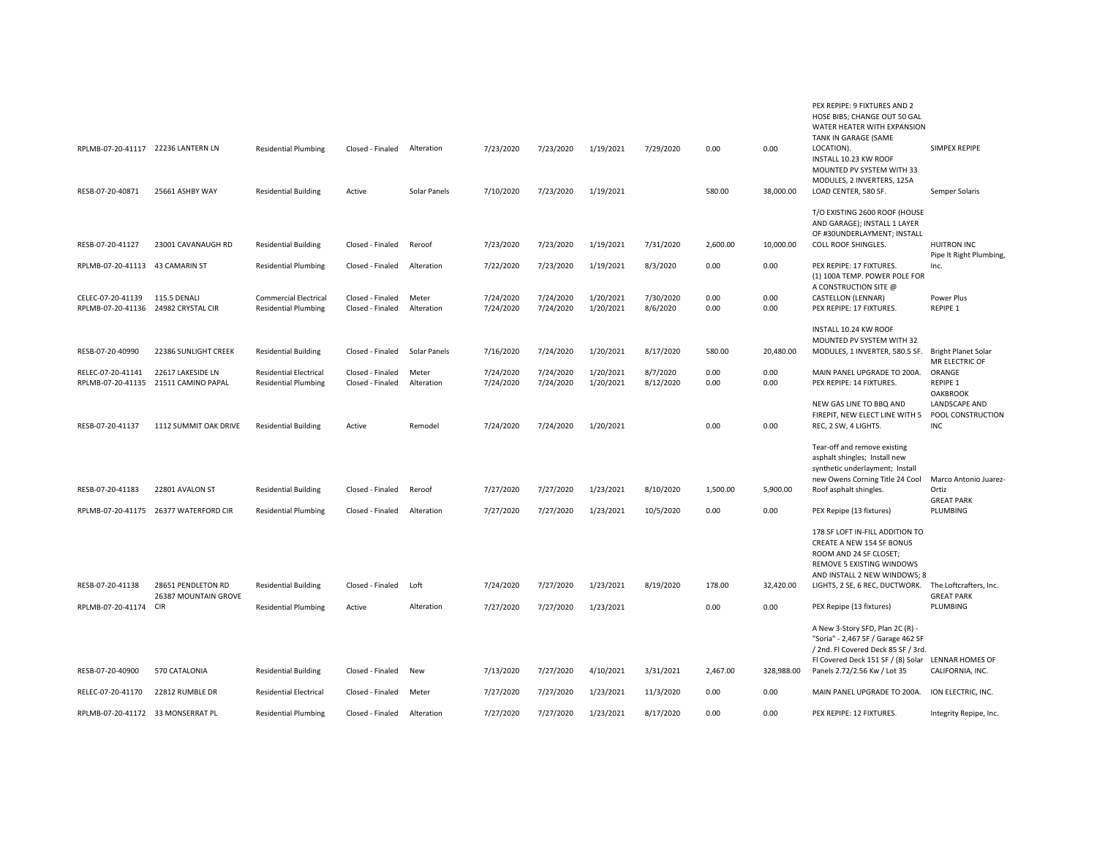|                                        |                                            |                                                             |                                      |                     |                        |                        |                        |                       |              |              | PEX REPIPE: 9 FIXTURES AND 2<br>HOSE BIBS: CHANGE OUT 50 GAL<br>WATER HEATER WITH EXPANSION<br>TANK IN GARAGE (SAME                                                 |                                              |
|----------------------------------------|--------------------------------------------|-------------------------------------------------------------|--------------------------------------|---------------------|------------------------|------------------------|------------------------|-----------------------|--------------|--------------|---------------------------------------------------------------------------------------------------------------------------------------------------------------------|----------------------------------------------|
| RPLMB-07-20-41117 22236 LANTERN LN     |                                            | <b>Residential Plumbing</b>                                 | Closed - Finaled                     | Alteration          | 7/23/2020              | 7/23/2020              | 1/19/2021              | 7/29/2020             | 0.00         | 0.00         | LOCATION).<br>INSTALL 10.23 KW ROOF<br>MOUNTED PV SYSTEM WITH 33<br>MODULES, 2 INVERTERS, 125A                                                                      | SIMPEX REPIPE                                |
| RESB-07-20-40871                       | 25661 ASHBY WAY                            | <b>Residential Building</b>                                 | Active                               | Solar Panels        | 7/10/2020              | 7/23/2020              | 1/19/2021              |                       | 580.00       | 38,000.00    | LOAD CENTER, 580 SF.                                                                                                                                                | Semper Solaris                               |
| RESB-07-20-41127                       | 23001 CAVANAUGH RD                         | <b>Residential Building</b>                                 | Closed - Finaled                     | Reroof              | 7/23/2020              | 7/23/2020              | 1/19/2021              | 7/31/2020             | 2,600.00     | 10,000.00    | T/O EXISTING 2600 ROOF (HOUSE<br>AND GARAGE); INSTALL 1 LAYER<br>OF #30UNDERLAYMENT; INSTALL<br><b>COLL ROOF SHINGLES.</b>                                          | <b>HUITRON INC</b>                           |
| RPLMB-07-20-41113                      | 43 CAMARIN ST                              |                                                             | Closed - Finaled                     | Alteration          | 7/22/2020              | 7/23/2020              | 1/19/2021              | 8/3/2020              | 0.00         | 0.00         | PEX REPIPE: 17 FIXTURES.                                                                                                                                            | Pipe It Right Plumbing,<br>Inc.              |
|                                        |                                            | <b>Residential Plumbing</b>                                 |                                      |                     |                        |                        |                        |                       |              |              | (1) 100A TEMP. POWER POLE FOR<br>A CONSTRUCTION SITE @                                                                                                              |                                              |
| CELEC-07-20-41139<br>RPLMB-07-20-41136 | 115.5 DENALI<br>24982 CRYSTAL CIR          | <b>Commercial Electrical</b><br><b>Residential Plumbing</b> | Closed - Finaled<br>Closed - Finaled | Meter<br>Alteration | 7/24/2020<br>7/24/2020 | 7/24/2020<br>7/24/2020 | 1/20/2021<br>1/20/2021 | 7/30/2020<br>8/6/2020 | 0.00<br>0.00 | 0.00<br>0.00 | <b>CASTELLON (LENNAR)</b><br>PEX REPIPE: 17 FIXTURES.                                                                                                               | Power Plus<br>REPIPE 1                       |
|                                        |                                            |                                                             |                                      |                     |                        |                        |                        |                       |              |              |                                                                                                                                                                     |                                              |
|                                        |                                            |                                                             |                                      |                     |                        |                        |                        |                       |              |              | INSTALL 10.24 KW ROOF<br>MOUNTED PV SYSTEM WITH 32                                                                                                                  |                                              |
| RESB-07-20-40990                       | 22386 SUNLIGHT CREEK                       | <b>Residential Building</b>                                 | Closed - Finaled                     | Solar Panels        | 7/16/2020              | 7/24/2020              | 1/20/2021              | 8/17/2020             | 580.00       | 20,480.00    | MODULES, 1 INVERTER, 580.5 SF.                                                                                                                                      | <b>Bright Planet Solar</b><br>MR ELECTRIC OF |
| RELEC-07-20-41141                      | 22617 LAKESIDE LN                          | <b>Residential Electrical</b>                               | Closed - Finaled                     | Meter               | 7/24/2020              | 7/24/2020              | 1/20/2021              | 8/7/2020              | 0.00         | 0.00         | MAIN PANEL UPGRADE TO 200A.                                                                                                                                         | ORANGE                                       |
| RPLMB-07-20-41135                      | 21511 CAMINO PAPAL                         | <b>Residential Plumbing</b>                                 | Closed - Finaled                     | Alteration          | 7/24/2020              | 7/24/2020              | 1/20/2021              | 8/12/2020             | 0.00         | 0.00         | PEX REPIPE: 14 FIXTURES.                                                                                                                                            | REPIPE 1<br><b>OAKBROOK</b>                  |
|                                        |                                            |                                                             |                                      |                     |                        |                        |                        |                       |              |              | NEW GAS LINE TO BBQ AND                                                                                                                                             | LANDSCAPE AND                                |
| RESB-07-20-41137                       | 1112 SUMMIT OAK DRIVE                      | <b>Residential Building</b>                                 | Active                               | Remodel             | 7/24/2020              | 7/24/2020              | 1/20/2021              |                       | 0.00         | 0.00         | FIREPIT, NEW ELECT LINE WITH 5<br>REC, 2 SW, 4 LIGHTS.                                                                                                              | POOL CONSTRUCTION<br>INC                     |
| RESB-07-20-41183                       | 22801 AVALON ST                            | <b>Residential Building</b>                                 | Closed - Finaled                     | Reroof              | 7/27/2020              | 7/27/2020              | 1/23/2021              | 8/10/2020             | 1,500.00     | 5,900.00     | Tear-off and remove existing<br>asphalt shingles; Install new<br>synthetic underlayment; Install<br>new Owens Corning Title 24 Cool<br>Roof asphalt shingles.       | Marco Antonio Juarez-<br>Ortiz               |
| RPLMB-07-20-41175                      | 26377 WATERFORD CIR                        | <b>Residential Plumbing</b>                                 | Closed - Finaled                     | Alteration          | 7/27/2020              | 7/27/2020              | 1/23/2021              | 10/5/2020             | 0.00         | 0.00         | PEX Repipe (13 fixtures)                                                                                                                                            | <b>GREAT PARK</b><br>PLUMBING                |
|                                        |                                            |                                                             |                                      |                     |                        |                        |                        |                       |              |              | 178 SF LOFT IN-FILL ADDITION TO<br>CREATE A NEW 154 SF BONUS<br>ROOM AND 24 SF CLOSET;<br>REMOVE 5 EXISTING WINDOWS<br>AND INSTALL 2 NEW WINDOWS; 8                 |                                              |
| RESB-07-20-41138                       | 28651 PENDLETON RD<br>26387 MOUNTAIN GROVE | <b>Residential Building</b>                                 | Closed - Finaled                     | Loft                | 7/24/2020              | 7/27/2020              | 1/23/2021              | 8/19/2020             | 178.00       | 32,420.00    | LIGHTS, 2 SE, 6 REC, DUCTWORK.                                                                                                                                      | The Loftcrafters, Inc.<br><b>GREAT PARK</b>  |
| RPLMB-07-20-41174                      | CIR                                        | <b>Residential Plumbing</b>                                 | Active                               | Alteration          | 7/27/2020              | 7/27/2020              | 1/23/2021              |                       | 0.00         | 0.00         | PEX Repipe (13 fixtures)                                                                                                                                            | PLUMBING                                     |
|                                        |                                            |                                                             |                                      |                     |                        |                        |                        |                       |              |              | A New 3-Story SFD, Plan 2C (R) -<br>"Soria" - 2,467 SF / Garage 462 SF<br>/ 2nd. Fl Covered Deck 85 SF / 3rd.<br>FI Covered Deck 151 SF / (8) Solar LENNAR HOMES OF |                                              |
| RESB-07-20-40900                       | 570 CATALONIA                              | <b>Residential Building</b>                                 | Closed - Finaled                     | New                 | 7/13/2020              | 7/27/2020              | 4/10/2021              | 3/31/2021             | 2,467.00     | 328,988.00   | Panels 2.72/2.56 Kw / Lot 35                                                                                                                                        | CALIFORNIA, INC.                             |
| RELEC-07-20-41170                      | 22812 RUMBLE DR                            | <b>Residential Electrical</b>                               | Closed - Finaled                     | Meter               | 7/27/2020              | 7/27/2020              | 1/23/2021              | 11/3/2020             | 0.00         | 0.00         | MAIN PANEL UPGRADE TO 200A.                                                                                                                                         | ION ELECTRIC, INC.                           |
| RPLMB-07-20-41172 33 MONSERRAT PL      |                                            | <b>Residential Plumbing</b>                                 | Closed - Finaled                     | Alteration          | 7/27/2020              | 7/27/2020              | 1/23/2021              | 8/17/2020             | 0.00         | 0.00         | PEX REPIPE: 12 FIXTURES.                                                                                                                                            | Integrity Repipe, Inc.                       |
|                                        |                                            |                                                             |                                      |                     |                        |                        |                        |                       |              |              |                                                                                                                                                                     |                                              |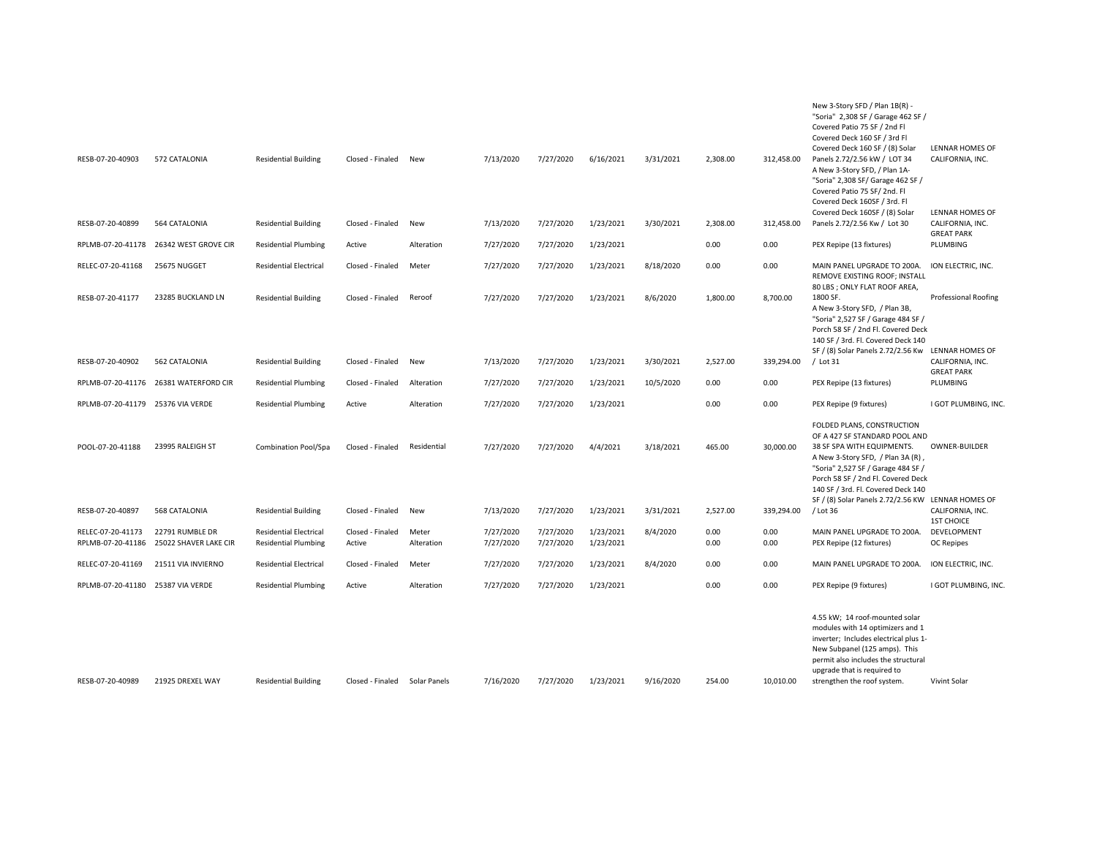| RESB-07-20-40903                       | 572 CATALONIA                            | <b>Residential Building</b>                                  | Closed - Finaled           | New                 | 7/13/2020              | 7/27/2020              | 6/16/2021              | 3/31/2021 | 2,308.00     | 312,458.00   | New 3-Story SFD / Plan 1B(R) -<br>"Soria" 2,308 SF / Garage 462 SF /<br>Covered Patio 75 SF / 2nd Fl<br>Covered Deck 160 SF / 3rd Fl<br>Covered Deck 160 SF / (8) Solar<br>Panels 2.72/2.56 kW / LOT 34<br>A New 3-Story SFD, / Plan 1A-<br>"Soria" 2,308 SF/ Garage 462 SF /<br>Covered Patio 75 SF/2nd. Fl<br>Covered Deck 160SF / 3rd. Fl | <b>LENNAR HOMES OF</b><br>CALIFORNIA, INC.     |
|----------------------------------------|------------------------------------------|--------------------------------------------------------------|----------------------------|---------------------|------------------------|------------------------|------------------------|-----------|--------------|--------------|----------------------------------------------------------------------------------------------------------------------------------------------------------------------------------------------------------------------------------------------------------------------------------------------------------------------------------------------|------------------------------------------------|
| RESB-07-20-40899                       | 564 CATALONIA                            | <b>Residential Building</b>                                  | Closed - Finaled           | New                 | 7/13/2020              | 7/27/2020              | 1/23/2021              | 3/30/2021 | 2,308.00     | 312,458.00   | Covered Deck 160SF / (8) Solar<br>Panels 2.72/2.56 Kw / Lot 30                                                                                                                                                                                                                                                                               | <b>LENNAR HOMES OF</b><br>CALIFORNIA, INC.     |
| RPLMB-07-20-41178                      | 26342 WEST GROVE CIR                     | <b>Residential Plumbing</b>                                  | Active                     | Alteration          | 7/27/2020              | 7/27/2020              | 1/23/2021              |           | 0.00         | 0.00         | PEX Repipe (13 fixtures)                                                                                                                                                                                                                                                                                                                     | <b>GREAT PARK</b><br>PLUMBING                  |
| RELEC-07-20-41168                      | 25675 NUGGET                             | <b>Residential Electrical</b>                                | Closed - Finaled           | Meter               | 7/27/2020              | 7/27/2020              | 1/23/2021              | 8/18/2020 | 0.00         | 0.00         | MAIN PANEL UPGRADE TO 200A.<br>REMOVE EXISTING ROOF; INSTALL                                                                                                                                                                                                                                                                                 | ION ELECTRIC, INC.                             |
| RESB-07-20-41177                       | 23285 BUCKLAND LN                        | <b>Residential Building</b>                                  | Closed - Finaled           | Reroof              | 7/27/2020              | 7/27/2020              | 1/23/2021              | 8/6/2020  | 1,800.00     | 8,700.00     | 80 LBS ; ONLY FLAT ROOF AREA,<br>1800 SF.<br>A New 3-Story SFD, / Plan 3B,<br>"Soria" 2,527 SF / Garage 484 SF /<br>Porch 58 SF / 2nd Fl. Covered Deck<br>140 SF / 3rd. Fl. Covered Deck 140                                                                                                                                                 | <b>Professional Roofing</b>                    |
| RESB-07-20-40902                       | 562 CATALONIA                            | <b>Residential Building</b>                                  | Closed - Finaled           | New                 | 7/13/2020              | 7/27/2020              | 1/23/2021              | 3/30/2021 | 2,527.00     | 339,294.00   | SF / (8) Solar Panels 2.72/2.56 Kw LENNAR HOMES OF<br>$/$ Lot 31                                                                                                                                                                                                                                                                             | CALIFORNIA, INC.                               |
| RPLMB-07-20-41176                      | 26381 WATERFORD CIR                      | <b>Residential Plumbing</b>                                  | Closed - Finaled           | Alteration          | 7/27/2020              | 7/27/2020              | 1/23/2021              | 10/5/2020 | 0.00         | 0.00         | PEX Repipe (13 fixtures)                                                                                                                                                                                                                                                                                                                     | <b>GREAT PARK</b><br>PLUMBING                  |
| RPLMB-07-20-41179 25376 VIA VERDE      |                                          | <b>Residential Plumbing</b>                                  | Active                     | Alteration          | 7/27/2020              | 7/27/2020              | 1/23/2021              |           | 0.00         | 0.00         | PEX Repipe (9 fixtures)                                                                                                                                                                                                                                                                                                                      | I GOT PLUMBING, INC                            |
| POOL-07-20-41188                       | 23995 RALEIGH ST                         | Combination Pool/Spa                                         | Closed - Finaled           | Residential         | 7/27/2020              | 7/27/2020              | 4/4/2021               | 3/18/2021 | 465.00       | 30,000.00    | FOLDED PLANS, CONSTRUCTION<br>OF A 427 SF STANDARD POOL AND<br>38 SF SPA WITH EQUIPMENTS.<br>A New 3-Story SFD, / Plan 3A (R),<br>"Soria" 2,527 SF / Garage 484 SF /<br>Porch 58 SF / 2nd Fl. Covered Deck<br>140 SF / 3rd. Fl. Covered Deck 140                                                                                             | OWNER-BUILDER                                  |
| RESB-07-20-40897                       | 568 CATALONIA                            | <b>Residential Building</b>                                  | Closed - Finaled           | New                 | 7/13/2020              | 7/27/2020              | 1/23/2021              | 3/31/2021 | 2,527.00     | 339,294.00   | SF / (8) Solar Panels 2.72/2.56 KW LENNAR HOMES OF<br>$/$ Lot 36                                                                                                                                                                                                                                                                             | CALIFORNIA, INC.                               |
| RELEC-07-20-41173<br>RPLMB-07-20-41186 | 22791 RUMBLE DR<br>25022 SHAVER LAKE CIR | <b>Residential Electrical</b><br><b>Residential Plumbing</b> | Closed - Finaled<br>Active | Meter<br>Alteration | 7/27/2020<br>7/27/2020 | 7/27/2020<br>7/27/2020 | 1/23/2021<br>1/23/2021 | 8/4/2020  | 0.00<br>0.00 | 0.00<br>0.00 | MAIN PANEL UPGRADE TO 200A.<br>PEX Repipe (12 fixtures)                                                                                                                                                                                                                                                                                      | <b>1ST CHOICE</b><br>DEVELOPMENT<br>OC Repipes |
| RELEC-07-20-41169                      | 21511 VIA INVIERNO                       | <b>Residential Electrical</b>                                | Closed - Finaled           | Meter               | 7/27/2020              | 7/27/2020              | 1/23/2021              | 8/4/2020  | 0.00         | 0.00         | MAIN PANEL UPGRADE TO 200A.                                                                                                                                                                                                                                                                                                                  | ION ELECTRIC, INC.                             |
| RPLMB-07-20-41180                      | 25387 VIA VERDE                          | <b>Residential Plumbing</b>                                  | Active                     | Alteration          | 7/27/2020              | 7/27/2020              | 1/23/2021              |           | 0.00         | 0.00         | PEX Repipe (9 fixtures)                                                                                                                                                                                                                                                                                                                      | I GOT PLUMBING, INC                            |
| RESB-07-20-40989                       | 21925 DREXEL WAY                         | <b>Residential Building</b>                                  | Closed - Finaled           | Solar Panels        | 7/16/2020              | 7/27/2020              | 1/23/2021              | 9/16/2020 | 254.00       | 10,010.00    | 4.55 kW; 14 roof-mounted solar<br>modules with 14 optimizers and 1<br>inverter; Includes electrical plus 1-<br>New Subpanel (125 amps). This<br>permit also includes the structural<br>upgrade that is required to<br>strengthen the roof system.                                                                                            | Vivint Solar                                   |
|                                        |                                          |                                                              |                            |                     |                        |                        |                        |           |              |              |                                                                                                                                                                                                                                                                                                                                              |                                                |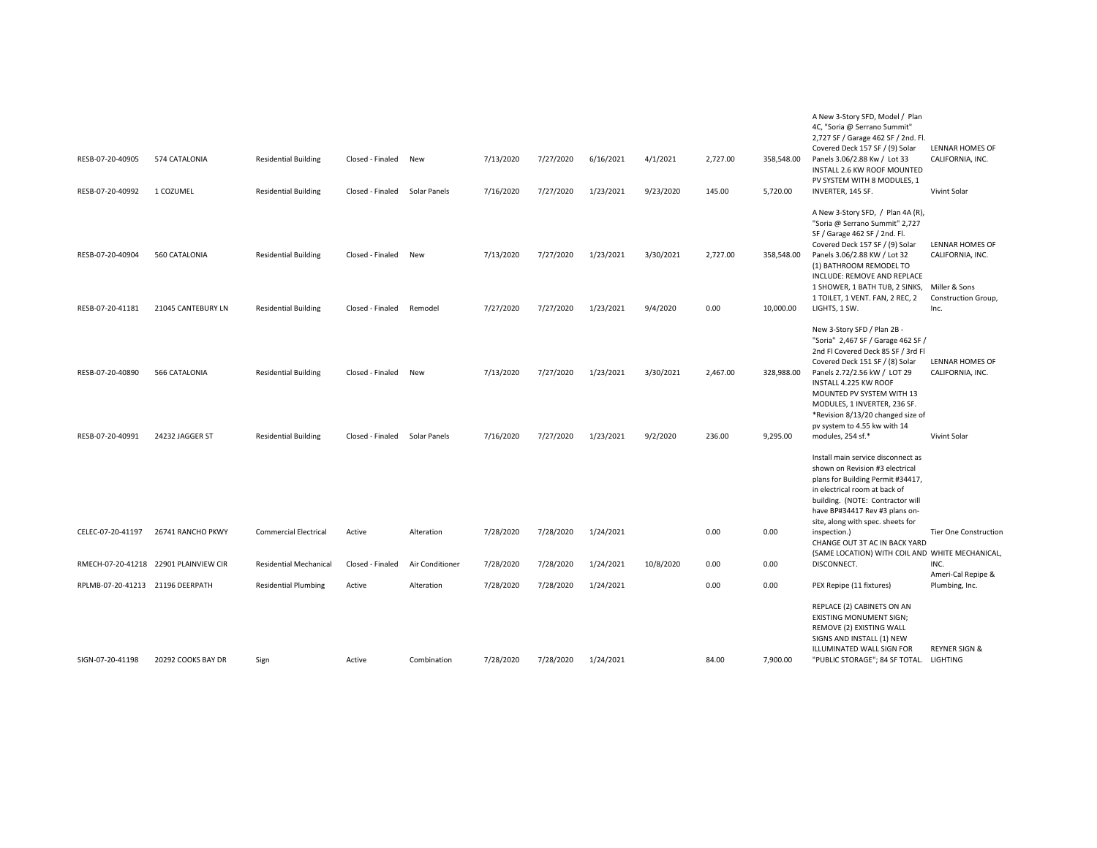| RESB-07-20-40905<br>RESB-07-20-40992 | 574 CATALONIA<br>1 COZUMEL            | <b>Residential Building</b><br><b>Residential Building</b> | Closed - Finaled<br>Closed - Finaled | New<br>Solar Panels | 7/13/2020<br>7/16/2020 | 7/27/2020<br>7/27/2020 | 6/16/2021<br>1/23/2021 | 4/1/2021<br>9/23/2020 | 2,727.00<br>145.00 | 358,548.00<br>5,720.00 | A New 3-Story SFD, Model / Plan<br>4C, "Soria @ Serrano Summit"<br>2,727 SF / Garage 462 SF / 2nd. Fl.<br>Covered Deck 157 SF / (9) Solar<br>Panels 3.06/2.88 Kw / Lot 33<br>INSTALL 2.6 KW ROOF MOUNTED<br>PV SYSTEM WITH 8 MODULES, 1<br>INVERTER, 145 SF.                                                                | LENNAR HOMES OF<br>CALIFORNIA, INC.<br>Vivint Solar        |
|--------------------------------------|---------------------------------------|------------------------------------------------------------|--------------------------------------|---------------------|------------------------|------------------------|------------------------|-----------------------|--------------------|------------------------|-----------------------------------------------------------------------------------------------------------------------------------------------------------------------------------------------------------------------------------------------------------------------------------------------------------------------------|------------------------------------------------------------|
| RESB-07-20-40904                     | 560 CATALONIA                         | <b>Residential Building</b>                                | Closed - Finaled                     | New                 | 7/13/2020              | 7/27/2020              | 1/23/2021              | 3/30/2021             | 2,727.00           | 358,548.00             | A New 3-Story SFD, / Plan 4A (R),<br>"Soria @ Serrano Summit" 2,727<br>SF / Garage 462 SF / 2nd. Fl.<br>Covered Deck 157 SF / (9) Solar<br>Panels 3.06/2.88 KW / Lot 32<br>(1) BATHROOM REMODEL TO<br>INCLUDE: REMOVE AND REPLACE<br>1 SHOWER, 1 BATH TUB, 2 SINKS, Miller & Sons<br>1 TOILET, 1 VENT. FAN, 2 REC, 2        | LENNAR HOMES OF<br>CALIFORNIA, INC.<br>Construction Group, |
| RESB-07-20-41181                     | 21045 CANTEBURY LN                    | <b>Residential Building</b>                                | Closed - Finaled                     | Remodel             | 7/27/2020              | 7/27/2020              | 1/23/2021              | 9/4/2020              | 0.00               | 10,000.00              | LIGHTS, 1 SW.<br>New 3-Story SFD / Plan 2B -                                                                                                                                                                                                                                                                                | Inc.                                                       |
| RESB-07-20-40890<br>RESB-07-20-40991 | 566 CATALONIA<br>24232 JAGGER ST      | <b>Residential Building</b><br><b>Residential Building</b> | Closed - Finaled<br>Closed - Finaled | New<br>Solar Panels | 7/13/2020<br>7/16/2020 | 7/27/2020<br>7/27/2020 | 1/23/2021<br>1/23/2021 | 3/30/2021<br>9/2/2020 | 2,467.00<br>236.00 | 328,988.00<br>9,295.00 | "Soria" 2,467 SF / Garage 462 SF /<br>2nd Fl Covered Deck 85 SF / 3rd Fl<br>Covered Deck 151 SF / (8) Solar<br>Panels 2.72/2.56 kW / LOT 29<br>INSTALL 4.225 KW ROOF<br>MOUNTED PV SYSTEM WITH 13<br>MODULES, 1 INVERTER, 236 SF.<br>*Revision 8/13/20 changed size of<br>pv system to 4.55 kw with 14<br>modules, 254 sf.* | LENNAR HOMES OF<br>CALIFORNIA, INC.<br>Vivint Solar        |
|                                      |                                       |                                                            |                                      |                     |                        |                        |                        |                       |                    |                        | Install main service disconnect as<br>shown on Revision #3 electrical<br>plans for Building Permit #34417,<br>in electrical room at back of<br>building. (NOTE: Contractor will<br>have BP#34417 Rev #3 plans on-<br>site, along with spec. sheets for                                                                      |                                                            |
| CELEC-07-20-41197                    | 26741 RANCHO PKWY                     | <b>Commercial Electrical</b>                               | Active                               | Alteration          | 7/28/2020              | 7/28/2020              | 1/24/2021              |                       | 0.00               | 0.00                   | inspection.)<br>CHANGE OUT 3T AC IN BACK YARD<br>(SAME LOCATION) WITH COIL AND WHITE MECHANICAL,                                                                                                                                                                                                                            | <b>Tier One Construction</b>                               |
|                                      | RMECH-07-20-41218 22901 PLAINVIEW CIR | <b>Residential Mechanical</b>                              | Closed - Finaled                     | Air Conditioner     | 7/28/2020              | 7/28/2020              | 1/24/2021              | 10/8/2020             | 0.00               | 0.00                   | DISCONNECT.                                                                                                                                                                                                                                                                                                                 | INC.<br>Ameri-Cal Repipe &                                 |
| RPLMB-07-20-41213 21196 DEERPATH     |                                       | <b>Residential Plumbing</b>                                | Active                               | Alteration          | 7/28/2020              | 7/28/2020              | 1/24/2021              |                       | 0.00               | 0.00                   | PEX Repipe (11 fixtures)                                                                                                                                                                                                                                                                                                    | Plumbing, Inc.                                             |
| SIGN-07-20-41198                     | 20292 COOKS BAY DR                    | Sign                                                       | Active                               | Combination         | 7/28/2020              | 7/28/2020              | 1/24/2021              |                       | 84.00              | 7,900.00               | REPLACE (2) CABINETS ON AN<br><b>EXISTING MONUMENT SIGN;</b><br>REMOVE (2) EXISTING WALL<br>SIGNS AND INSTALL (1) NEW<br>ILLUMINATED WALL SIGN FOR<br>"PUBLIC STORAGE"; 84 SF TOTAL. LIGHTING                                                                                                                               | <b>REYNER SIGN &amp;</b>                                   |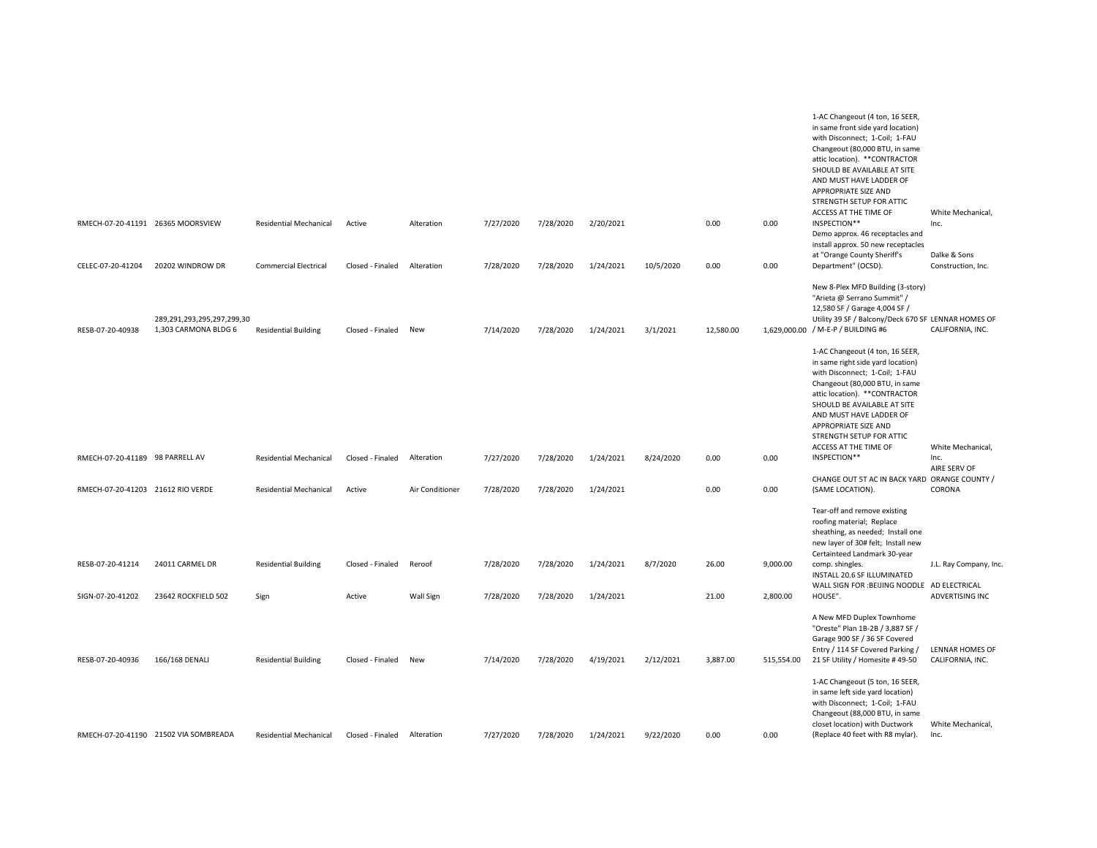|                                   |                                                    |                               |                  |                 |           |           |           |           |           |            | 1-AC Changeout (4 ton, 16 SEER,<br>in same front side yard location)<br>with Disconnect; 1-Coil; 1-FAU<br>Changeout (80,000 BTU, in same<br>attic location). ** CONTRACTOR<br>SHOULD BE AVAILABLE AT SITE<br>AND MUST HAVE LADDER OF<br>APPROPRIATE SIZE AND<br>STRENGTH SETUP FOR ATTIC                          |                                     |
|-----------------------------------|----------------------------------------------------|-------------------------------|------------------|-----------------|-----------|-----------|-----------|-----------|-----------|------------|-------------------------------------------------------------------------------------------------------------------------------------------------------------------------------------------------------------------------------------------------------------------------------------------------------------------|-------------------------------------|
|                                   | RMECH-07-20-41191 26365 MOORSVIEW                  | <b>Residential Mechanical</b> | Active           | Alteration      | 7/27/2020 | 7/28/2020 | 2/20/2021 |           | 0.00      | 0.00       | ACCESS AT THE TIME OF<br>INSPECTION**<br>Demo approx. 46 receptacles and<br>install approx. 50 new receptacles                                                                                                                                                                                                    | White Mechanical,<br>Inc.           |
| CELEC-07-20-41204                 | 20202 WINDROW DR                                   | <b>Commercial Electrical</b>  | Closed - Finaled | Alteration      | 7/28/2020 | 7/28/2020 | 1/24/2021 | 10/5/2020 | 0.00      | 0.00       | at "Orange County Sheriff's<br>Department" (OCSD).                                                                                                                                                                                                                                                                | Dalke & Sons<br>Construction, Inc.  |
| RESB-07-20-40938                  | 289,291,293,295,297,299,30<br>1,303 CARMONA BLDG 6 | <b>Residential Building</b>   | Closed - Finaled | New             | 7/14/2020 | 7/28/2020 | 1/24/2021 | 3/1/2021  | 12,580.00 |            | New 8-Plex MFD Building (3-story)<br>"Arieta @ Serrano Summit" /<br>12,580 SF / Garage 4,004 SF /<br>Utility 39 SF / Balcony/Deck 670 SF LENNAR HOMES OF<br>1,629,000.00 / M-E-P / BUILDING #6                                                                                                                    | CALIFORNIA, INC.                    |
|                                   |                                                    |                               |                  |                 |           |           |           |           |           |            | 1-AC Changeout (4 ton, 16 SEER,<br>in same right side yard location)<br>with Disconnect; 1-Coil; 1-FAU<br>Changeout (80,000 BTU, in same<br>attic location). ** CONTRACTOR<br>SHOULD BE AVAILABLE AT SITE<br>AND MUST HAVE LADDER OF<br>APPROPRIATE SIZE AND<br>STRENGTH SETUP FOR ATTIC<br>ACCESS AT THE TIME OF | White Mechanical,                   |
| RMECH-07-20-41189 98 PARRELL AV   |                                                    | <b>Residential Mechanical</b> | Closed - Finaled | Alteration      | 7/27/2020 | 7/28/2020 | 1/24/2021 | 8/24/2020 | 0.00      | 0.00       | INSPECTION**<br>CHANGE OUT 5T AC IN BACK YARD ORANGE COUNTY /                                                                                                                                                                                                                                                     | Inc.<br>AIRE SERV OF                |
| RMECH-07-20-41203 21612 RIO VERDE |                                                    | <b>Residential Mechanical</b> | Active           | Air Conditioner | 7/28/2020 | 7/28/2020 | 1/24/2021 |           | 0.00      | 0.00       | (SAME LOCATION).                                                                                                                                                                                                                                                                                                  | CORONA                              |
|                                   |                                                    |                               |                  |                 |           |           |           |           |           |            | Tear-off and remove existing<br>roofing material; Replace<br>sheathing, as needed; Install one<br>new layer of 30# felt; Install new<br>Certainteed Landmark 30-year                                                                                                                                              |                                     |
| RESB-07-20-41214                  | 24011 CARMEL DR                                    | <b>Residential Building</b>   | Closed - Finaled | Reroof          | 7/28/2020 | 7/28/2020 | 1/24/2021 | 8/7/2020  | 26.00     | 9,000.00   | comp. shingles.<br>INSTALL 20.6 SF ILLUMINATED<br>WALL SIGN FOR :BEIJING NOODLE AD ELECTRICAL                                                                                                                                                                                                                     | J.L. Ray Company, Inc.              |
| SIGN-07-20-41202                  | 23642 ROCKFIELD 502                                | Sign                          | Active           | Wall Sign       | 7/28/2020 | 7/28/2020 | 1/24/2021 |           | 21.00     | 2,800.00   | HOUSE".                                                                                                                                                                                                                                                                                                           | ADVERTISING INC                     |
| RESB-07-20-40936                  | 166/168 DENALI                                     | <b>Residential Building</b>   | Closed - Finaled | New             | 7/14/2020 | 7/28/2020 | 4/19/2021 | 2/12/2021 | 3,887.00  | 515,554.00 | A New MFD Duplex Townhome<br>"Oreste" Plan 1B-2B / 3,887 SF /<br>Garage 900 SF / 36 SF Covered<br>Entry / 114 SF Covered Parking /<br>21 SF Utility / Homesite #49-50<br>1-AC Changeout (5 ton, 16 SEER,                                                                                                          | LENNAR HOMES OF<br>CALIFORNIA, INC. |
|                                   | RMECH-07-20-41190 21502 VIA SOMBREADA              | <b>Residential Mechanical</b> | Closed - Finaled | Alteration      | 7/27/2020 | 7/28/2020 | 1/24/2021 | 9/22/2020 | 0.00      | 0.00       | in same left side yard location)<br>with Disconnect; 1-Coil; 1-FAU<br>Changeout (88,000 BTU, in same<br>closet location) with Ductwork<br>(Replace 40 feet with R8 mylar).                                                                                                                                        | White Mechanical,<br>Inc.           |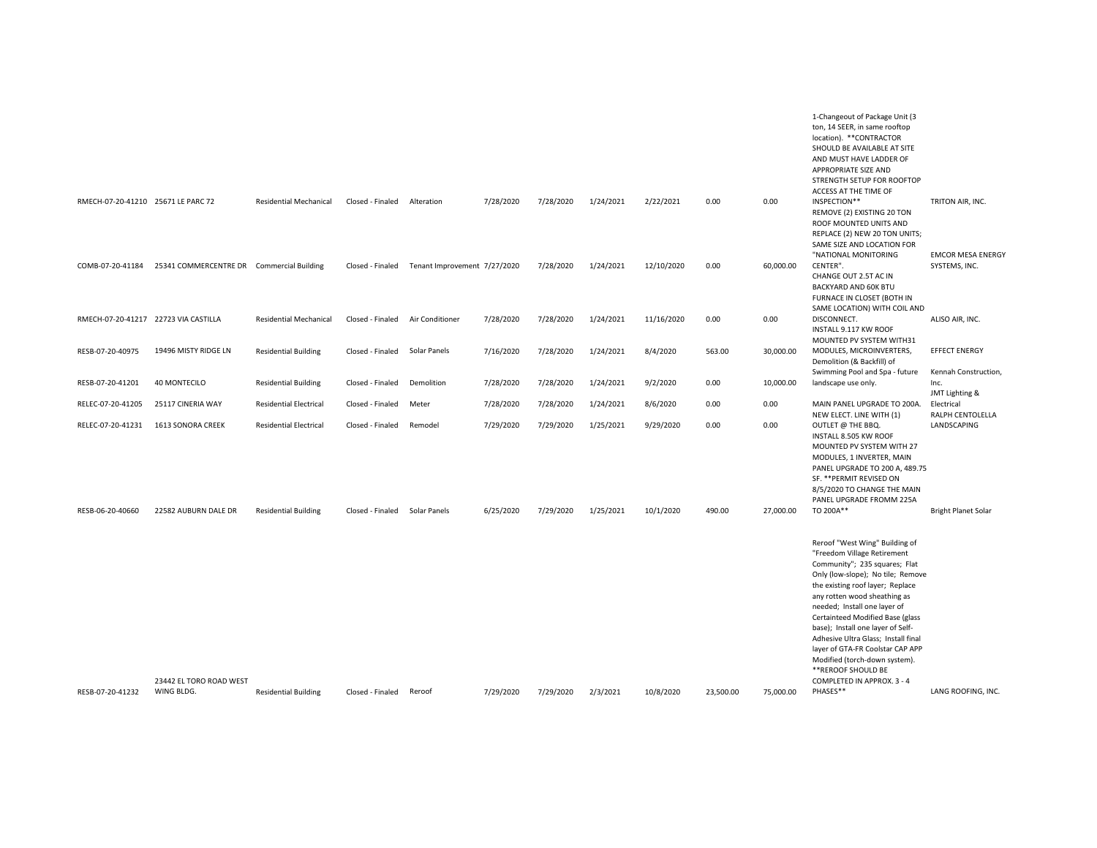|                                    |                                           |                               |                  |                              |           |           |           |            |           |           | 1-Changeout of Package Unit (3<br>ton, 14 SEER, in same rooftop<br>location). ** CONTRACTOR<br>SHOULD BE AVAILABLE AT SITE<br>AND MUST HAVE LADDER OF<br>APPROPRIATE SIZE AND<br>STRENGTH SETUP FOR ROOFTOP                                                                                                                                                                                                                                                                      |                                                |
|------------------------------------|-------------------------------------------|-------------------------------|------------------|------------------------------|-----------|-----------|-----------|------------|-----------|-----------|----------------------------------------------------------------------------------------------------------------------------------------------------------------------------------------------------------------------------------------------------------------------------------------------------------------------------------------------------------------------------------------------------------------------------------------------------------------------------------|------------------------------------------------|
| RMECH-07-20-41210 25671 LE PARC 72 |                                           | <b>Residential Mechanical</b> | Closed - Finaled | Alteration                   | 7/28/2020 | 7/28/2020 | 1/24/2021 | 2/22/2021  | 0.00      | 0.00      | ACCESS AT THE TIME OF<br>INSPECTION**<br>REMOVE (2) EXISTING 20 TON<br>ROOF MOUNTED UNITS AND<br>REPLACE (2) NEW 20 TON UNITS;<br>SAME SIZE AND LOCATION FOR                                                                                                                                                                                                                                                                                                                     | TRITON AIR, INC.                               |
| COMB-07-20-41184                   | 25341 COMMERCENTRE DR Commercial Building |                               | Closed - Finaled | Tenant Improvement 7/27/2020 |           | 7/28/2020 | 1/24/2021 | 12/10/2020 | 0.00      | 60,000.00 | "NATIONAL MONITORING<br>CENTER".<br>CHANGE OUT 2.5T AC IN<br>BACKYARD AND 60K BTU<br>FURNACE IN CLOSET (BOTH IN<br>SAME LOCATION) WITH COIL AND                                                                                                                                                                                                                                                                                                                                  | <b>EMCOR MESA ENERGY</b><br>SYSTEMS, INC.      |
|                                    | RMECH-07-20-41217 22723 VIA CASTILLA      | <b>Residential Mechanical</b> | Closed - Finaled | Air Conditioner              | 7/28/2020 | 7/28/2020 | 1/24/2021 | 11/16/2020 | 0.00      | 0.00      | DISCONNECT.<br>INSTALL 9.117 KW ROOF                                                                                                                                                                                                                                                                                                                                                                                                                                             | ALISO AIR, INC.                                |
| RESB-07-20-40975                   | 19496 MISTY RIDGE LN                      | <b>Residential Building</b>   | Closed - Finaled | Solar Panels                 | 7/16/2020 | 7/28/2020 | 1/24/2021 | 8/4/2020   | 563.00    | 30,000.00 | MOUNTED PV SYSTEM WITH31<br>MODULES, MICROINVERTERS,<br>Demolition (& Backfill) of                                                                                                                                                                                                                                                                                                                                                                                               | <b>EFFECT ENERGY</b>                           |
| RESB-07-20-41201                   | <b>40 MONTECILO</b>                       | <b>Residential Building</b>   | Closed - Finaled | Demolition                   | 7/28/2020 | 7/28/2020 | 1/24/2021 | 9/2/2020   | 0.00      | 10,000.00 | Swimming Pool and Spa - future<br>landscape use only.                                                                                                                                                                                                                                                                                                                                                                                                                            | Kennah Construction,<br>Inc.<br>JMT Lighting & |
| RELEC-07-20-41205                  | 25117 CINERIA WAY                         | <b>Residential Electrical</b> | Closed - Finaled | Meter                        | 7/28/2020 | 7/28/2020 | 1/24/2021 | 8/6/2020   | 0.00      | 0.00      | MAIN PANEL UPGRADE TO 200A.                                                                                                                                                                                                                                                                                                                                                                                                                                                      | Electrical                                     |
| RELEC-07-20-41231                  | 1613 SONORA CREEK                         | <b>Residential Electrical</b> | Closed - Finaled | Remodel                      | 7/29/2020 | 7/29/2020 | 1/25/2021 | 9/29/2020  | 0.00      | 0.00      | NEW ELECT. LINE WITH (1)<br>OUTLET @ THE BBQ.<br>INSTALL 8.505 KW ROOF<br>MOUNTED PV SYSTEM WITH 27<br>MODULES, 1 INVERTER, MAIN<br>PANEL UPGRADE TO 200 A, 489.75<br>SF. ** PERMIT REVISED ON<br>8/5/2020 TO CHANGE THE MAIN<br>PANEL UPGRADE FROMM 225A                                                                                                                                                                                                                        | RALPH CENTOLELLA<br>LANDSCAPING                |
| RESB-06-20-40660                   | 22582 AUBURN DALE DR                      | <b>Residential Building</b>   | Closed - Finaled | Solar Panels                 | 6/25/2020 | 7/29/2020 | 1/25/2021 | 10/1/2020  | 490.00    | 27,000.00 | TO 200A**                                                                                                                                                                                                                                                                                                                                                                                                                                                                        | <b>Bright Planet Solar</b>                     |
|                                    | 23442 EL TORO ROAD WEST                   |                               |                  |                              |           |           |           |            |           |           | Reroof "West Wing" Building of<br>"Freedom Village Retirement<br>Community"; 235 squares; Flat<br>Only (low-slope); No tile; Remove<br>the existing roof layer; Replace<br>any rotten wood sheathing as<br>needed; Install one layer of<br>Certainteed Modified Base (glass<br>base); Install one layer of Self-<br>Adhesive Ultra Glass; Install final<br>layer of GTA-FR Coolstar CAP APP<br>Modified (torch-down system).<br>**REROOF SHOULD BE<br>COMPLETED IN APPROX. 3 - 4 |                                                |
| RESB-07-20-41232                   | WING BLDG.                                | <b>Residential Building</b>   | Closed - Finaled | Reroof                       | 7/29/2020 | 7/29/2020 | 2/3/2021  | 10/8/2020  | 23,500.00 | 75,000.00 | PHASES**                                                                                                                                                                                                                                                                                                                                                                                                                                                                         | LANG ROOFING, INC.                             |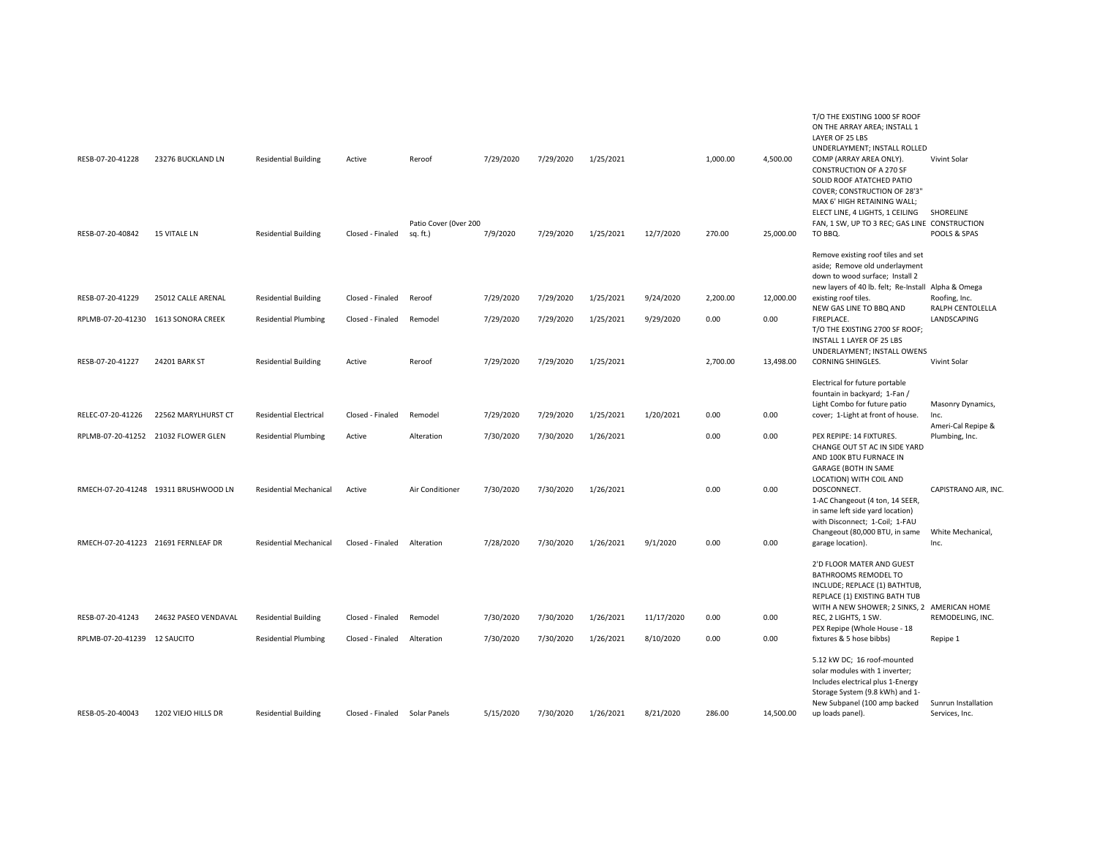| RESB-07-20-41228                    | 23276 BUCKLAND LN                    | <b>Residential Building</b>   | Active                        | Reroof                            | 7/29/2020 | 7/29/2020 | 1/25/2021 |            | 1,000.00 | 4,500.00  | T/O THE EXISTING 1000 SF ROOF<br>ON THE ARRAY AREA; INSTALL 1<br>LAYER OF 25 LBS<br>UNDERLAYMENT; INSTALL ROLLED<br>COMP (ARRAY AREA ONLY).<br>CONSTRUCTION OF A 270 SF<br>SOLID ROOF ATATCHED PATIO<br>COVER; CONSTRUCTION OF 28'3"<br>MAX 6' HIGH RETAINING WALL; | Vivint Solar                          |
|-------------------------------------|--------------------------------------|-------------------------------|-------------------------------|-----------------------------------|-----------|-----------|-----------|------------|----------|-----------|---------------------------------------------------------------------------------------------------------------------------------------------------------------------------------------------------------------------------------------------------------------------|---------------------------------------|
| RESB-07-20-40842                    | <b>15 VITALE LN</b>                  | <b>Residential Building</b>   | Closed - Finaled              | Patio Cover (Over 200<br>sq. ft.) | 7/9/2020  | 7/29/2020 | 1/25/2021 | 12/7/2020  | 270.00   | 25,000.00 | ELECT LINE, 4 LIGHTS, 1 CEILING<br>FAN, 1 SW, UP TO 3 REC; GAS LINE CONSTRUCTION<br>TO BBQ.                                                                                                                                                                         | <b>SHORELINE</b><br>POOLS & SPAS      |
|                                     |                                      |                               |                               |                                   |           |           |           |            |          |           | Remove existing roof tiles and set<br>aside; Remove old underlayment<br>down to wood surface; Install 2<br>new layers of 40 lb. felt; Re-Install Alpha & Omega                                                                                                      |                                       |
| RESB-07-20-41229                    | 25012 CALLE ARENAL                   | <b>Residential Building</b>   | Closed - Finaled              | Reroof                            | 7/29/2020 | 7/29/2020 | 1/25/2021 | 9/24/2020  | 2,200.00 | 12,000.00 | existing roof tiles.<br>NEW GAS LINE TO BBQ AND                                                                                                                                                                                                                     | Roofing, Inc.<br>RALPH CENTOLELLA     |
| RPLMB-07-20-41230 1613 SONORA CREEK |                                      | <b>Residential Plumbing</b>   | Closed - Finaled              | Remodel                           | 7/29/2020 | 7/29/2020 | 1/25/2021 | 9/29/2020  | 0.00     | 0.00      | FIREPLACE.<br>T/O THE EXISTING 2700 SF ROOF;<br>INSTALL 1 LAYER OF 25 LBS<br>UNDERLAYMENT; INSTALL OWENS                                                                                                                                                            | LANDSCAPING                           |
| RESB-07-20-41227                    | 24201 BARK ST                        | <b>Residential Building</b>   | Active                        | Reroof                            | 7/29/2020 | 7/29/2020 | 1/25/2021 |            | 2,700.00 | 13,498.00 | CORNING SHINGLES.                                                                                                                                                                                                                                                   | Vivint Solar                          |
|                                     |                                      |                               |                               |                                   |           |           |           |            |          |           | Electrical for future portable<br>fountain in backyard; 1-Fan /<br>Light Combo for future patio                                                                                                                                                                     | Masonry Dynamics,                     |
| RELEC-07-20-41226                   | 22562 MARYLHURST CT                  | <b>Residential Electrical</b> | Closed - Finaled              | Remodel                           | 7/29/2020 | 7/29/2020 | 1/25/2021 | 1/20/2021  | 0.00     | 0.00      | cover; 1-Light at front of house.                                                                                                                                                                                                                                   | Inc.<br>Ameri-Cal Repipe &            |
|                                     | RPLMB-07-20-41252 21032 FLOWER GLEN  | <b>Residential Plumbing</b>   | Active                        | Alteration                        | 7/30/2020 | 7/30/2020 | 1/26/2021 |            | 0.00     | 0.00      | PEX REPIPE: 14 FIXTURES.<br>CHANGE OUT 5T AC IN SIDE YARD<br>AND 100K BTU FURNACE IN<br><b>GARAGE (BOTH IN SAME</b>                                                                                                                                                 | Plumbing, Inc.                        |
|                                     | RMECH-07-20-41248 19311 BRUSHWOOD LN | <b>Residential Mechanical</b> | Active                        | Air Conditioner                   | 7/30/2020 | 7/30/2020 | 1/26/2021 |            | 0.00     | 0.00      | LOCATION) WITH COIL AND<br>DOSCONNECT.<br>1-AC Changeout (4 ton, 14 SEER,<br>in same left side yard location)                                                                                                                                                       | CAPISTRANO AIR, INC                   |
| RMECH-07-20-41223 21691 FERNLEAF DR |                                      | <b>Residential Mechanical</b> | Closed - Finaled              | Alteration                        | 7/28/2020 | 7/30/2020 | 1/26/2021 | 9/1/2020   | 0.00     | 0.00      | with Disconnect; 1-Coil; 1-FAU<br>Changeout (80,000 BTU, in same<br>garage location).                                                                                                                                                                               | White Mechanical,<br>Inc.             |
| RESB-07-20-41243                    | 24632 PASEO VENDAVAL                 | <b>Residential Building</b>   | Closed - Finaled              | Remodel                           | 7/30/2020 | 7/30/2020 | 1/26/2021 | 11/17/2020 | 0.00     | 0.00      | 2'D FLOOR MATER AND GUEST<br>BATHROOMS REMODEL TO<br>INCLUDE; REPLACE (1) BATHTUB,<br>REPLACE (1) EXISTING BATH TUB<br>WITH A NEW SHOWER; 2 SINKS, 2 AMERICAN HOME<br>REC, 2 LIGHTS, 1 SW.                                                                          | REMODELING, INC.                      |
| RPLMB-07-20-41239                   | <b>12 SAUCITO</b>                    | <b>Residential Plumbing</b>   | Closed - Finaled              | Alteration                        | 7/30/2020 | 7/30/2020 | 1/26/2021 | 8/10/2020  | 0.00     | 0.00      | PEX Repipe (Whole House - 18<br>fixtures & 5 hose bibbs)                                                                                                                                                                                                            | Repipe 1                              |
| RESB-05-20-40043                    | 1202 VIEJO HILLS DR                  | <b>Residential Building</b>   | Closed - Finaled Solar Panels |                                   | 5/15/2020 | 7/30/2020 | 1/26/2021 | 8/21/2020  | 286.00   | 14,500.00 | 5.12 kW DC; 16 roof-mounted<br>solar modules with 1 inverter;<br>Includes electrical plus 1-Energy<br>Storage System (9.8 kWh) and 1-<br>New Subpanel (100 amp backed<br>up loads panel).                                                                           | Sunrun Installation<br>Services, Inc. |
|                                     |                                      |                               |                               |                                   |           |           |           |            |          |           |                                                                                                                                                                                                                                                                     |                                       |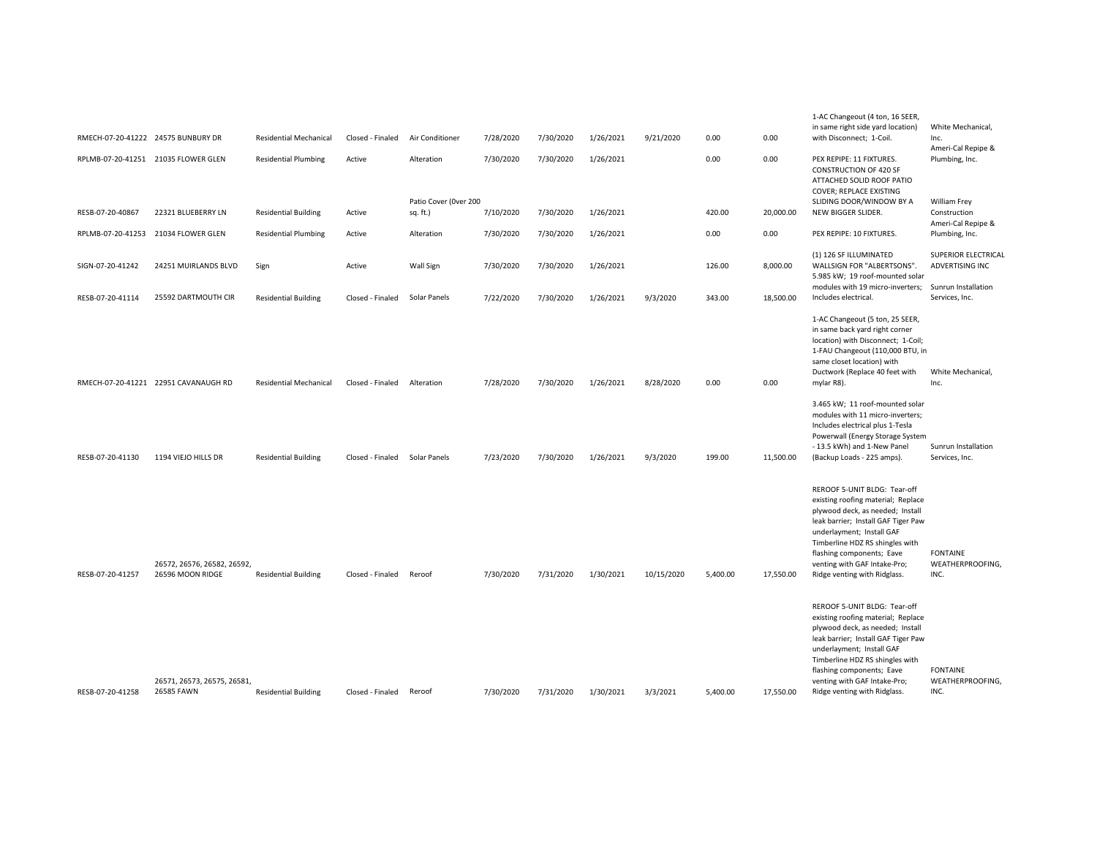| RMECH-07-20-41222 24575 BUNBURY DR |                                                 | <b>Residential Mechanical</b> | Closed - Finaled | Air Conditioner                   | 7/28/2020 | 7/30/2020 | 1/26/2021 | 9/21/2020  | 0.00     | 0.00      | 1-AC Changeout (4 ton, 16 SEER,<br>in same right side yard location)<br>with Disconnect; 1-Coil.                                                                                                                                                                                                           | White Mechanical,<br>Inc.                     |
|------------------------------------|-------------------------------------------------|-------------------------------|------------------|-----------------------------------|-----------|-----------|-----------|------------|----------|-----------|------------------------------------------------------------------------------------------------------------------------------------------------------------------------------------------------------------------------------------------------------------------------------------------------------------|-----------------------------------------------|
|                                    | RPLMB-07-20-41251 21035 FLOWER GLEN             | <b>Residential Plumbing</b>   | Active           | Alteration                        | 7/30/2020 | 7/30/2020 | 1/26/2021 |            | 0.00     | 0.00      | PEX REPIPE: 11 FIXTURES.<br><b>CONSTRUCTION OF 420 SF</b><br>ATTACHED SOLID ROOF PATIO<br>COVER; REPLACE EXISTING                                                                                                                                                                                          | Ameri-Cal Repipe &<br>Plumbing, Inc.          |
| RESB-07-20-40867                   | 22321 BLUEBERRY LN                              | <b>Residential Building</b>   | Active           | Patio Cover (Over 200<br>sq. ft.) | 7/10/2020 | 7/30/2020 | 1/26/2021 |            | 420.00   | 20,000.00 | SLIDING DOOR/WINDOW BY A<br>NEW BIGGER SLIDER.                                                                                                                                                                                                                                                             | <b>William Frey</b><br>Construction           |
| RPLMB-07-20-41253                  | 21034 FLOWER GLEN                               | <b>Residential Plumbing</b>   | Active           | Alteration                        | 7/30/2020 | 7/30/2020 | 1/26/2021 |            | 0.00     | 0.00      | PEX REPIPE: 10 FIXTURES.                                                                                                                                                                                                                                                                                   | Ameri-Cal Repipe &<br>Plumbing, Inc.          |
| SIGN-07-20-41242                   | 24251 MUIRLANDS BLVD                            | Sign                          | Active           | Wall Sign                         | 7/30/2020 | 7/30/2020 | 1/26/2021 |            | 126.00   | 8,000.00  | (1) 126 SF ILLUMINATED<br>WALLSIGN FOR "ALBERTSONS".<br>5.985 kW; 19 roof-mounted solar                                                                                                                                                                                                                    | <b>SUPERIOR ELECTRICAL</b><br>ADVERTISING INC |
| RESB-07-20-41114                   | 25592 DARTMOUTH CIR                             | <b>Residential Building</b>   | Closed - Finaled | Solar Panels                      | 7/22/2020 | 7/30/2020 | 1/26/2021 | 9/3/2020   | 343.00   | 18,500.00 | modules with 19 micro-inverters;<br>Includes electrical.                                                                                                                                                                                                                                                   | Sunrun Installation<br>Services, Inc.         |
|                                    | RMECH-07-20-41221 22951 CAVANAUGH RD            | <b>Residential Mechanical</b> | Closed - Finaled | Alteration                        | 7/28/2020 | 7/30/2020 | 1/26/2021 | 8/28/2020  | 0.00     | 0.00      | 1-AC Changeout (5 ton, 25 SEER,<br>in same back yard right corner<br>location) with Disconnect; 1-Coil;<br>1-FAU Changeout (110,000 BTU, in<br>same closet location) with<br>Ductwork (Replace 40 feet with<br>mylar R8).                                                                                  | White Mechanical,<br>Inc.                     |
| RESB-07-20-41130                   | 1194 VIEJO HILLS DR                             | <b>Residential Building</b>   | Closed - Finaled | Solar Panels                      | 7/23/2020 | 7/30/2020 | 1/26/2021 | 9/3/2020   | 199.00   | 11,500.00 | 3.465 kW; 11 roof-mounted solar<br>modules with 11 micro-inverters;<br>Includes electrical plus 1-Tesla<br>Powerwall (Energy Storage System<br>- 13.5 kWh) and 1-New Panel<br>(Backup Loads - 225 amps).                                                                                                   | Sunrun Installation<br>Services, Inc.         |
| RESB-07-20-41257                   | 26572, 26576, 26582, 26592,<br>26596 MOON RIDGE | <b>Residential Building</b>   | Closed - Finaled | Reroof                            | 7/30/2020 | 7/31/2020 | 1/30/2021 | 10/15/2020 | 5,400.00 | 17,550.00 | REROOF 5-UNIT BLDG: Tear-off<br>existing roofing material; Replace<br>plywood deck, as needed; Install<br>leak barrier; Install GAF Tiger Paw<br>underlayment; Install GAF<br>Timberline HDZ RS shingles with<br>flashing components; Eave<br>venting with GAF Intake-Pro;<br>Ridge venting with Ridglass. | <b>FONTAINE</b><br>WEATHERPROOFING,<br>INC.   |
| RESB-07-20-41258                   | 26571, 26573, 26575, 26581,<br>26585 FAWN       | <b>Residential Building</b>   | Closed - Finaled | Reroof                            | 7/30/2020 | 7/31/2020 | 1/30/2021 | 3/3/2021   | 5.400.00 | 17,550.00 | REROOF 5-UNIT BLDG: Tear-off<br>existing roofing material; Replace<br>plywood deck, as needed; Install<br>leak barrier; Install GAF Tiger Paw<br>underlayment; Install GAF<br>Timberline HDZ RS shingles with<br>flashing components; Eave<br>venting with GAF Intake-Pro;<br>Ridge venting with Ridglass. | <b>FONTAINE</b><br>WEATHERPROOFING,<br>INC.   |
|                                    |                                                 |                               |                  |                                   |           |           |           |            |          |           |                                                                                                                                                                                                                                                                                                            |                                               |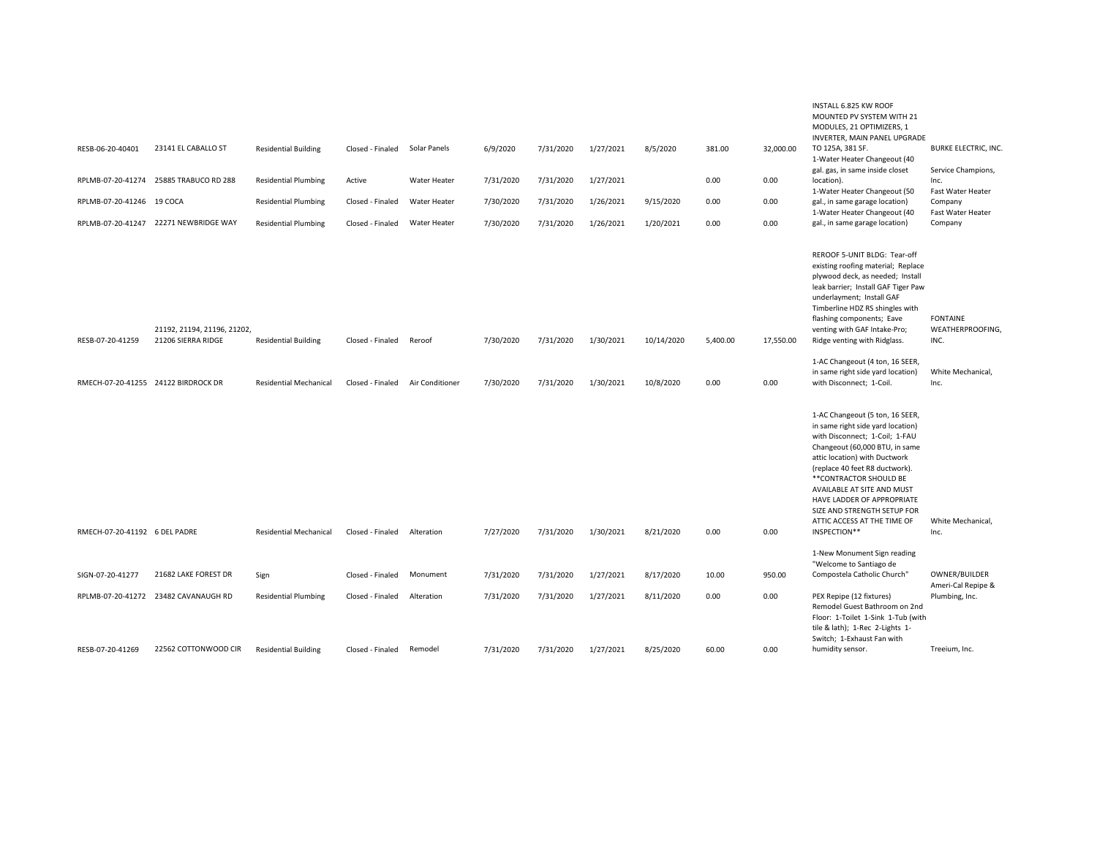| RESB-06-20-40401<br>RPLMB-07-20-41274<br>RPLMB-07-20-41246 19 COCA | 23141 EL CABALLO ST<br>25885 TRABUCO RD 288<br>RPLMB-07-20-41247 22271 NEWBRIDGE WAY | <b>Residential Building</b><br><b>Residential Plumbing</b><br><b>Residential Plumbing</b><br><b>Residential Plumbing</b> | Closed - Finaled<br>Active<br>Closed - Finaled<br>Closed - Finaled | Solar Panels<br>Water Heater<br>Water Heater<br>Water Heater | 6/9/2020<br>7/31/2020<br>7/30/2020<br>7/30/2020 | 7/31/2020<br>7/31/2020<br>7/31/2020<br>7/31/2020 | 1/27/2021<br>1/27/2021<br>1/26/2021<br>1/26/2021 | 8/5/2020<br>9/15/2020<br>1/20/2021 | 381.00<br>0.00<br>0.00<br>0.00 | 32,000.00<br>0.00<br>0.00<br>0.00 | INSTALL 6.825 KW ROOF<br>MOUNTED PV SYSTEM WITH 21<br>MODULES, 21 OPTIMIZERS, 1<br>INVERTER, MAIN PANEL UPGRADE<br>TO 125A, 381 SF.<br>1-Water Heater Changeout (40<br>gal. gas, in same inside closet<br>location).<br>1-Water Heater Changeout (50<br>gal., in same garage location)<br>1-Water Heater Changeout (40<br>gal., in same garage location)                         | <b>BURKE ELECTRIC, INC.</b><br>Service Champions,<br>Inc.<br>Fast Water Heater<br>Company<br>Fast Water Heater<br>Company |
|--------------------------------------------------------------------|--------------------------------------------------------------------------------------|--------------------------------------------------------------------------------------------------------------------------|--------------------------------------------------------------------|--------------------------------------------------------------|-------------------------------------------------|--------------------------------------------------|--------------------------------------------------|------------------------------------|--------------------------------|-----------------------------------|----------------------------------------------------------------------------------------------------------------------------------------------------------------------------------------------------------------------------------------------------------------------------------------------------------------------------------------------------------------------------------|---------------------------------------------------------------------------------------------------------------------------|
| RESB-07-20-41259                                                   | 21192, 21194, 21196, 21202,<br>21206 SIERRA RIDGE                                    | <b>Residential Building</b>                                                                                              | Closed - Finaled                                                   | Reroof                                                       | 7/30/2020                                       | 7/31/2020                                        | 1/30/2021                                        | 10/14/2020                         | 5,400.00                       | 17,550.00                         | REROOF 5-UNIT BLDG: Tear-off<br>existing roofing material; Replace<br>plywood deck, as needed; Install<br>leak barrier; Install GAF Tiger Paw<br>underlayment; Install GAF<br>Timberline HDZ RS shingles with<br>flashing components; Eave<br>venting with GAF Intake-Pro;<br>Ridge venting with Ridglass.<br>1-AC Changeout (4 ton, 16 SEER,                                    | <b>FONTAINE</b><br>WEATHERPROOFING,<br>INC.                                                                               |
|                                                                    | RMECH-07-20-41255 24122 BIRDROCK DR                                                  | <b>Residential Mechanical</b>                                                                                            | Closed - Finaled                                                   | Air Conditioner                                              | 7/30/2020                                       | 7/31/2020                                        | 1/30/2021                                        | 10/8/2020                          | 0.00                           | 0.00                              | in same right side yard location)<br>with Disconnect; 1-Coil.                                                                                                                                                                                                                                                                                                                    | White Mechanical,<br>Inc.                                                                                                 |
| RMECH-07-20-41192 6 DEL PADRE                                      |                                                                                      | <b>Residential Mechanical</b>                                                                                            | Closed - Finaled                                                   | Alteration                                                   | 7/27/2020                                       | 7/31/2020                                        | 1/30/2021                                        | 8/21/2020                          | 0.00                           | 0.00                              | 1-AC Changeout (5 ton, 16 SEER,<br>in same right side yard location)<br>with Disconnect; 1-Coil; 1-FAU<br>Changeout (60,000 BTU, in same<br>attic location) with Ductwork<br>(replace 40 feet R8 ductwork).<br>** CONTRACTOR SHOULD BE<br>AVAILABLE AT SITE AND MUST<br>HAVE LADDER OF APPROPRIATE<br>SIZE AND STRENGTH SETUP FOR<br>ATTIC ACCESS AT THE TIME OF<br>INSPECTION** | White Mechanical,<br>Inc.                                                                                                 |
|                                                                    |                                                                                      |                                                                                                                          |                                                                    |                                                              |                                                 |                                                  |                                                  |                                    |                                |                                   | 1-New Monument Sign reading                                                                                                                                                                                                                                                                                                                                                      |                                                                                                                           |
|                                                                    |                                                                                      |                                                                                                                          |                                                                    |                                                              |                                                 |                                                  |                                                  |                                    |                                |                                   | "Welcome to Santiago de                                                                                                                                                                                                                                                                                                                                                          |                                                                                                                           |
| SIGN-07-20-41277                                                   | 21682 LAKE FOREST DR                                                                 | Sign                                                                                                                     | Closed - Finaled                                                   | Monument                                                     | 7/31/2020                                       | 7/31/2020                                        | 1/27/2021                                        | 8/17/2020                          | 10.00                          | 950.00                            | Compostela Catholic Church"                                                                                                                                                                                                                                                                                                                                                      | OWNER/BUILDER<br>Ameri-Cal Repipe &                                                                                       |
|                                                                    | RPLMB-07-20-41272 23482 CAVANAUGH RD                                                 | <b>Residential Plumbing</b>                                                                                              | Closed - Finaled                                                   | Alteration                                                   | 7/31/2020                                       | 7/31/2020                                        | 1/27/2021                                        | 8/11/2020                          | 0.00                           | 0.00                              | PEX Repipe (12 fixtures)<br>Remodel Guest Bathroom on 2nd<br>Floor: 1-Toilet 1-Sink 1-Tub (with<br>tile & lath); 1-Rec 2-Lights 1-<br>Switch; 1-Exhaust Fan with                                                                                                                                                                                                                 | Plumbing, Inc.                                                                                                            |